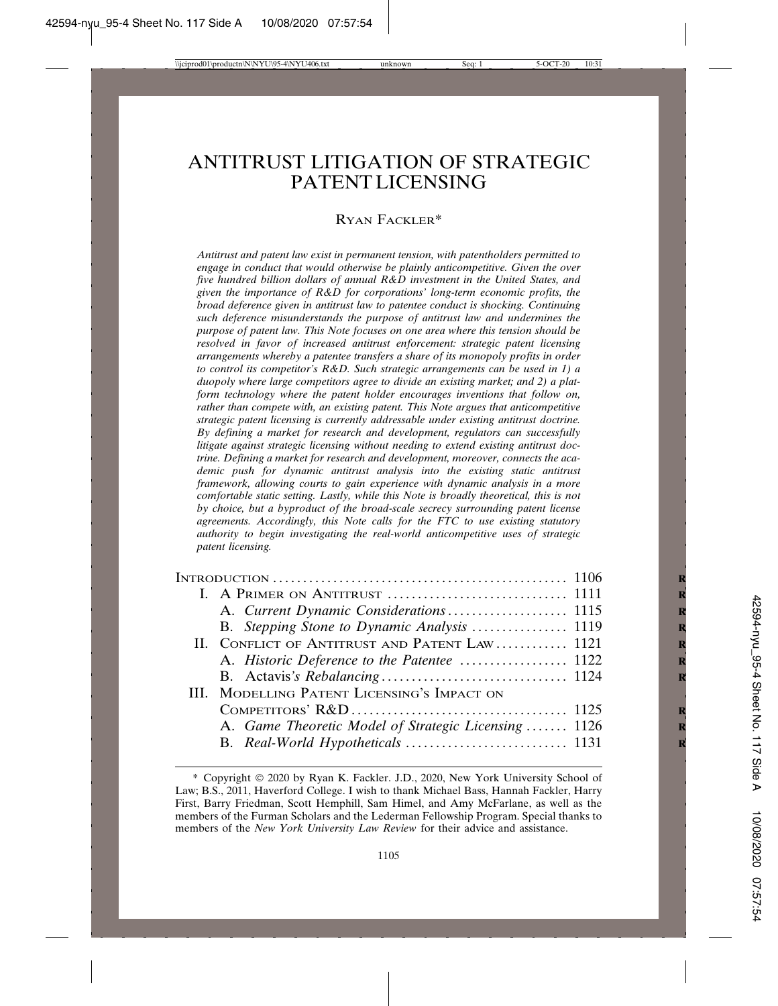# ANTITRUST LITIGATION OF STRATEGIC PATENT LICENSING

### RYAN FACKLER\*

*Antitrust and patent law exist in permanent tension, with patentholders permitted to engage in conduct that would otherwise be plainly anticompetitive. Given the over five hundred billion dollars of annual R&D investment in the United States, and given the importance of R&D for corporations' long-term economic profits, the broad deference given in antitrust law to patentee conduct is shocking. Continuing such deference misunderstands the purpose of antitrust law and undermines the purpose of patent law. This Note focuses on one area where this tension should be resolved in favor of increased antitrust enforcement: strategic patent licensing arrangements whereby a patentee transfers a share of its monopoly profits in order to control its competitor's R&D. Such strategic arrangements can be used in 1) a duopoly where large competitors agree to divide an existing market; and 2) a platform technology where the patent holder encourages inventions that follow on, rather than compete with, an existing patent. This Note argues that anticompetitive strategic patent licensing is currently addressable under existing antitrust doctrine. By defining a market for research and development, regulators can successfully litigate against strategic licensing without needing to extend existing antitrust doctrine. Defining a market for research and development, moreover, connects the academic push for dynamic antitrust analysis into the existing static antitrust framework, allowing courts to gain experience with dynamic analysis in a more comfortable static setting. Lastly, while this Note is broadly theoretical, this is not by choice, but a byproduct of the broad-scale secrecy surrounding patent license agreements. Accordingly, this Note calls for the FTC to use existing statutory authority to begin investigating the real-world anticompetitive uses of strategic patent licensing.*

| B. Stepping Stone to Dynamic Analysis  1119          |
|------------------------------------------------------|
| II. CONFLICT OF ANTITRUST AND PATENT LAW  1121       |
|                                                      |
|                                                      |
| III. MODELLING PATENT LICENSING'S IMPACT ON          |
|                                                      |
| A. Game Theoretic Model of Strategic Licensing  1126 |
|                                                      |

<sup>\*</sup> Copyright 2020 by Ryan K. Fackler. J.D., 2020, New York University School of Law; B.S., 2011, Haverford College. I wish to thank Michael Bass, Hannah Fackler, Harry First, Barry Friedman, Scott Hemphill, Sam Himel, and Amy McFarlane, as well as the members of the Furman Scholars and the Lederman Fellowship Program. Special thanks to members of the *New York University Law Review* for their advice and assistance.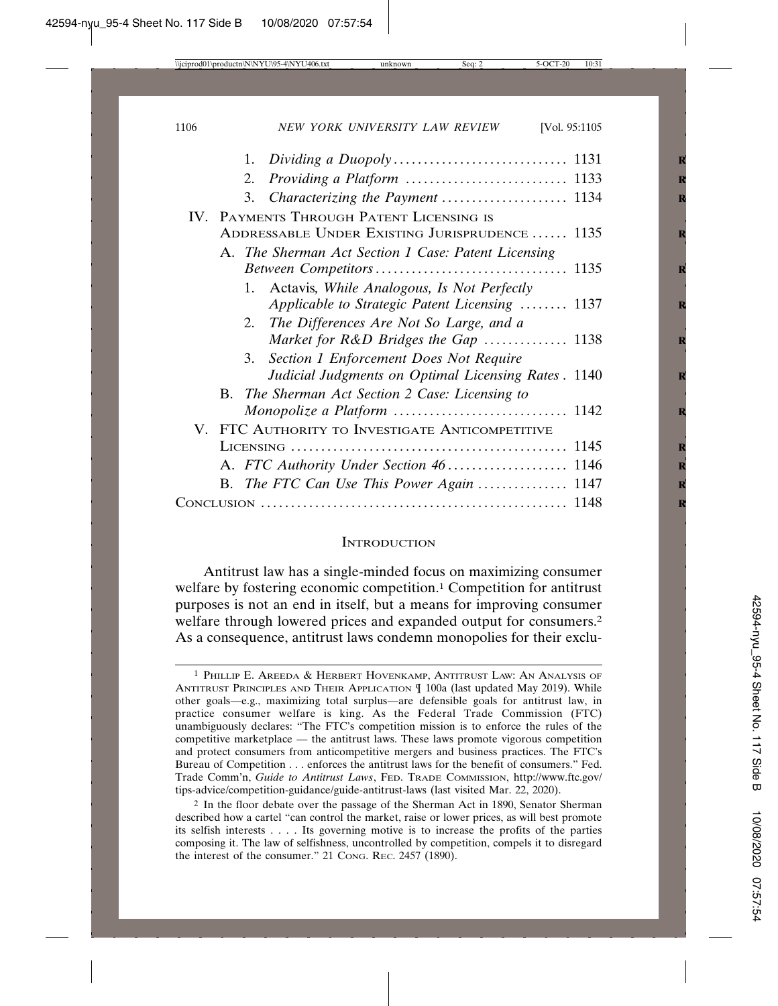|                                          |  | 1. |                                                      |  |  |  |  |
|------------------------------------------|--|----|------------------------------------------------------|--|--|--|--|
|                                          |  | 2. |                                                      |  |  |  |  |
|                                          |  | 3. |                                                      |  |  |  |  |
| IV. PAYMENTS THROUGH PATENT LICENSING IS |  |    |                                                      |  |  |  |  |
|                                          |  |    | ADDRESSABLE UNDER EXISTING JURISPRUDENCE  1135       |  |  |  |  |
|                                          |  |    | A. The Sherman Act Section 1 Case: Patent Licensing  |  |  |  |  |
|                                          |  |    |                                                      |  |  |  |  |
|                                          |  |    | 1. Actavis, While Analogous, Is Not Perfectly        |  |  |  |  |
|                                          |  |    | Applicable to Strategic Patent Licensing  1137       |  |  |  |  |
|                                          |  | 2. | The Differences Are Not So Large, and a              |  |  |  |  |
|                                          |  |    | Market for R&D Bridges the Gap  1138                 |  |  |  |  |
|                                          |  | 3. | Section 1 Enforcement Does Not Require               |  |  |  |  |
|                                          |  |    | Judicial Judgments on Optimal Licensing Rates . 1140 |  |  |  |  |
|                                          |  |    | B. The Sherman Act Section 2 Case: Licensing to      |  |  |  |  |
|                                          |  |    |                                                      |  |  |  |  |
|                                          |  |    | V. FTC AUTHORITY TO INVESTIGATE ANTICOMPETITIVE      |  |  |  |  |
|                                          |  |    |                                                      |  |  |  |  |
|                                          |  |    |                                                      |  |  |  |  |
|                                          |  |    | B. The FTC Can Use This Power Again  1147            |  |  |  |  |
|                                          |  |    |                                                      |  |  |  |  |
|                                          |  |    |                                                      |  |  |  |  |

#### **INTRODUCTION**

Antitrust law has a single-minded focus on maximizing consumer welfare by fostering economic competition.<sup>1</sup> Competition for antitrust purposes is not an end in itself, but a means for improving consumer welfare through lowered prices and expanded output for consumers.<sup>2</sup> As a consequence, antitrust laws condemn monopolies for their exclu-

 $1$  Phillip E. Areeda & Herbert Hovenkamp, Antitrust Law: An Analysis of ANTITRUST PRINCIPLES AND THEIR APPLICATION ¶ 100a (last updated May 2019). While other goals—e.g., maximizing total surplus—are defensible goals for antitrust law, in practice consumer welfare is king. As the Federal Trade Commission (FTC) unambiguously declares: "The FTC's competition mission is to enforce the rules of the competitive marketplace — the antitrust laws. These laws promote vigorous competition and protect consumers from anticompetitive mergers and business practices. The FTC's Bureau of Competition . . . enforces the antitrust laws for the benefit of consumers." Fed. Trade Comm'n, *Guide to Antitrust Laws*, FED. TRADE COMMISSION, http://www.ftc.gov/ tips-advice/competition-guidance/guide-antitrust-laws (last visited Mar. 22, 2020).

<sup>2</sup> In the floor debate over the passage of the Sherman Act in 1890, Senator Sherman described how a cartel "can control the market, raise or lower prices, as will best promote its selfish interests . . . . Its governing motive is to increase the profits of the parties composing it. The law of selfishness, uncontrolled by competition, compels it to disregard the interest of the consumer." 21 CONG. REC. 2457 (1890).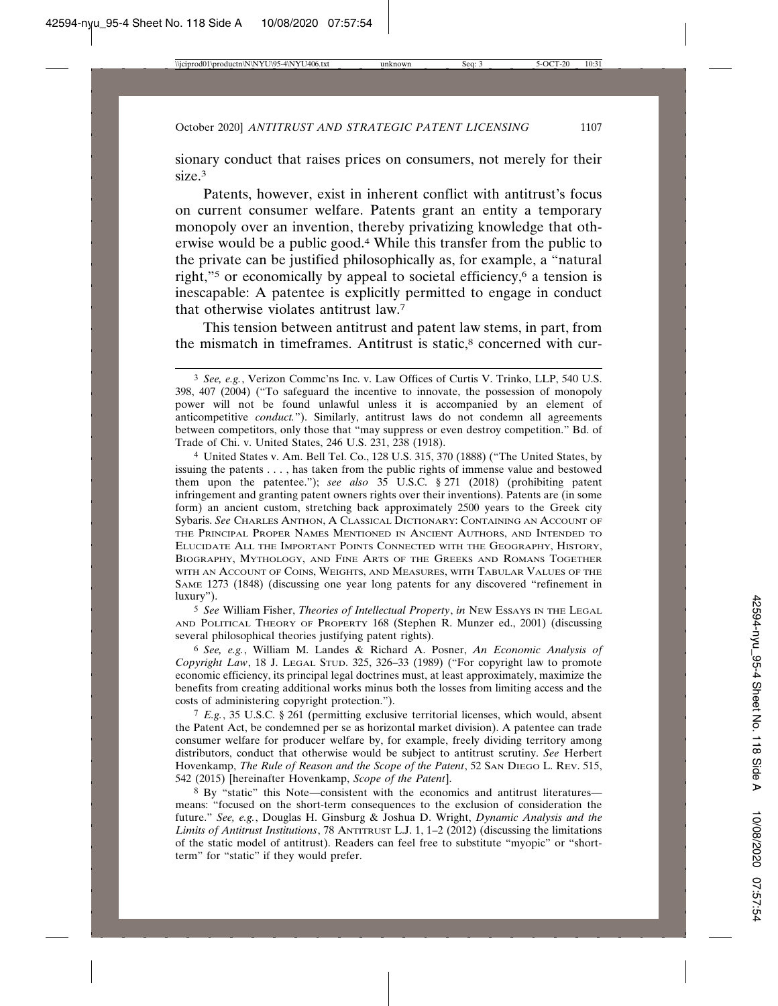sionary conduct that raises prices on consumers, not merely for their size.3

Patents, however, exist in inherent conflict with antitrust's focus on current consumer welfare. Patents grant an entity a temporary monopoly over an invention, thereby privatizing knowledge that otherwise would be a public good.4 While this transfer from the public to the private can be justified philosophically as, for example, a "natural right,"<sup>5</sup> or economically by appeal to societal efficiency,<sup>6</sup> a tension is inescapable: A patentee is explicitly permitted to engage in conduct that otherwise violates antitrust law.7

This tension between antitrust and patent law stems, in part, from the mismatch in timeframes. Antitrust is static,<sup>8</sup> concerned with cur-

4 United States v. Am. Bell Tel. Co., 128 U.S. 315, 370 (1888) ("The United States, by issuing the patents . . . , has taken from the public rights of immense value and bestowed them upon the patentee."); *see also* 35 U.S.C. § 271 (2018) (prohibiting patent infringement and granting patent owners rights over their inventions). Patents are (in some form) an ancient custom, stretching back approximately 2500 years to the Greek city Sybaris. *See* CHARLES ANTHON, A CLASSICAL DICTIONARY: CONTAINING AN ACCOUNT OF THE PRINCIPAL PROPER NAMES MENTIONED IN ANCIENT AUTHORS, AND INTENDED TO ELUCIDATE ALL THE IMPORTANT POINTS CONNECTED WITH THE GEOGRAPHY, HISTORY, BIOGRAPHY, MYTHOLOGY, AND FINE ARTS OF THE GREEKS AND ROMANS TOGETHER WITH AN ACCOUNT OF COINS, WEIGHTS, AND MEASURES, WITH TABULAR VALUES OF THE SAME 1273 (1848) (discussing one year long patents for any discovered "refinement in luxury").

5 *See* William Fisher, *Theories of Intellectual Property*, *in* NEW ESSAYS IN THE LEGAL AND POLITICAL THEORY OF PROPERTY 168 (Stephen R. Munzer ed., 2001) (discussing several philosophical theories justifying patent rights).

6 *See, e.g.*, William M. Landes & Richard A. Posner, *An Economic Analysis of Copyright Law*, 18 J. LEGAL STUD. 325, 326–33 (1989) ("For copyright law to promote economic efficiency, its principal legal doctrines must, at least approximately, maximize the benefits from creating additional works minus both the losses from limiting access and the costs of administering copyright protection.").

7 *E.g.*, 35 U.S.C. § 261 (permitting exclusive territorial licenses, which would, absent the Patent Act, be condemned per se as horizontal market division). A patentee can trade consumer welfare for producer welfare by, for example, freely dividing territory among distributors, conduct that otherwise would be subject to antitrust scrutiny. *See* Herbert Hovenkamp, *The Rule of Reason and the Scope of the Patent*, 52 SAN DIEGO L. REV. 515, 542 (2015) [hereinafter Hovenkamp, *Scope of the Patent*].

8 By "static" this Note—consistent with the economics and antitrust literatures means: "focused on the short-term consequences to the exclusion of consideration the future." *See, e.g.*, Douglas H. Ginsburg & Joshua D. Wright, *Dynamic Analysis and the Limits of Antitrust Institutions*, 78 ANTITRUST L.J. 1, 1–2 (2012) (discussing the limitations of the static model of antitrust). Readers can feel free to substitute "myopic" or "shortterm" for "static" if they would prefer.

<sup>3</sup> *See, e.g.*, Verizon Commc'ns Inc. v. Law Offices of Curtis V. Trinko, LLP, 540 U.S. 398, 407 (2004) ("To safeguard the incentive to innovate, the possession of monopoly power will not be found unlawful unless it is accompanied by an element of anticompetitive *conduct.*"). Similarly, antitrust laws do not condemn all agreements between competitors, only those that "may suppress or even destroy competition." Bd. of Trade of Chi. v. United States, 246 U.S. 231, 238 (1918).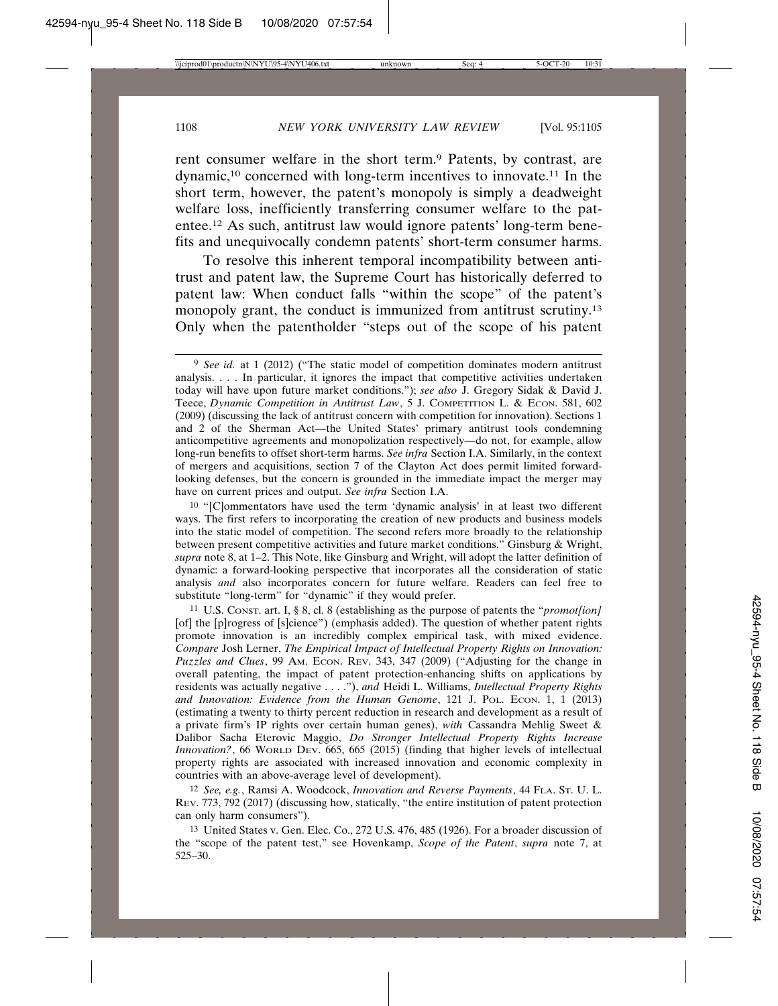rent consumer welfare in the short term.9 Patents, by contrast, are dynamic,10 concerned with long-term incentives to innovate.11 In the short term, however, the patent's monopoly is simply a deadweight welfare loss, inefficiently transferring consumer welfare to the patentee.12 As such, antitrust law would ignore patents' long-term benefits and unequivocally condemn patents' short-term consumer harms.

To resolve this inherent temporal incompatibility between antitrust and patent law, the Supreme Court has historically deferred to patent law: When conduct falls "within the scope" of the patent's monopoly grant, the conduct is immunized from antitrust scrutiny.13 Only when the patentholder "steps out of the scope of his patent

12 *See, e.g.*, Ramsi A. Woodcock, *Innovation and Reverse Payments*, 44 FLA. ST. U. L. REV. 773, 792 (2017) (discussing how, statically, "the entire institution of patent protection can only harm consumers").

13 United States v. Gen. Elec. Co., 272 U.S. 476, 485 (1926). For a broader discussion of the "scope of the patent test," see Hovenkamp, *Scope of the Patent*, *supra* note 7, at 525–30.

<sup>9</sup> *See id.* at 1 (2012) ("The static model of competition dominates modern antitrust analysis. . . . In particular, it ignores the impact that competitive activities undertaken today will have upon future market conditions."); *see also* J. Gregory Sidak & David J. Teece, *Dynamic Competition in Antitrust Law*, 5 J. COMPETITION L. & ECON. 581, 602 (2009) (discussing the lack of antitrust concern with competition for innovation). Sections 1 and 2 of the Sherman Act—the United States' primary antitrust tools condemning anticompetitive agreements and monopolization respectively—do not, for example, allow long-run benefits to offset short-term harms. *See infra* Section I.A. Similarly, in the context of mergers and acquisitions, section 7 of the Clayton Act does permit limited forwardlooking defenses, but the concern is grounded in the immediate impact the merger may have on current prices and output. *See infra* Section I.A.

<sup>10</sup> "[C]ommentators have used the term 'dynamic analysis' in at least two different ways. The first refers to incorporating the creation of new products and business models into the static model of competition. The second refers more broadly to the relationship between present competitive activities and future market conditions." Ginsburg & Wright, *supra* note 8, at 1–2. This Note, like Ginsburg and Wright, will adopt the latter definition of dynamic: a forward-looking perspective that incorporates all the consideration of static analysis *and* also incorporates concern for future welfare. Readers can feel free to substitute "long-term" for "dynamic" if they would prefer.

<sup>11</sup> U.S. CONST. art. I, § 8, cl. 8 (establishing as the purpose of patents the "*promot[ion]* [of] the [p]rogress of [s]cience") (emphasis added). The question of whether patent rights promote innovation is an incredibly complex empirical task, with mixed evidence. *Compare* Josh Lerner, *The Empirical Impact of Intellectual Property Rights on Innovation: Puzzles and Clues*, 99 AM. ECON. REV. 343, 347 (2009) ("Adjusting for the change in overall patenting, the impact of patent protection-enhancing shifts on applications by residents was actually negative . . . ."), *and* Heidi L. Williams, *Intellectual Property Rights and Innovation: Evidence from the Human Genome*, 121 J. POL. ECON. 1, 1 (2013) (estimating a twenty to thirty percent reduction in research and development as a result of a private firm's IP rights over certain human genes), *with* Cassandra Mehlig Sweet & Dalibor Sacha Eterovic Maggio, *Do Stronger Intellectual Property Rights Increase Innovation?*, 66 WORLD DEV. 665, 665 (2015) (finding that higher levels of intellectual property rights are associated with increased innovation and economic complexity in countries with an above-average level of development).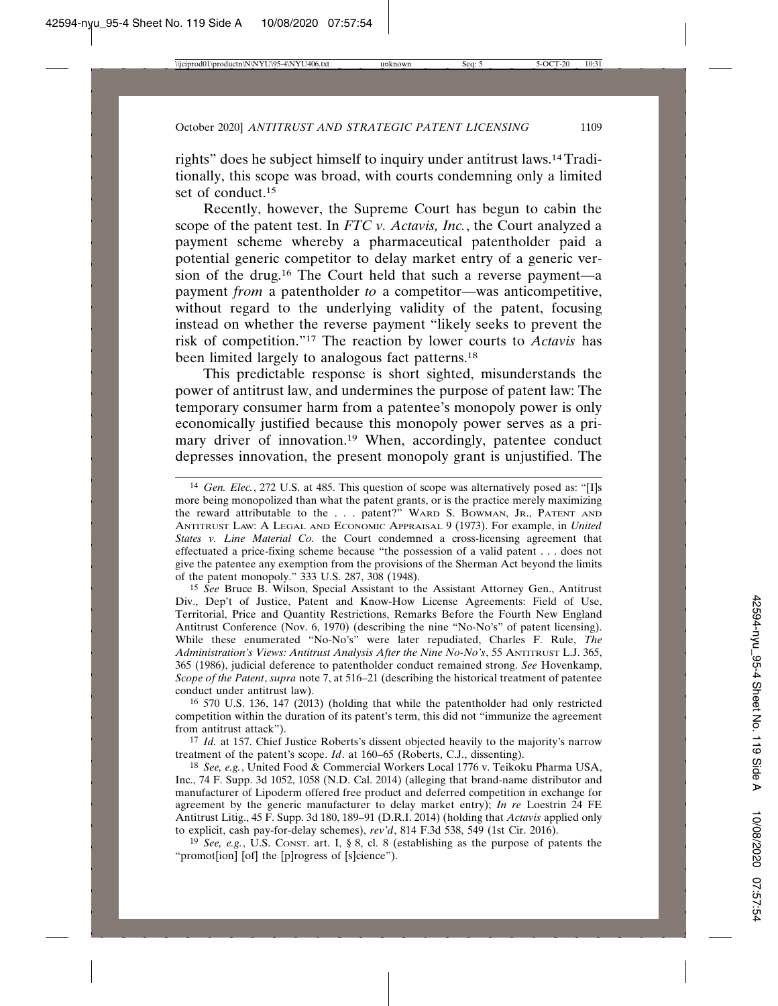rights" does he subject himself to inquiry under antitrust laws.14 Traditionally, this scope was broad, with courts condemning only a limited set of conduct.15

Recently, however, the Supreme Court has begun to cabin the scope of the patent test. In *FTC v. Actavis, Inc.*, the Court analyzed a payment scheme whereby a pharmaceutical patentholder paid a potential generic competitor to delay market entry of a generic version of the drug.16 The Court held that such a reverse payment—a payment *from* a patentholder *to* a competitor—was anticompetitive, without regard to the underlying validity of the patent, focusing instead on whether the reverse payment "likely seeks to prevent the risk of competition."17 The reaction by lower courts to *Actavis* has been limited largely to analogous fact patterns.<sup>18</sup>

This predictable response is short sighted, misunderstands the power of antitrust law, and undermines the purpose of patent law: The temporary consumer harm from a patentee's monopoly power is only economically justified because this monopoly power serves as a primary driver of innovation.19 When, accordingly, patentee conduct depresses innovation, the present monopoly grant is unjustified. The

15 *See* Bruce B. Wilson, Special Assistant to the Assistant Attorney Gen., Antitrust Div., Dep't of Justice, Patent and Know-How License Agreements: Field of Use, Territorial, Price and Quantity Restrictions, Remarks Before the Fourth New England Antitrust Conference (Nov. 6, 1970) (describing the nine "No-No's" of patent licensing). While these enumerated "No-No's" were later repudiated, Charles F. Rule, *The Administration's Views: Antitrust Analysis After the Nine No-No's*, 55 ANTITRUST L.J. 365, 365 (1986), judicial deference to patentholder conduct remained strong. *See* Hovenkamp, *Scope of the Patent*, *supra* note 7, at 516–21 (describing the historical treatment of patentee conduct under antitrust law).

16 570 U.S. 136, 147 (2013) (holding that while the patentholder had only restricted competition within the duration of its patent's term, this did not "immunize the agreement from antitrust attack").

17 *Id.* at 157. Chief Justice Roberts's dissent objected heavily to the majority's narrow treatment of the patent's scope. *Id*. at 160–65 (Roberts, C.J., dissenting).

18 *See, e.g.*, United Food & Commercial Workers Local 1776 v. Teikoku Pharma USA, Inc., 74 F. Supp. 3d 1052, 1058 (N.D. Cal. 2014) (alleging that brand-name distributor and manufacturer of Lipoderm offered free product and deferred competition in exchange for agreement by the generic manufacturer to delay market entry); *In re* Loestrin 24 FE Antitrust Litig., 45 F. Supp. 3d 180, 189–91 (D.R.I. 2014) (holding that *Actavis* applied only to explicit, cash pay-for-delay schemes), *rev'd*, 814 F.3d 538, 549 (1st Cir. 2016).

19 *See, e.g.*, U.S. CONST. art. I, § 8, cl. 8 (establishing as the purpose of patents the "promot[ion] [of] the [p]rogress of [s]cience").

<sup>14</sup> *Gen. Elec.*, 272 U.S. at 485. This question of scope was alternatively posed as: "[I]s more being monopolized than what the patent grants, or is the practice merely maximizing the reward attributable to the . . . patent?" WARD S. BOWMAN, JR., PATENT AND ANTITRUST LAW: A LEGAL AND ECONOMIC APPRAISAL 9 (1973). For example, in *United States v. Line Material Co.* the Court condemned a cross-licensing agreement that effectuated a price-fixing scheme because "the possession of a valid patent . . . does not give the patentee any exemption from the provisions of the Sherman Act beyond the limits of the patent monopoly." 333 U.S. 287, 308 (1948).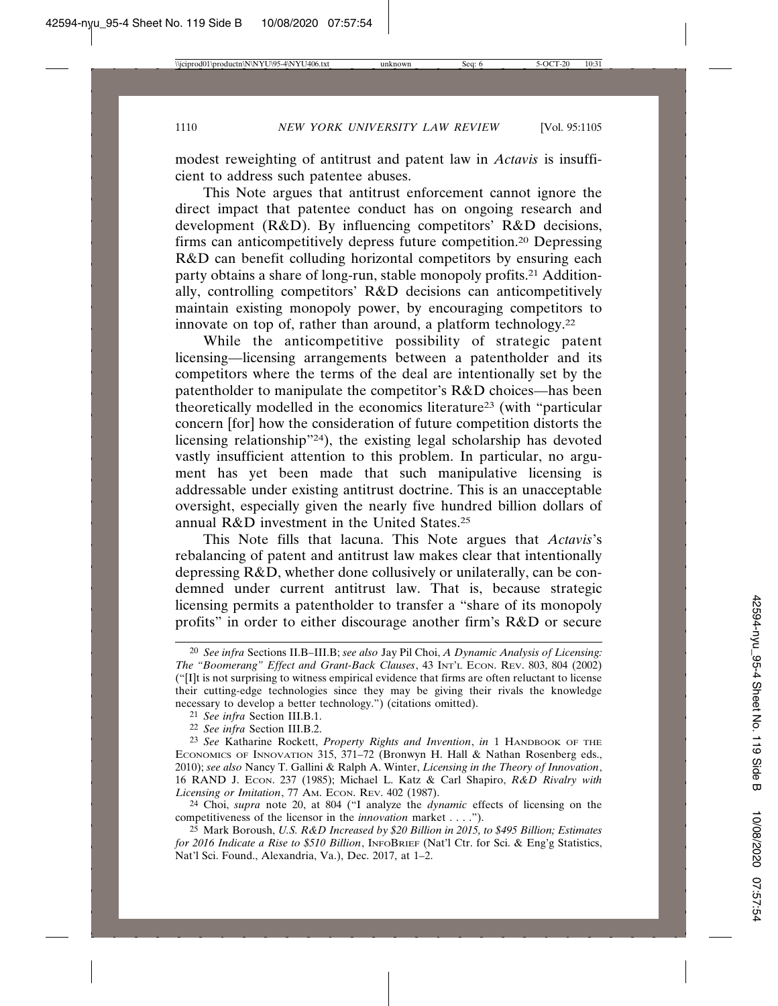modest reweighting of antitrust and patent law in *Actavis* is insufficient to address such patentee abuses.

This Note argues that antitrust enforcement cannot ignore the direct impact that patentee conduct has on ongoing research and development (R&D). By influencing competitors' R&D decisions, firms can anticompetitively depress future competition.20 Depressing R&D can benefit colluding horizontal competitors by ensuring each party obtains a share of long-run, stable monopoly profits.<sup>21</sup> Additionally, controlling competitors' R&D decisions can anticompetitively maintain existing monopoly power, by encouraging competitors to innovate on top of, rather than around, a platform technology.22

While the anticompetitive possibility of strategic patent licensing—licensing arrangements between a patentholder and its competitors where the terms of the deal are intentionally set by the patentholder to manipulate the competitor's R&D choices—has been theoretically modelled in the economics literature23 (with "particular concern [for] how the consideration of future competition distorts the licensing relationship"24), the existing legal scholarship has devoted vastly insufficient attention to this problem. In particular, no argument has yet been made that such manipulative licensing is addressable under existing antitrust doctrine. This is an unacceptable oversight, especially given the nearly five hundred billion dollars of annual R&D investment in the United States.25

This Note fills that lacuna. This Note argues that *Actavis*'s rebalancing of patent and antitrust law makes clear that intentionally depressing R&D, whether done collusively or unilaterally, can be condemned under current antitrust law. That is, because strategic licensing permits a patentholder to transfer a "share of its monopoly profits" in order to either discourage another firm's R&D or secure

24 Choi, *supra* note 20, at 804 ("I analyze the *dynamic* effects of licensing on the competitiveness of the licensor in the *innovation* market . . . .").

<sup>20</sup> *See infra* Sections II.B–III.B; *see also* Jay Pil Choi, *A Dynamic Analysis of Licensing: The "Boomerang" Effect and Grant-Back Clauses*, 43 INT'L ECON. REV. 803, 804 (2002) ("[I]t is not surprising to witness empirical evidence that firms are often reluctant to license their cutting-edge technologies since they may be giving their rivals the knowledge necessary to develop a better technology.") (citations omitted).

<sup>21</sup> *See infra* Section III.B.1.

<sup>22</sup> *See infra* Section III.B.2.

<sup>23</sup> *See* Katharine Rockett, *Property Rights and Invention*, *in* 1 HANDBOOK OF THE ECONOMICS OF INNOVATION 315, 371-72 (Bronwyn H. Hall & Nathan Rosenberg eds., 2010); *see also* Nancy T. Gallini & Ralph A. Winter, *Licensing in the Theory of Innovation*, 16 RAND J. ECON. 237 (1985); Michael L. Katz & Carl Shapiro, *R&D Rivalry with Licensing or Imitation*, 77 AM. ECON. REV. 402 (1987).

<sup>25</sup> Mark Boroush, *U.S. R&D Increased by \$20 Billion in 2015, to \$495 Billion; Estimates for 2016 Indicate a Rise to \$510 Billion*, INFOBRIEF (Nat'l Ctr. for Sci. & Eng'g Statistics, Nat'l Sci. Found., Alexandria, Va.), Dec. 2017, at 1–2.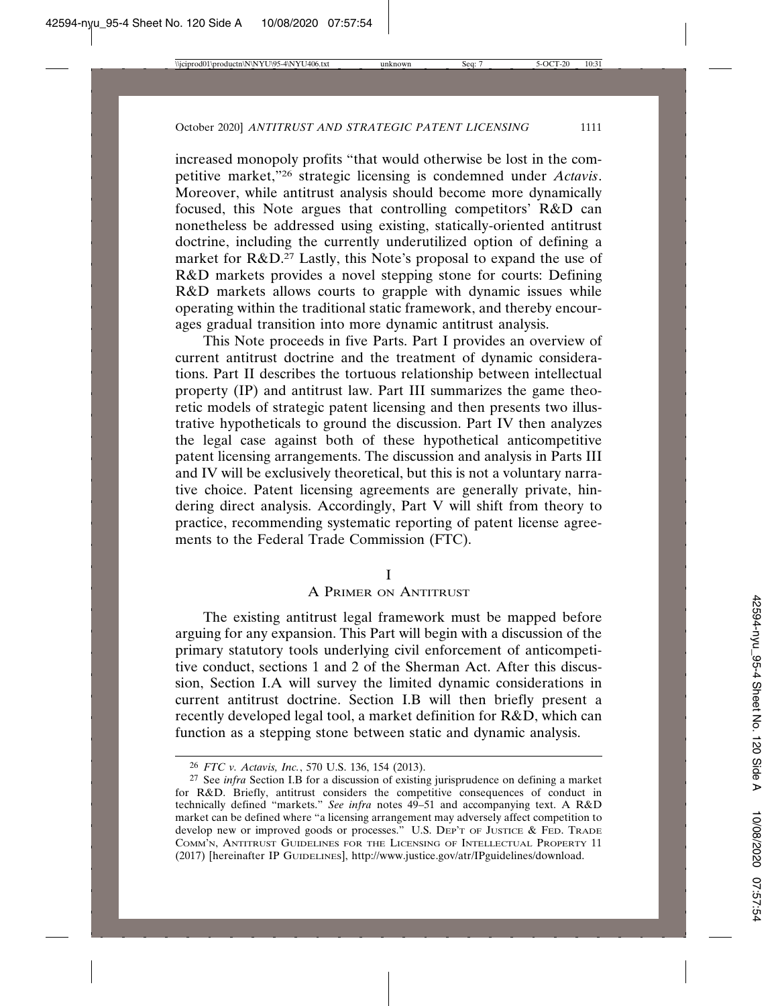increased monopoly profits "that would otherwise be lost in the competitive market,"26 strategic licensing is condemned under *Actavis*. Moreover, while antitrust analysis should become more dynamically focused, this Note argues that controlling competitors' R&D can nonetheless be addressed using existing, statically-oriented antitrust doctrine, including the currently underutilized option of defining a market for R&D.27 Lastly, this Note's proposal to expand the use of R&D markets provides a novel stepping stone for courts: Defining R&D markets allows courts to grapple with dynamic issues while operating within the traditional static framework, and thereby encourages gradual transition into more dynamic antitrust analysis.

This Note proceeds in five Parts. Part I provides an overview of current antitrust doctrine and the treatment of dynamic considerations. Part II describes the tortuous relationship between intellectual property (IP) and antitrust law. Part III summarizes the game theoretic models of strategic patent licensing and then presents two illustrative hypotheticals to ground the discussion. Part IV then analyzes the legal case against both of these hypothetical anticompetitive patent licensing arrangements. The discussion and analysis in Parts III and IV will be exclusively theoretical, but this is not a voluntary narrative choice. Patent licensing agreements are generally private, hindering direct analysis. Accordingly, Part V will shift from theory to practice, recommending systematic reporting of patent license agreements to the Federal Trade Commission (FTC).

I

### A PRIMER ON ANTITRUST

The existing antitrust legal framework must be mapped before arguing for any expansion. This Part will begin with a discussion of the primary statutory tools underlying civil enforcement of anticompetitive conduct, sections 1 and 2 of the Sherman Act. After this discussion, Section I.A will survey the limited dynamic considerations in current antitrust doctrine. Section I.B will then briefly present a recently developed legal tool, a market definition for R&D, which can function as a stepping stone between static and dynamic analysis.

<sup>26</sup> *FTC v. Actavis, Inc.*, 570 U.S. 136, 154 (2013).

<sup>27</sup> See *infra* Section I.B for a discussion of existing jurisprudence on defining a market for R&D. Briefly, antitrust considers the competitive consequences of conduct in technically defined "markets." *See infra* notes 49–51 and accompanying text. A R&D market can be defined where "a licensing arrangement may adversely affect competition to develop new or improved goods or processes." U.S. DEP'T OF JUSTICE & FED. TRADE COMM'N, ANTITRUST GUIDELINES FOR THE LICENSING OF INTELLECTUAL PROPERTY 11 (2017) [hereinafter IP GUIDELINES], http://www.justice.gov/atr/IPguidelines/download.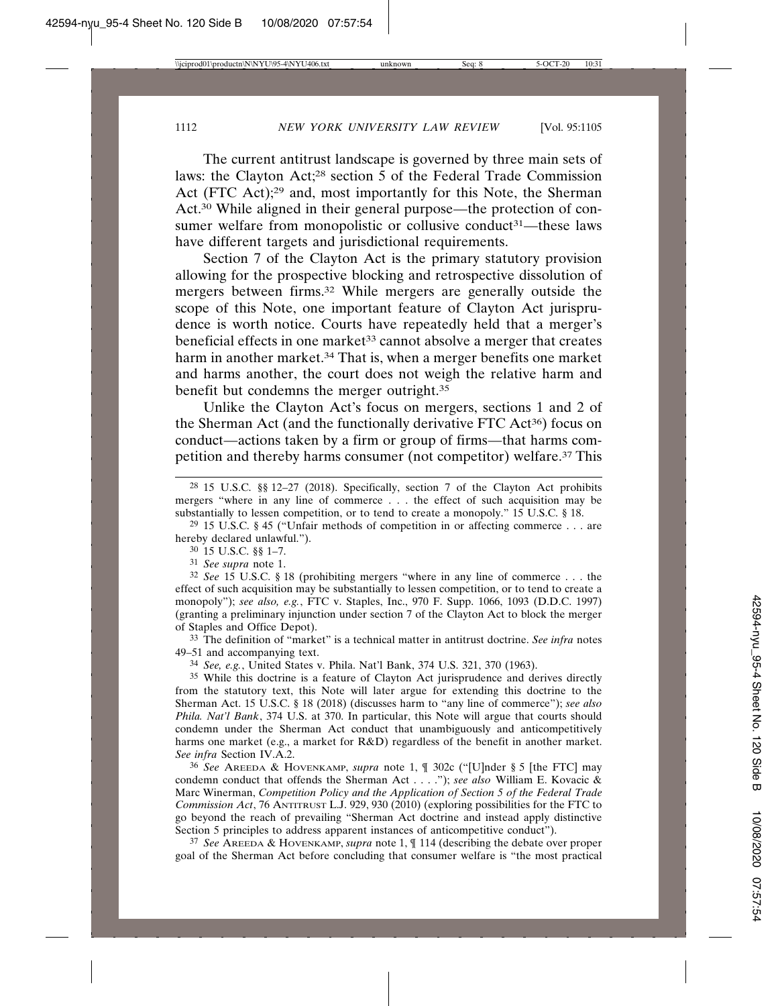The current antitrust landscape is governed by three main sets of laws: the Clayton Act;28 section 5 of the Federal Trade Commission Act (FTC Act);29 and, most importantly for this Note, the Sherman Act.30 While aligned in their general purpose—the protection of consumer welfare from monopolistic or collusive conduct<sup>31</sup>—these laws have different targets and jurisdictional requirements.

Section 7 of the Clayton Act is the primary statutory provision allowing for the prospective blocking and retrospective dissolution of mergers between firms.32 While mergers are generally outside the scope of this Note, one important feature of Clayton Act jurisprudence is worth notice. Courts have repeatedly held that a merger's beneficial effects in one market<sup>33</sup> cannot absolve a merger that creates harm in another market.<sup>34</sup> That is, when a merger benefits one market and harms another, the court does not weigh the relative harm and benefit but condemns the merger outright.35

Unlike the Clayton Act's focus on mergers, sections 1 and 2 of the Sherman Act (and the functionally derivative FTC Act<sup>36</sup>) focus on conduct—actions taken by a firm or group of firms—that harms competition and thereby harms consumer (not competitor) welfare.37 This

28 15 U.S.C. §§ 12–27 (2018). Specifically, section 7 of the Clayton Act prohibits mergers "where in any line of commerce . . . the effect of such acquisition may be substantially to lessen competition, or to tend to create a monopoly." 15 U.S.C. § 18.

<sup>29</sup> 15 U.S.C. § 45 ("Unfair methods of competition in or affecting commerce... are hereby declared unlawful.").

30 15 U.S.C. §§ 1–7.

31 *See supra* note 1.

32 *See* 15 U.S.C. § 18 (prohibiting mergers "where in any line of commerce . . . the effect of such acquisition may be substantially to lessen competition, or to tend to create a monopoly"); *see also, e.g.*, FTC v. Staples, Inc., 970 F. Supp. 1066, 1093 (D.D.C. 1997) (granting a preliminary injunction under section 7 of the Clayton Act to block the merger of Staples and Office Depot).

33 The definition of "market" is a technical matter in antitrust doctrine. *See infra* notes 49–51 and accompanying text.

34 *See, e.g.*, United States v. Phila. Nat'l Bank, 374 U.S. 321, 370 (1963).

35 While this doctrine is a feature of Clayton Act jurisprudence and derives directly from the statutory text, this Note will later argue for extending this doctrine to the Sherman Act. 15 U.S.C. § 18 (2018) (discusses harm to "any line of commerce"); *see also Phila. Nat'l Bank*, 374 U.S. at 370. In particular, this Note will argue that courts should condemn under the Sherman Act conduct that unambiguously and anticompetitively harms one market (e.g., a market for R&D) regardless of the benefit in another market. *See infra* Section IV.A.2.

36 *See* AREEDA & HOVENKAMP, *supra* note 1, ¶ 302c ("[U]nder § 5 [the FTC] may condemn conduct that offends the Sherman Act . . . ."); *see also* William E. Kovacic & Marc Winerman, *Competition Policy and the Application of Section 5 of the Federal Trade Commission Act*, 76 ANTITRUST L.J. 929, 930 (2010) (exploring possibilities for the FTC to go beyond the reach of prevailing "Sherman Act doctrine and instead apply distinctive Section 5 principles to address apparent instances of anticompetitive conduct").

37 *See* AREEDA & HOVENKAMP, *supra* note 1, ¶ 114 (describing the debate over proper goal of the Sherman Act before concluding that consumer welfare is "the most practical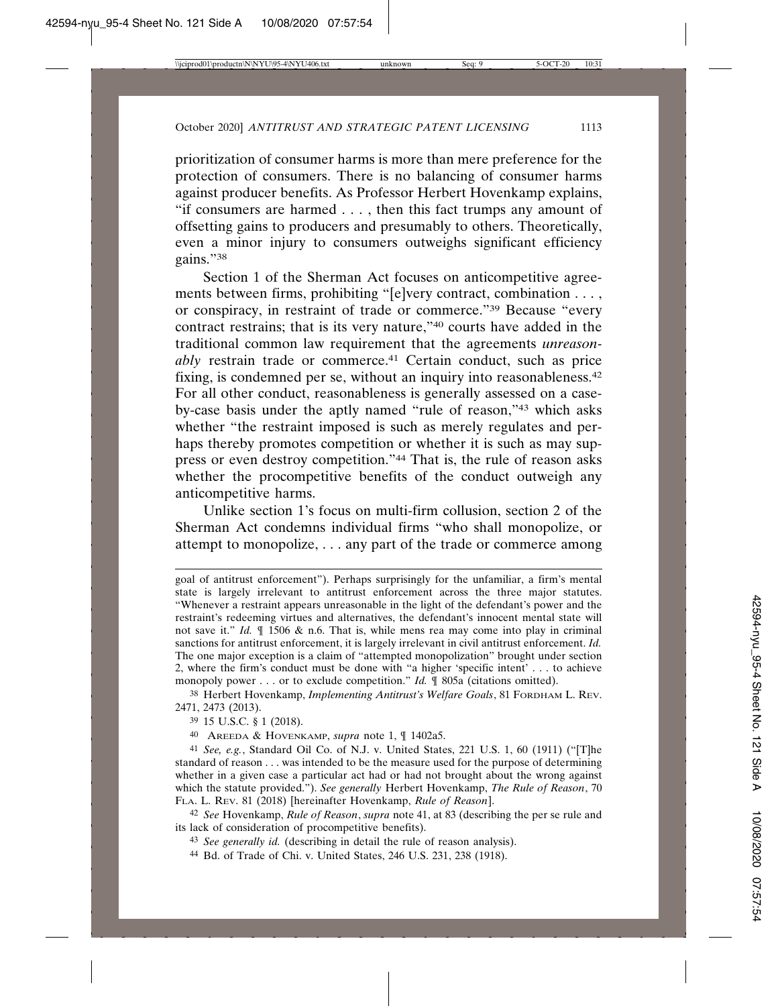prioritization of consumer harms is more than mere preference for the protection of consumers. There is no balancing of consumer harms against producer benefits. As Professor Herbert Hovenkamp explains, "if consumers are harmed . . . , then this fact trumps any amount of offsetting gains to producers and presumably to others. Theoretically, even a minor injury to consumers outweighs significant efficiency gains."38

Section 1 of the Sherman Act focuses on anticompetitive agreements between firms, prohibiting "[e]very contract, combination . . . , or conspiracy, in restraint of trade or commerce."39 Because "every contract restrains; that is its very nature,"40 courts have added in the traditional common law requirement that the agreements *unreasonably* restrain trade or commerce.<sup>41</sup> Certain conduct, such as price fixing, is condemned per se, without an inquiry into reasonableness.42 For all other conduct, reasonableness is generally assessed on a caseby-case basis under the aptly named "rule of reason,"43 which asks whether "the restraint imposed is such as merely regulates and perhaps thereby promotes competition or whether it is such as may suppress or even destroy competition."44 That is, the rule of reason asks whether the procompetitive benefits of the conduct outweigh any anticompetitive harms.

Unlike section 1's focus on multi-firm collusion, section 2 of the Sherman Act condemns individual firms "who shall monopolize, or attempt to monopolize, . . . any part of the trade or commerce among

goal of antitrust enforcement"). Perhaps surprisingly for the unfamiliar, a firm's mental state is largely irrelevant to antitrust enforcement across the three major statutes. "Whenever a restraint appears unreasonable in the light of the defendant's power and the restraint's redeeming virtues and alternatives, the defendant's innocent mental state will not save it." *Id.* ¶ 1506 & n.6. That is, while mens rea may come into play in criminal sanctions for antitrust enforcement, it is largely irrelevant in civil antitrust enforcement. *Id.* The one major exception is a claim of "attempted monopolization" brought under section 2, where the firm's conduct must be done with "a higher 'specific intent' . . . to achieve monopoly power . . . or to exclude competition." *Id.* ¶ 805a (citations omitted).

<sup>38</sup> Herbert Hovenkamp, *Implementing Antitrust's Welfare Goals*, 81 FORDHAM L. REV. 2471, 2473 (2013).

<sup>39</sup> 15 U.S.C. § 1 (2018).

<sup>40</sup> AREEDA & HOVENKAMP, *supra* note 1, ¶ 1402a5.

<sup>41</sup> *See, e.g.*, Standard Oil Co. of N.J. v. United States, 221 U.S. 1, 60 (1911) ("[T]he standard of reason . . . was intended to be the measure used for the purpose of determining whether in a given case a particular act had or had not brought about the wrong against which the statute provided."). *See generally* Herbert Hovenkamp, *The Rule of Reason*, 70 FLA. L. REV. 81 (2018) [hereinafter Hovenkamp, *Rule of Reason*].

<sup>42</sup> *See* Hovenkamp, *Rule of Reason*, *supra* note 41, at 83 (describing the per se rule and its lack of consideration of procompetitive benefits).

<sup>43</sup> *See generally id.* (describing in detail the rule of reason analysis).

<sup>44</sup> Bd. of Trade of Chi. v. United States, 246 U.S. 231, 238 (1918).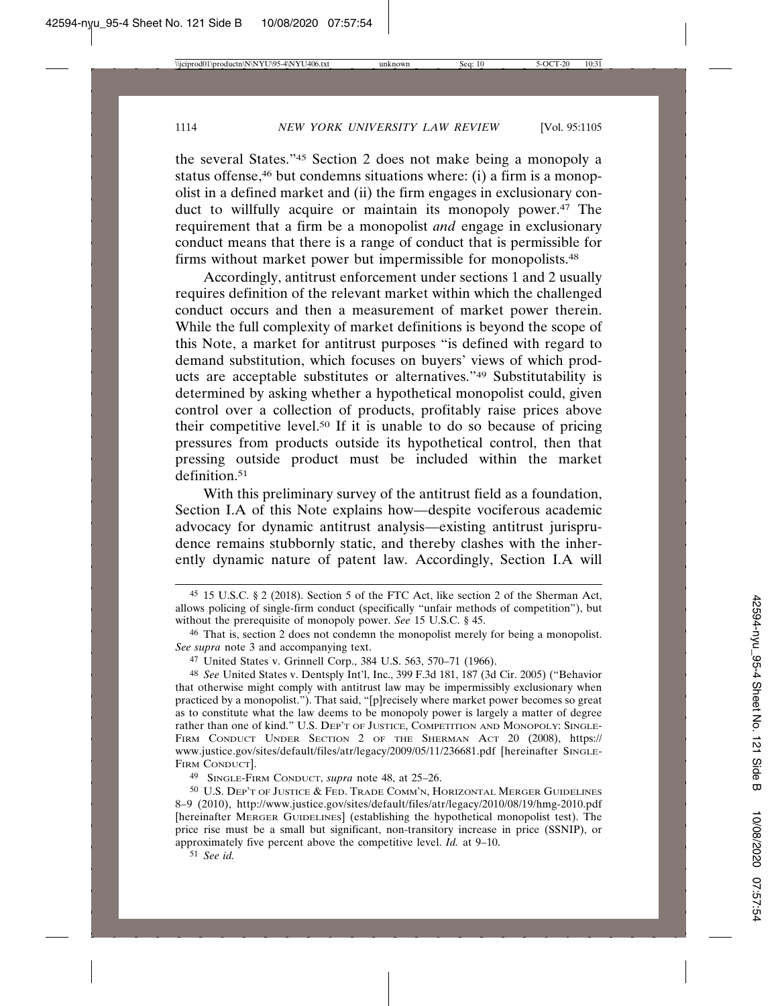the several States."45 Section 2 does not make being a monopoly a status offense,<sup>46</sup> but condemns situations where: (i) a firm is a monopolist in a defined market and (ii) the firm engages in exclusionary conduct to willfully acquire or maintain its monopoly power.<sup>47</sup> The requirement that a firm be a monopolist *and* engage in exclusionary conduct means that there is a range of conduct that is permissible for firms without market power but impermissible for monopolists.48

Accordingly, antitrust enforcement under sections 1 and 2 usually requires definition of the relevant market within which the challenged conduct occurs and then a measurement of market power therein. While the full complexity of market definitions is beyond the scope of this Note, a market for antitrust purposes "is defined with regard to demand substitution, which focuses on buyers' views of which products are acceptable substitutes or alternatives."49 Substitutability is determined by asking whether a hypothetical monopolist could, given control over a collection of products, profitably raise prices above their competitive level.50 If it is unable to do so because of pricing pressures from products outside its hypothetical control, then that pressing outside product must be included within the market definition.51

With this preliminary survey of the antitrust field as a foundation, Section I.A of this Note explains how—despite vociferous academic advocacy for dynamic antitrust analysis—existing antitrust jurisprudence remains stubbornly static, and thereby clashes with the inherently dynamic nature of patent law. Accordingly, Section I.A will

49 SINGLE-FIRM CONDUCT, *supra* note 48, at 25–26.

50 U.S. DEP'T OF JUSTICE & FED. TRADE COMM'N, HORIZONTAL MERGER GUIDELINES 8–9 (2010), http://www.justice.gov/sites/default/files/atr/legacy/2010/08/19/hmg-2010.pdf [hereinafter MERGER GUIDELINES] (establishing the hypothetical monopolist test). The price rise must be a small but significant, non-transitory increase in price (SSNIP), or approximately five percent above the competitive level. *Id.* at 9–10.

51 *See id.*

<sup>45</sup> 15 U.S.C. § 2 (2018). Section 5 of the FTC Act, like section 2 of the Sherman Act, allows policing of single-firm conduct (specifically "unfair methods of competition"), but without the prerequisite of monopoly power. *See* 15 U.S.C. § 45.

<sup>46</sup> That is, section 2 does not condemn the monopolist merely for being a monopolist. *See supra* note 3 and accompanying text.

<sup>47</sup> United States v. Grinnell Corp., 384 U.S. 563, 570–71 (1966).

<sup>48</sup> *See* United States v. Dentsply Int'l, Inc., 399 F.3d 181, 187 (3d Cir. 2005) ("Behavior that otherwise might comply with antitrust law may be impermissibly exclusionary when practiced by a monopolist."). That said, "[p]recisely where market power becomes so great as to constitute what the law deems to be monopoly power is largely a matter of degree rather than one of kind." U.S. DEP'T OF JUSTICE, COMPETITION AND MONOPOLY: SINGLE-FIRM CONDUCT UNDER SECTION 2 OF THE SHERMAN ACT 20 (2008), https:// www.justice.gov/sites/default/files/atr/legacy/2009/05/11/236681.pdf [hereinafter SINGLE-FIRM CONDUCT].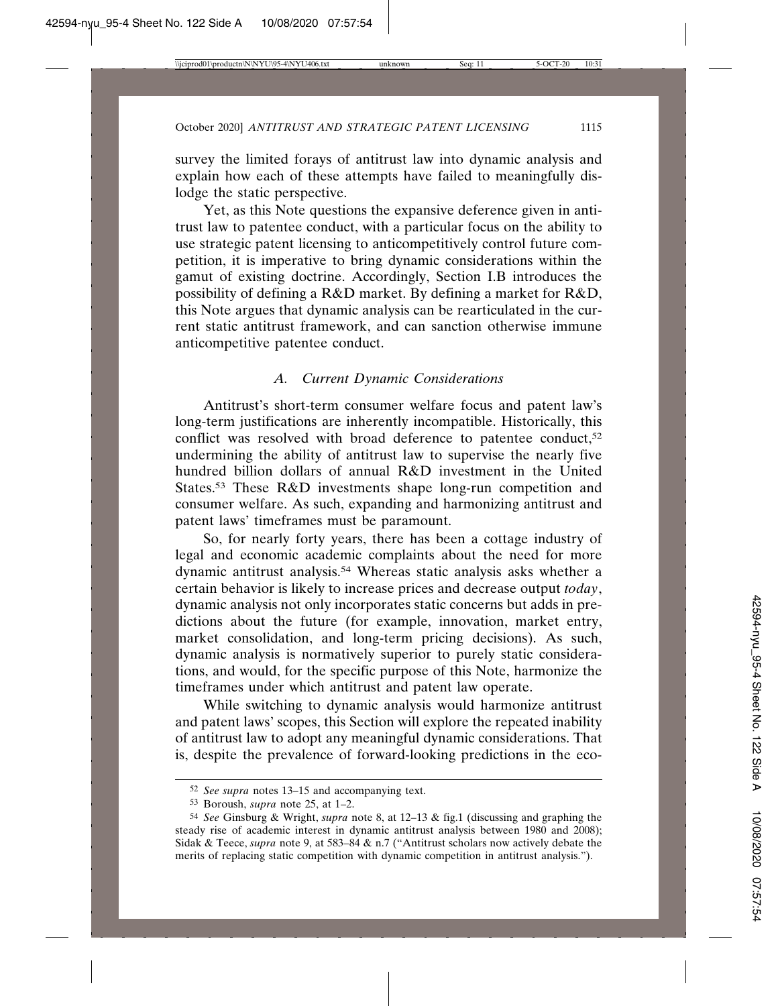survey the limited forays of antitrust law into dynamic analysis and explain how each of these attempts have failed to meaningfully dislodge the static perspective.

Yet, as this Note questions the expansive deference given in antitrust law to patentee conduct, with a particular focus on the ability to use strategic patent licensing to anticompetitively control future competition, it is imperative to bring dynamic considerations within the gamut of existing doctrine. Accordingly, Section I.B introduces the possibility of defining a R&D market. By defining a market for R&D, this Note argues that dynamic analysis can be rearticulated in the current static antitrust framework, and can sanction otherwise immune anticompetitive patentee conduct.

### *A. Current Dynamic Considerations*

Antitrust's short-term consumer welfare focus and patent law's long-term justifications are inherently incompatible. Historically, this conflict was resolved with broad deference to patentee conduct,<sup>52</sup> undermining the ability of antitrust law to supervise the nearly five hundred billion dollars of annual R&D investment in the United States.53 These R&D investments shape long-run competition and consumer welfare. As such, expanding and harmonizing antitrust and patent laws' timeframes must be paramount.

So, for nearly forty years, there has been a cottage industry of legal and economic academic complaints about the need for more dynamic antitrust analysis.54 Whereas static analysis asks whether a certain behavior is likely to increase prices and decrease output *today*, dynamic analysis not only incorporates static concerns but adds in predictions about the future (for example, innovation, market entry, market consolidation, and long-term pricing decisions). As such, dynamic analysis is normatively superior to purely static considerations, and would, for the specific purpose of this Note, harmonize the timeframes under which antitrust and patent law operate.

While switching to dynamic analysis would harmonize antitrust and patent laws' scopes, this Section will explore the repeated inability of antitrust law to adopt any meaningful dynamic considerations. That is, despite the prevalence of forward-looking predictions in the eco-

<sup>52</sup> *See supra* notes 13–15 and accompanying text.

<sup>53</sup> Boroush, *supra* note 25, at 1–2.

<sup>54</sup> *See* Ginsburg & Wright, *supra* note 8, at 12–13 & fig.1 (discussing and graphing the steady rise of academic interest in dynamic antitrust analysis between 1980 and 2008); Sidak & Teece, *supra* note 9, at 583–84 & n.7 ("Antitrust scholars now actively debate the merits of replacing static competition with dynamic competition in antitrust analysis.").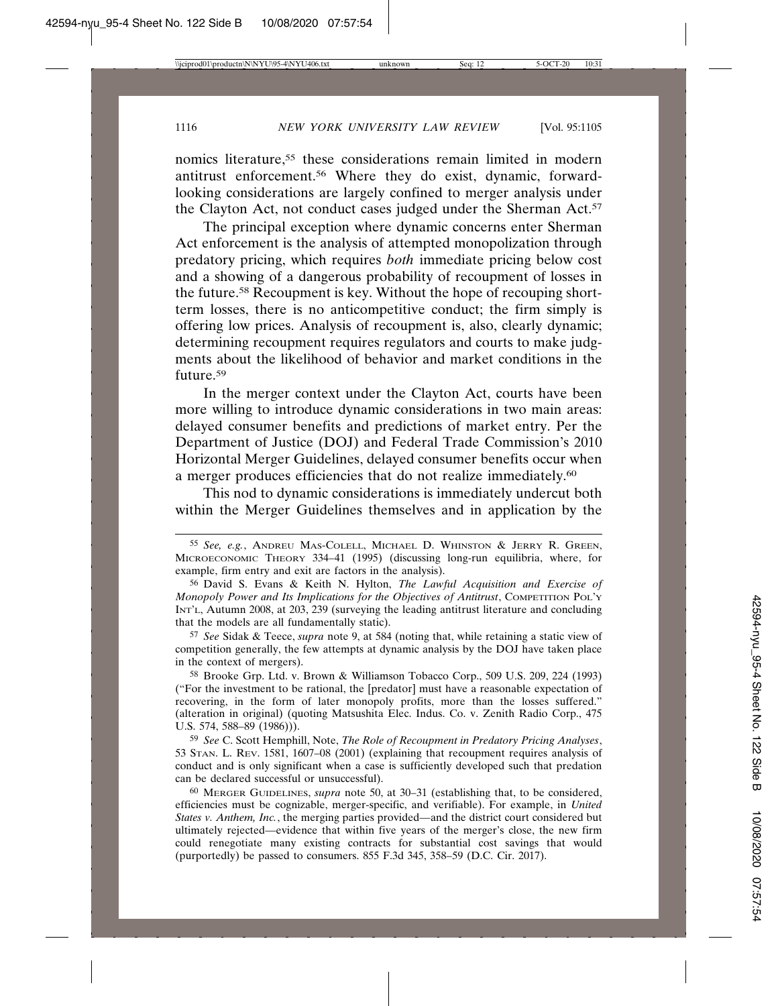nomics literature,55 these considerations remain limited in modern antitrust enforcement.56 Where they do exist, dynamic, forwardlooking considerations are largely confined to merger analysis under the Clayton Act, not conduct cases judged under the Sherman Act.<sup>57</sup>

The principal exception where dynamic concerns enter Sherman Act enforcement is the analysis of attempted monopolization through predatory pricing, which requires *both* immediate pricing below cost and a showing of a dangerous probability of recoupment of losses in the future.58 Recoupment is key. Without the hope of recouping shortterm losses, there is no anticompetitive conduct; the firm simply is offering low prices. Analysis of recoupment is, also, clearly dynamic; determining recoupment requires regulators and courts to make judgments about the likelihood of behavior and market conditions in the future.59

In the merger context under the Clayton Act, courts have been more willing to introduce dynamic considerations in two main areas: delayed consumer benefits and predictions of market entry. Per the Department of Justice (DOJ) and Federal Trade Commission's 2010 Horizontal Merger Guidelines, delayed consumer benefits occur when a merger produces efficiencies that do not realize immediately.60

This nod to dynamic considerations is immediately undercut both within the Merger Guidelines themselves and in application by the

57 *See* Sidak & Teece, *supra* note 9, at 584 (noting that, while retaining a static view of competition generally, the few attempts at dynamic analysis by the DOJ have taken place in the context of mergers).

58 Brooke Grp. Ltd. v. Brown & Williamson Tobacco Corp., 509 U.S. 209, 224 (1993) ("For the investment to be rational, the [predator] must have a reasonable expectation of recovering, in the form of later monopoly profits, more than the losses suffered." (alteration in original) (quoting Matsushita Elec. Indus. Co. v. Zenith Radio Corp., 475 U.S. 574, 588–89 (1986))).

59 *See* C. Scott Hemphill, Note, *The Role of Recoupment in Predatory Pricing Analyses*, 53 STAN. L. REV. 1581, 1607–08 (2001) (explaining that recoupment requires analysis of conduct and is only significant when a case is sufficiently developed such that predation can be declared successful or unsuccessful).

60 MERGER GUIDELINES, *supra* note 50, at 30–31 (establishing that, to be considered, efficiencies must be cognizable, merger-specific, and verifiable). For example, in *United States v. Anthem, Inc.*, the merging parties provided—and the district court considered but ultimately rejected—evidence that within five years of the merger's close, the new firm could renegotiate many existing contracts for substantial cost savings that would (purportedly) be passed to consumers. 855 F.3d 345, 358–59 (D.C. Cir. 2017).

<sup>55</sup> *See, e.g.*, ANDREU MAS-COLELL, MICHAEL D. WHINSTON & JERRY R. GREEN, MICROECONOMIC THEORY 334–41 (1995) (discussing long-run equilibria, where, for example, firm entry and exit are factors in the analysis).

<sup>56</sup> David S. Evans & Keith N. Hylton, *The Lawful Acquisition and Exercise of Monopoly Power and Its Implications for the Objectives of Antitrust*, COMPETITION POL'Y INT'L, Autumn 2008, at 203, 239 (surveying the leading antitrust literature and concluding that the models are all fundamentally static).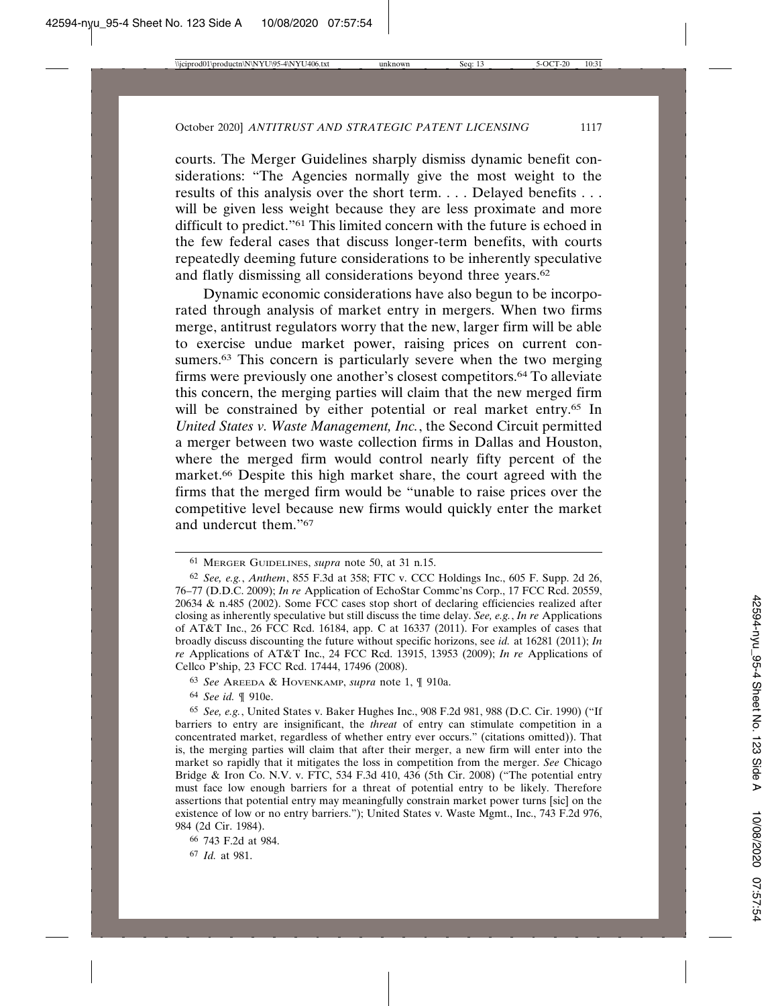courts. The Merger Guidelines sharply dismiss dynamic benefit considerations: "The Agencies normally give the most weight to the results of this analysis over the short term. . . . Delayed benefits . . . will be given less weight because they are less proximate and more difficult to predict."61 This limited concern with the future is echoed in the few federal cases that discuss longer-term benefits, with courts repeatedly deeming future considerations to be inherently speculative and flatly dismissing all considerations beyond three years.<sup>62</sup>

Dynamic economic considerations have also begun to be incorporated through analysis of market entry in mergers. When two firms merge, antitrust regulators worry that the new, larger firm will be able to exercise undue market power, raising prices on current consumers.<sup>63</sup> This concern is particularly severe when the two merging firms were previously one another's closest competitors.64 To alleviate this concern, the merging parties will claim that the new merged firm will be constrained by either potential or real market entry.<sup>65</sup> In *United States v. Waste Management, Inc.*, the Second Circuit permitted a merger between two waste collection firms in Dallas and Houston, where the merged firm would control nearly fifty percent of the market.66 Despite this high market share, the court agreed with the firms that the merged firm would be "unable to raise prices over the competitive level because new firms would quickly enter the market and undercut them."67

<sup>61</sup> MERGER GUIDELINES, *supra* note 50, at 31 n.15.

<sup>62</sup> *See, e.g.*, *Anthem*, 855 F.3d at 358; FTC v. CCC Holdings Inc., 605 F. Supp. 2d 26, 76–77 (D.D.C. 2009); *In re* Application of EchoStar Commc'ns Corp., 17 FCC Rcd. 20559, 20634 & n.485 (2002). Some FCC cases stop short of declaring efficiencies realized after closing as inherently speculative but still discuss the time delay. *See, e.g.*, *In re* Applications of AT&T Inc., 26 FCC Rcd. 16184, app. C at 16337 (2011). For examples of cases that broadly discuss discounting the future without specific horizons, see *id.* at 16281 (2011); *In re* Applications of AT&T Inc., 24 FCC Rcd. 13915, 13953 (2009); *In re* Applications of Cellco P'ship, 23 FCC Rcd. 17444, 17496 (2008).

<sup>63</sup> *See* AREEDA & HOVENKAMP, *supra* note 1, ¶ 910a.

<sup>64</sup> *See id.* ¶ 910e.

<sup>65</sup> *See, e.g.*, United States v. Baker Hughes Inc., 908 F.2d 981, 988 (D.C. Cir. 1990) ("If barriers to entry are insignificant, the *threat* of entry can stimulate competition in a concentrated market, regardless of whether entry ever occurs." (citations omitted)). That is, the merging parties will claim that after their merger, a new firm will enter into the market so rapidly that it mitigates the loss in competition from the merger. *See* Chicago Bridge & Iron Co. N.V. v. FTC, 534 F.3d 410, 436 (5th Cir. 2008) ("The potential entry must face low enough barriers for a threat of potential entry to be likely. Therefore assertions that potential entry may meaningfully constrain market power turns [sic] on the existence of low or no entry barriers."); United States v. Waste Mgmt., Inc., 743 F.2d 976, 984 (2d Cir. 1984).

<sup>66</sup> 743 F.2d at 984.

<sup>67</sup> *Id.* at 981.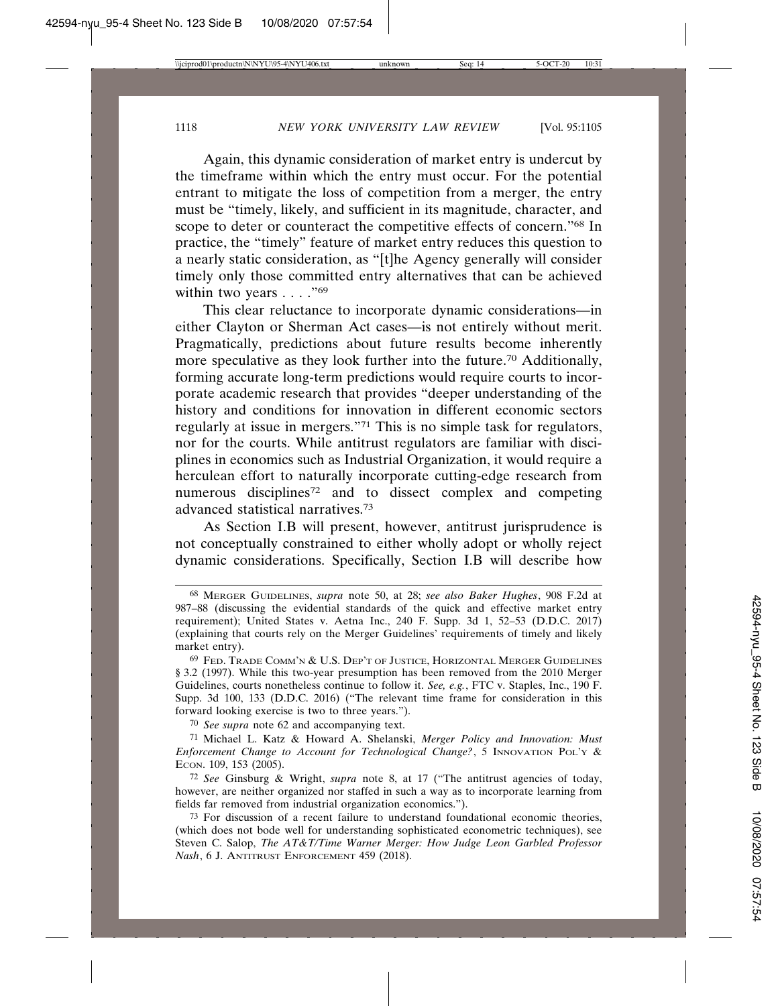Again, this dynamic consideration of market entry is undercut by the timeframe within which the entry must occur. For the potential entrant to mitigate the loss of competition from a merger, the entry must be "timely, likely, and sufficient in its magnitude, character, and scope to deter or counteract the competitive effects of concern."68 In practice, the "timely" feature of market entry reduces this question to a nearly static consideration, as "[t]he Agency generally will consider timely only those committed entry alternatives that can be achieved within two years  $\dots$ ."<sup>69</sup>

This clear reluctance to incorporate dynamic considerations—in either Clayton or Sherman Act cases—is not entirely without merit. Pragmatically, predictions about future results become inherently more speculative as they look further into the future.70 Additionally, forming accurate long-term predictions would require courts to incorporate academic research that provides "deeper understanding of the history and conditions for innovation in different economic sectors regularly at issue in mergers."71 This is no simple task for regulators, nor for the courts. While antitrust regulators are familiar with disciplines in economics such as Industrial Organization, it would require a herculean effort to naturally incorporate cutting-edge research from numerous disciplines<sup>72</sup> and to dissect complex and competing advanced statistical narratives.73

As Section I.B will present, however, antitrust jurisprudence is not conceptually constrained to either wholly adopt or wholly reject dynamic considerations. Specifically, Section I.B will describe how

70 *See supra* note 62 and accompanying text.

<sup>68</sup> MERGER GUIDELINES, *supra* note 50, at 28; *see also Baker Hughes*, 908 F.2d at 987–88 (discussing the evidential standards of the quick and effective market entry requirement); United States v. Aetna Inc., 240 F. Supp. 3d 1, 52–53 (D.D.C. 2017) (explaining that courts rely on the Merger Guidelines' requirements of timely and likely market entry).

<sup>69</sup> FED. TRADE COMM'N & U.S. DEP'T OF JUSTICE, HORIZONTAL MERGER GUIDELINES § 3.2 (1997). While this two-year presumption has been removed from the 2010 Merger Guidelines, courts nonetheless continue to follow it. *See, e.g.*, FTC v. Staples, Inc., 190 F. Supp. 3d 100, 133 (D.D.C. 2016) ("The relevant time frame for consideration in this forward looking exercise is two to three years.").

<sup>71</sup> Michael L. Katz & Howard A. Shelanski, *Merger Policy and Innovation: Must Enforcement Change to Account for Technological Change?*, 5 INNOVATION POL'Y & ECON. 109, 153 (2005).

<sup>72</sup> *See* Ginsburg & Wright, *supra* note 8, at 17 ("The antitrust agencies of today, however, are neither organized nor staffed in such a way as to incorporate learning from fields far removed from industrial organization economics.").

<sup>73</sup> For discussion of a recent failure to understand foundational economic theories, (which does not bode well for understanding sophisticated econometric techniques), see Steven C. Salop, *The AT&T/Time Warner Merger: How Judge Leon Garbled Professor Nash*, 6 J. ANTITRUST ENFORCEMENT 459 (2018).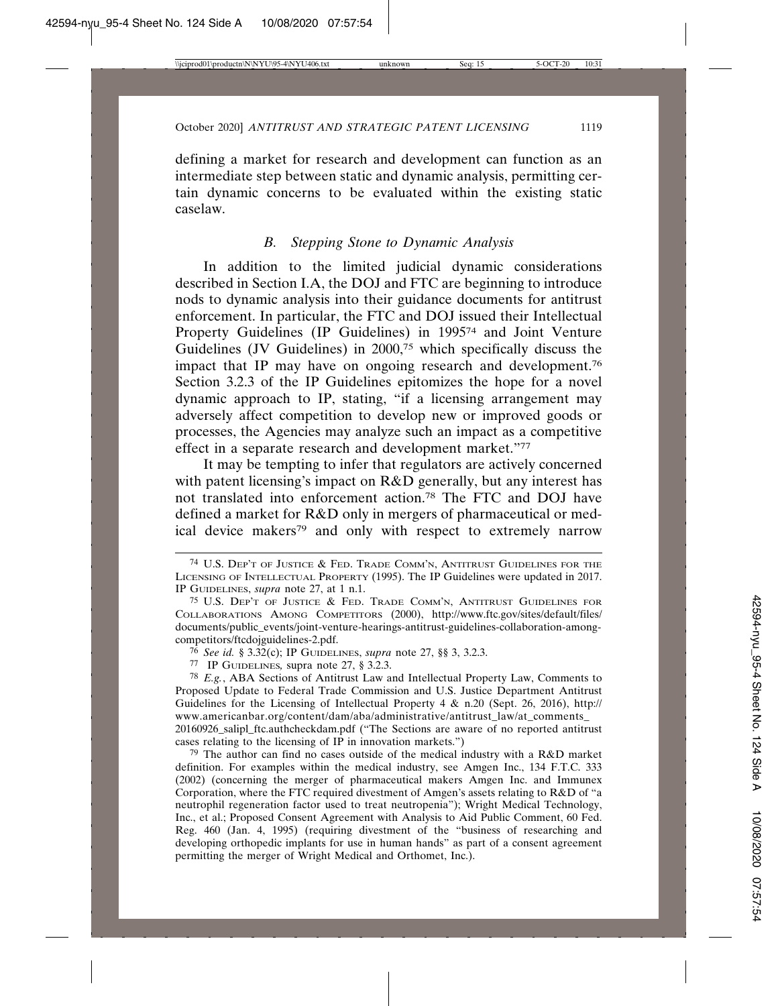defining a market for research and development can function as an intermediate step between static and dynamic analysis, permitting certain dynamic concerns to be evaluated within the existing static caselaw.

### *B. Stepping Stone to Dynamic Analysis*

In addition to the limited judicial dynamic considerations described in Section I.A, the DOJ and FTC are beginning to introduce nods to dynamic analysis into their guidance documents for antitrust enforcement. In particular, the FTC and DOJ issued their Intellectual Property Guidelines (IP Guidelines) in 199574 and Joint Venture Guidelines (JV Guidelines) in 2000,75 which specifically discuss the impact that IP may have on ongoing research and development.76 Section 3.2.3 of the IP Guidelines epitomizes the hope for a novel dynamic approach to IP, stating, "if a licensing arrangement may adversely affect competition to develop new or improved goods or processes, the Agencies may analyze such an impact as a competitive effect in a separate research and development market."77

It may be tempting to infer that regulators are actively concerned with patent licensing's impact on R&D generally, but any interest has not translated into enforcement action.78 The FTC and DOJ have defined a market for R&D only in mergers of pharmaceutical or medical device makers<sup>79</sup> and only with respect to extremely narrow

cases relating to the licensing of IP in innovation markets.")

<sup>74</sup> U.S. DEP'T OF JUSTICE & FED. TRADE COMM'N, ANTITRUST GUIDELINES FOR THE LICENSING OF INTELLECTUAL PROPERTY (1995). The IP Guidelines were updated in 2017. IP GUIDELINES, *supra* note 27, at 1 n.1.

<sup>75</sup> U.S. DEP'T OF JUSTICE & FED. TRADE COMM'N, ANTITRUST GUIDELINES FOR COLLABORATIONS AMONG COMPETITORS (2000), http://www.ftc.gov/sites/default/files/ documents/public\_events/joint-venture-hearings-antitrust-guidelines-collaboration-amongcompetitors/ftcdojguidelines-2.pdf.

<sup>76</sup> *See id.* § 3.32(c); IP GUIDELINES, *supra* note 27, §§ 3, 3.2.3.

<sup>77</sup> IP GUIDELINES*,* supra note 27, § 3.2.3.

<sup>78</sup> *E.g.*, ABA Sections of Antitrust Law and Intellectual Property Law, Comments to Proposed Update to Federal Trade Commission and U.S. Justice Department Antitrust Guidelines for the Licensing of Intellectual Property 4  $\&$  n.20 (Sept. 26, 2016), http:// www.americanbar.org/content/dam/aba/administrative/antitrust\_law/at\_comments\_ 20160926\_salipl\_ftc.authcheckdam.pdf ("The Sections are aware of no reported antitrust

<sup>79</sup> The author can find no cases outside of the medical industry with a R&D market definition. For examples within the medical industry, see Amgen Inc., 134 F.T.C. 333 (2002) (concerning the merger of pharmaceutical makers Amgen Inc. and Immunex Corporation, where the FTC required divestment of Amgen's assets relating to R&D of "a neutrophil regeneration factor used to treat neutropenia"); Wright Medical Technology, Inc., et al.; Proposed Consent Agreement with Analysis to Aid Public Comment, 60 Fed. Reg. 460 (Jan. 4, 1995) (requiring divestment of the "business of researching and developing orthopedic implants for use in human hands" as part of a consent agreement permitting the merger of Wright Medical and Orthomet, Inc.).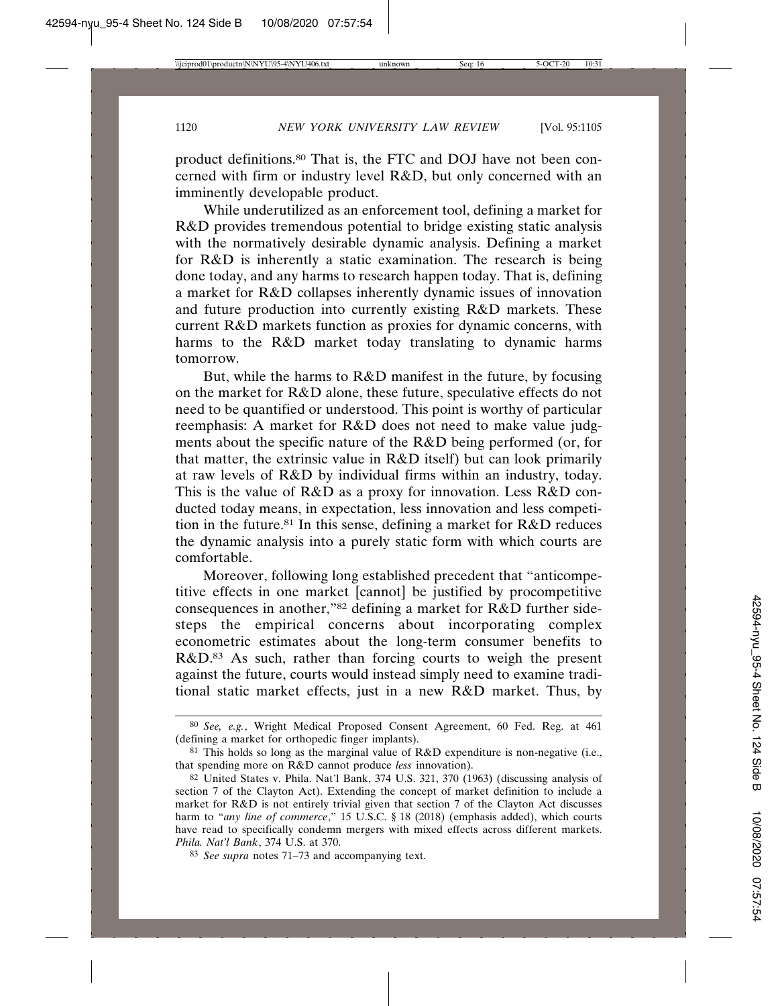product definitions.80 That is, the FTC and DOJ have not been concerned with firm or industry level R&D, but only concerned with an imminently developable product.

While underutilized as an enforcement tool, defining a market for R&D provides tremendous potential to bridge existing static analysis with the normatively desirable dynamic analysis. Defining a market for R&D is inherently a static examination. The research is being done today, and any harms to research happen today. That is, defining a market for R&D collapses inherently dynamic issues of innovation and future production into currently existing R&D markets. These current R&D markets function as proxies for dynamic concerns, with harms to the R&D market today translating to dynamic harms tomorrow.

But, while the harms to R&D manifest in the future, by focusing on the market for R&D alone, these future, speculative effects do not need to be quantified or understood. This point is worthy of particular reemphasis: A market for R&D does not need to make value judgments about the specific nature of the R&D being performed (or, for that matter, the extrinsic value in R&D itself) but can look primarily at raw levels of R&D by individual firms within an industry, today. This is the value of R&D as a proxy for innovation. Less R&D conducted today means, in expectation, less innovation and less competition in the future.<sup>81</sup> In this sense, defining a market for  $R&D$  reduces the dynamic analysis into a purely static form with which courts are comfortable.

Moreover, following long established precedent that "anticompetitive effects in one market [cannot] be justified by procompetitive consequences in another,"82 defining a market for R&D further sidesteps the empirical concerns about incorporating complex econometric estimates about the long-term consumer benefits to R&D.<sup>83</sup> As such, rather than forcing courts to weigh the present against the future, courts would instead simply need to examine traditional static market effects, just in a new R&D market. Thus, by

<sup>80</sup> *See, e.g.*, Wright Medical Proposed Consent Agreement, 60 Fed. Reg. at 461 (defining a market for orthopedic finger implants).

 $81$  This holds so long as the marginal value of R&D expenditure is non-negative (i.e., that spending more on R&D cannot produce *less* innovation).

<sup>82</sup> United States v. Phila. Nat'l Bank, 374 U.S. 321, 370 (1963) (discussing analysis of section 7 of the Clayton Act). Extending the concept of market definition to include a market for R&D is not entirely trivial given that section 7 of the Clayton Act discusses harm to "*any line of commerce*," 15 U.S.C. § 18 (2018) (emphasis added), which courts have read to specifically condemn mergers with mixed effects across different markets. *Phila. Nat'l Bank*, 374 U.S. at 370.

<sup>83</sup> *See supra* notes 71–73 and accompanying text.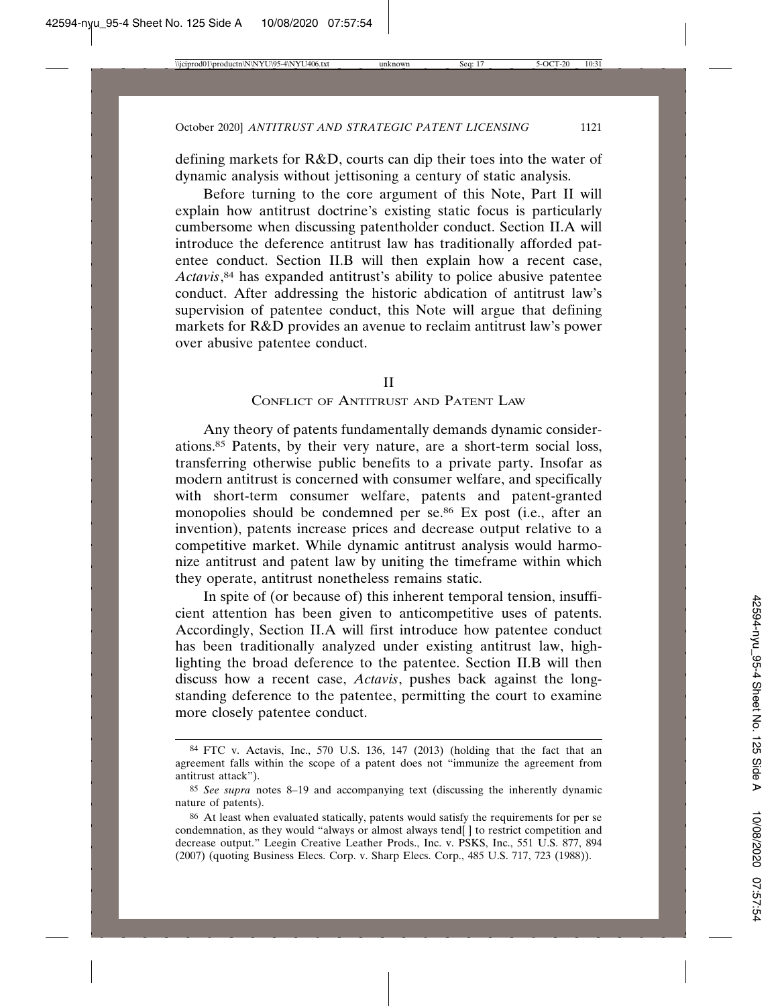defining markets for R&D, courts can dip their toes into the water of dynamic analysis without jettisoning a century of static analysis.

Before turning to the core argument of this Note, Part II will explain how antitrust doctrine's existing static focus is particularly cumbersome when discussing patentholder conduct. Section II.A will introduce the deference antitrust law has traditionally afforded patentee conduct. Section II.B will then explain how a recent case, *Actavis*, 84 has expanded antitrust's ability to police abusive patentee conduct. After addressing the historic abdication of antitrust law's supervision of patentee conduct, this Note will argue that defining markets for R&D provides an avenue to reclaim antitrust law's power over abusive patentee conduct.

# II

### CONFLICT OF ANTITRUST AND PATENT LAW

Any theory of patents fundamentally demands dynamic considerations.85 Patents, by their very nature, are a short-term social loss, transferring otherwise public benefits to a private party. Insofar as modern antitrust is concerned with consumer welfare, and specifically with short-term consumer welfare, patents and patent-granted monopolies should be condemned per se.<sup>86</sup> Ex post (i.e., after an invention), patents increase prices and decrease output relative to a competitive market. While dynamic antitrust analysis would harmonize antitrust and patent law by uniting the timeframe within which they operate, antitrust nonetheless remains static.

In spite of (or because of) this inherent temporal tension, insufficient attention has been given to anticompetitive uses of patents. Accordingly, Section II.A will first introduce how patentee conduct has been traditionally analyzed under existing antitrust law, highlighting the broad deference to the patentee. Section II.B will then discuss how a recent case, *Actavis*, pushes back against the longstanding deference to the patentee, permitting the court to examine more closely patentee conduct.

<sup>84</sup> FTC v. Actavis, Inc., 570 U.S. 136, 147 (2013) (holding that the fact that an agreement falls within the scope of a patent does not "immunize the agreement from antitrust attack").

<sup>85</sup> *See supra* notes 8–19 and accompanying text (discussing the inherently dynamic nature of patents).

<sup>86</sup> At least when evaluated statically, patents would satisfy the requirements for per se condemnation, as they would "always or almost always tend[ ] to restrict competition and decrease output." Leegin Creative Leather Prods., Inc. v. PSKS, Inc., 551 U.S. 877, 894 (2007) (quoting Business Elecs. Corp. v. Sharp Elecs. Corp., 485 U.S. 717, 723 (1988)).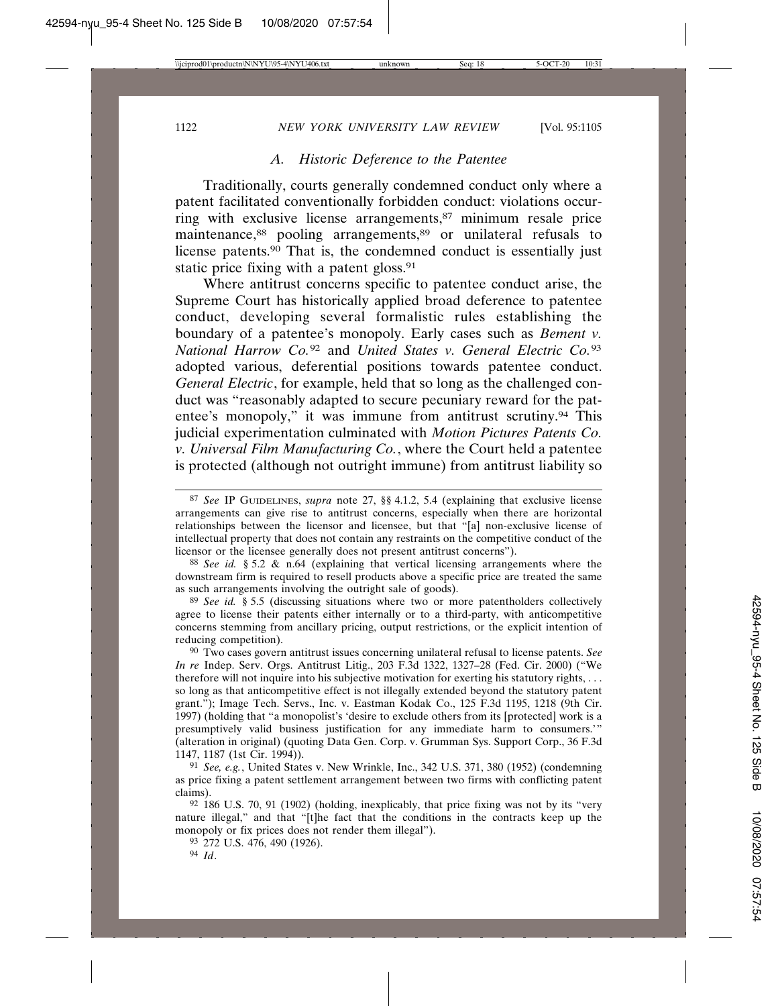### *A. Historic Deference to the Patentee*

Traditionally, courts generally condemned conduct only where a patent facilitated conventionally forbidden conduct: violations occurring with exclusive license arrangements,87 minimum resale price maintenance,88 pooling arrangements,89 or unilateral refusals to license patents.90 That is, the condemned conduct is essentially just static price fixing with a patent gloss.<sup>91</sup>

Where antitrust concerns specific to patentee conduct arise, the Supreme Court has historically applied broad deference to patentee conduct, developing several formalistic rules establishing the boundary of a patentee's monopoly. Early cases such as *Bement v. National Harrow Co.*92 and *United States v. General Electric Co.*<sup>93</sup> adopted various, deferential positions towards patentee conduct. *General Electric*, for example, held that so long as the challenged conduct was "reasonably adapted to secure pecuniary reward for the patentee's monopoly," it was immune from antitrust scrutiny.94 This judicial experimentation culminated with *Motion Pictures Patents Co. v. Universal Film Manufacturing Co.*, where the Court held a patentee is protected (although not outright immune) from antitrust liability so

94 *Id*.

<sup>87</sup> *See* IP GUIDELINES, *supra* note 27, §§ 4.1.2, 5.4 (explaining that exclusive license arrangements can give rise to antitrust concerns, especially when there are horizontal relationships between the licensor and licensee, but that "[a] non-exclusive license of intellectual property that does not contain any restraints on the competitive conduct of the licensor or the licensee generally does not present antitrust concerns").

<sup>88</sup> *See id.* § 5.2 & n.64 (explaining that vertical licensing arrangements where the downstream firm is required to resell products above a specific price are treated the same as such arrangements involving the outright sale of goods).

<sup>89</sup> *See id.* § 5.5 (discussing situations where two or more patentholders collectively agree to license their patents either internally or to a third-party, with anticompetitive concerns stemming from ancillary pricing, output restrictions, or the explicit intention of reducing competition).

<sup>90</sup> Two cases govern antitrust issues concerning unilateral refusal to license patents. *See In re* Indep. Serv. Orgs. Antitrust Litig., 203 F.3d 1322, 1327–28 (Fed. Cir. 2000) ("We therefore will not inquire into his subjective motivation for exerting his statutory rights, . . . so long as that anticompetitive effect is not illegally extended beyond the statutory patent grant."); Image Tech. Servs., Inc. v. Eastman Kodak Co., 125 F.3d 1195, 1218 (9th Cir. 1997) (holding that "a monopolist's 'desire to exclude others from its [protected] work is a presumptively valid business justification for any immediate harm to consumers.'" (alteration in original) (quoting Data Gen. Corp. v. Grumman Sys. Support Corp., 36 F.3d 1147, 1187 (1st Cir. 1994)).

<sup>91</sup> *See, e.g.*, United States v. New Wrinkle, Inc., 342 U.S. 371, 380 (1952) (condemning as price fixing a patent settlement arrangement between two firms with conflicting patent claims).

<sup>92</sup> 186 U.S. 70, 91 (1902) (holding, inexplicably, that price fixing was not by its "very nature illegal," and that "[t]he fact that the conditions in the contracts keep up the monopoly or fix prices does not render them illegal").

<sup>93</sup> 272 U.S. 476, 490 (1926).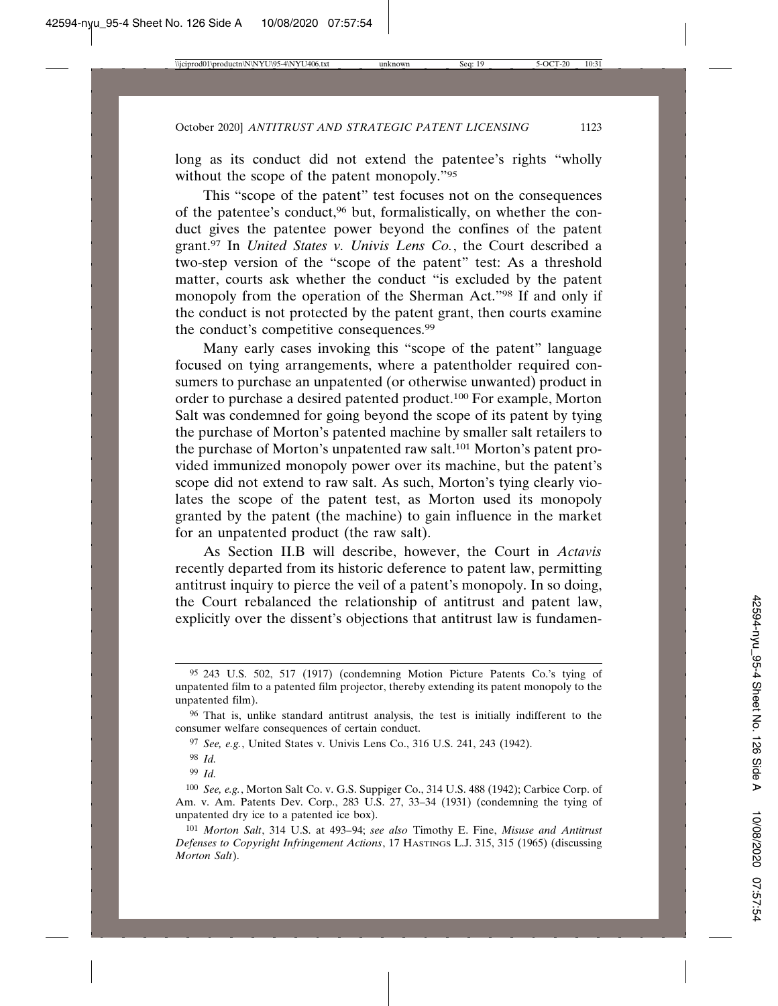long as its conduct did not extend the patentee's rights "wholly without the scope of the patent monopoly."95

This "scope of the patent" test focuses not on the consequences of the patentee's conduct,96 but, formalistically, on whether the conduct gives the patentee power beyond the confines of the patent grant.97 In *United States v. Univis Lens Co.*, the Court described a two-step version of the "scope of the patent" test: As a threshold matter, courts ask whether the conduct "is excluded by the patent monopoly from the operation of the Sherman Act."98 If and only if the conduct is not protected by the patent grant, then courts examine the conduct's competitive consequences.99

Many early cases invoking this "scope of the patent" language focused on tying arrangements, where a patentholder required consumers to purchase an unpatented (or otherwise unwanted) product in order to purchase a desired patented product.100 For example, Morton Salt was condemned for going beyond the scope of its patent by tying the purchase of Morton's patented machine by smaller salt retailers to the purchase of Morton's unpatented raw salt.<sup>101</sup> Morton's patent provided immunized monopoly power over its machine, but the patent's scope did not extend to raw salt. As such, Morton's tying clearly violates the scope of the patent test, as Morton used its monopoly granted by the patent (the machine) to gain influence in the market for an unpatented product (the raw salt).

As Section II.B will describe, however, the Court in *Actavis* recently departed from its historic deference to patent law, permitting antitrust inquiry to pierce the veil of a patent's monopoly. In so doing, the Court rebalanced the relationship of antitrust and patent law, explicitly over the dissent's objections that antitrust law is fundamen-

<sup>95</sup> 243 U.S. 502, 517 (1917) (condemning Motion Picture Patents Co.'s tying of unpatented film to a patented film projector, thereby extending its patent monopoly to the unpatented film).

<sup>96</sup> That is, unlike standard antitrust analysis, the test is initially indifferent to the consumer welfare consequences of certain conduct.

<sup>97</sup> *See, e.g.*, United States v. Univis Lens Co., 316 U.S. 241, 243 (1942).

<sup>98</sup> *Id.*

<sup>99</sup> *Id.*

<sup>100</sup> *See, e.g.*, Morton Salt Co. v. G.S. Suppiger Co., 314 U.S. 488 (1942); Carbice Corp. of Am. v. Am. Patents Dev. Corp., 283 U.S. 27, 33–34 (1931) (condemning the tying of unpatented dry ice to a patented ice box).

<sup>101</sup> *Morton Salt*, 314 U.S. at 493–94; *see also* Timothy E. Fine, *Misuse and Antitrust Defenses to Copyright Infringement Actions*, 17 HASTINGS L.J. 315, 315 (1965) (discussing *Morton Salt*).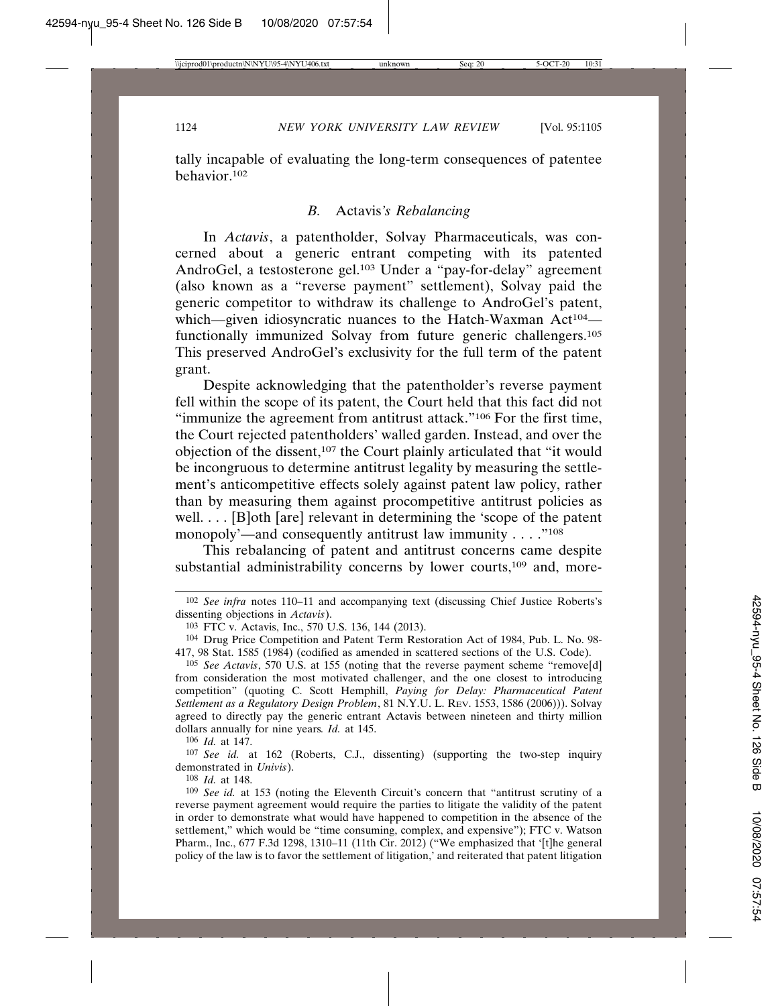tally incapable of evaluating the long-term consequences of patentee behavior.102

#### *B.* Actavis*'s Rebalancing*

In *Actavis*, a patentholder, Solvay Pharmaceuticals, was concerned about a generic entrant competing with its patented AndroGel, a testosterone gel.103 Under a "pay-for-delay" agreement (also known as a "reverse payment" settlement), Solvay paid the generic competitor to withdraw its challenge to AndroGel's patent, which—given idiosyncratic nuances to the Hatch-Waxman Act<sup>104</sup> functionally immunized Solvay from future generic challengers.105 This preserved AndroGel's exclusivity for the full term of the patent grant.

Despite acknowledging that the patentholder's reverse payment fell within the scope of its patent, the Court held that this fact did not "immunize the agreement from antitrust attack."106 For the first time, the Court rejected patentholders' walled garden. Instead, and over the objection of the dissent,<sup>107</sup> the Court plainly articulated that "it would be incongruous to determine antitrust legality by measuring the settlement's anticompetitive effects solely against patent law policy, rather than by measuring them against procompetitive antitrust policies as well. . . . [B]oth [are] relevant in determining the 'scope of the patent monopoly'—and consequently antitrust law immunity . . . . "<sup>108</sup>

This rebalancing of patent and antitrust concerns came despite substantial administrability concerns by lower courts,<sup>109</sup> and, more-

106 *Id.* at 147.

107 *See id.* at 162 (Roberts, C.J., dissenting) (supporting the two-step inquiry demonstrated in *Univis*).

108 *Id.* at 148.

<sup>102</sup> *See infra* notes 110–11 and accompanying text (discussing Chief Justice Roberts's dissenting objections in *Actavis*).

<sup>103</sup> FTC v. Actavis, Inc., 570 U.S. 136, 144 (2013).

<sup>104</sup> Drug Price Competition and Patent Term Restoration Act of 1984, Pub. L. No. 98- 417, 98 Stat. 1585 (1984) (codified as amended in scattered sections of the U.S. Code).

<sup>105</sup> *See Actavis*, 570 U.S. at 155 (noting that the reverse payment scheme "remove[d] from consideration the most motivated challenger, and the one closest to introducing competition" (quoting C. Scott Hemphill, *Paying for Delay: Pharmaceutical Patent Settlement as a Regulatory Design Problem*, 81 N.Y.U. L. REV. 1553, 1586 (2006))). Solvay agreed to directly pay the generic entrant Actavis between nineteen and thirty million dollars annually for nine years*. Id.* at 145.

<sup>109</sup> *See id.* at 153 (noting the Eleventh Circuit's concern that "antitrust scrutiny of a reverse payment agreement would require the parties to litigate the validity of the patent in order to demonstrate what would have happened to competition in the absence of the settlement," which would be "time consuming, complex, and expensive"); FTC v. Watson Pharm., Inc., 677 F.3d 1298, 1310–11 (11th Cir. 2012) ("We emphasized that '[t]he general policy of the law is to favor the settlement of litigation,' and reiterated that patent litigation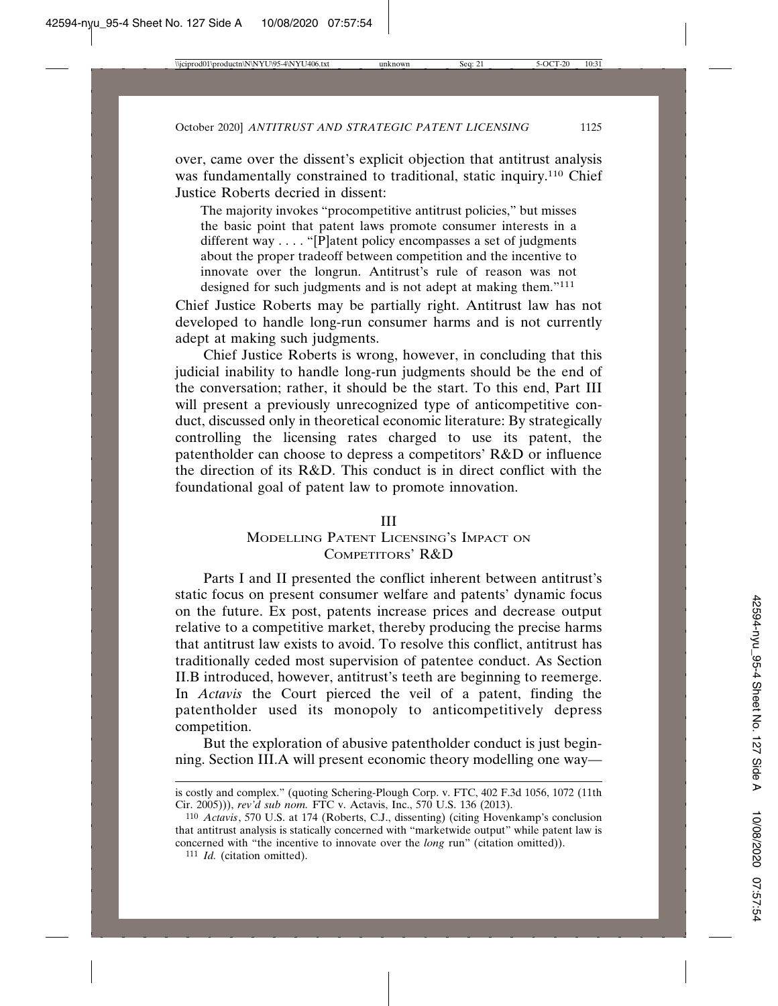over, came over the dissent's explicit objection that antitrust analysis was fundamentally constrained to traditional, static inquiry.<sup>110</sup> Chief Justice Roberts decried in dissent:

The majority invokes "procompetitive antitrust policies," but misses the basic point that patent laws promote consumer interests in a different way  $\dots$  "[P]atent policy encompasses a set of judgments about the proper tradeoff between competition and the incentive to innovate over the longrun. Antitrust's rule of reason was not designed for such judgments and is not adept at making them."111

Chief Justice Roberts may be partially right. Antitrust law has not developed to handle long-run consumer harms and is not currently adept at making such judgments.

Chief Justice Roberts is wrong, however, in concluding that this judicial inability to handle long-run judgments should be the end of the conversation; rather, it should be the start. To this end, Part III will present a previously unrecognized type of anticompetitive conduct, discussed only in theoretical economic literature: By strategically controlling the licensing rates charged to use its patent, the patentholder can choose to depress a competitors' R&D or influence the direction of its R&D. This conduct is in direct conflict with the foundational goal of patent law to promote innovation.

### III

# MODELLING PATENT LICENSING'S IMPACT ON COMPETITORS' R&D

Parts I and II presented the conflict inherent between antitrust's static focus on present consumer welfare and patents' dynamic focus on the future. Ex post, patents increase prices and decrease output relative to a competitive market, thereby producing the precise harms that antitrust law exists to avoid. To resolve this conflict, antitrust has traditionally ceded most supervision of patentee conduct. As Section II.B introduced, however, antitrust's teeth are beginning to reemerge. In *Actavis* the Court pierced the veil of a patent, finding the patentholder used its monopoly to anticompetitively depress competition.

But the exploration of abusive patentholder conduct is just beginning. Section III.A will present economic theory modelling one way—

is costly and complex." (quoting Schering-Plough Corp. v. FTC, 402 F.3d 1056, 1072 (11th Cir. 2005))), *rev'd sub nom.* FTC v. Actavis, Inc., 570 U.S. 136 (2013).

<sup>110</sup> *Actavis*, 570 U.S. at 174 (Roberts, C.J., dissenting) (citing Hovenkamp's conclusion that antitrust analysis is statically concerned with "marketwide output" while patent law is concerned with "the incentive to innovate over the *long* run" (citation omitted)).

<sup>111</sup> *Id.* (citation omitted).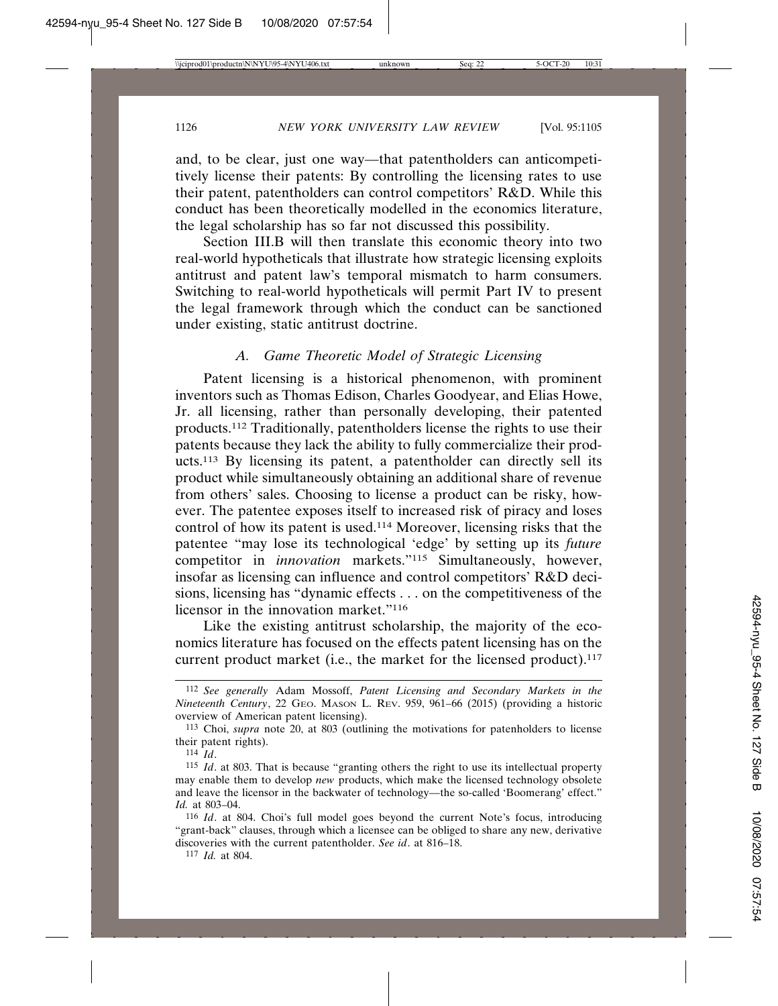and, to be clear, just one way—that patentholders can anticompetitively license their patents: By controlling the licensing rates to use their patent, patentholders can control competitors' R&D. While this conduct has been theoretically modelled in the economics literature, the legal scholarship has so far not discussed this possibility.

Section III.B will then translate this economic theory into two real-world hypotheticals that illustrate how strategic licensing exploits antitrust and patent law's temporal mismatch to harm consumers. Switching to real-world hypotheticals will permit Part IV to present the legal framework through which the conduct can be sanctioned under existing, static antitrust doctrine.

### *A. Game Theoretic Model of Strategic Licensing*

Patent licensing is a historical phenomenon, with prominent inventors such as Thomas Edison, Charles Goodyear, and Elias Howe, Jr. all licensing, rather than personally developing, their patented products.112 Traditionally, patentholders license the rights to use their patents because they lack the ability to fully commercialize their products.113 By licensing its patent, a patentholder can directly sell its product while simultaneously obtaining an additional share of revenue from others' sales. Choosing to license a product can be risky, however. The patentee exposes itself to increased risk of piracy and loses control of how its patent is used.114 Moreover, licensing risks that the patentee "may lose its technological 'edge' by setting up its *future* competitor in *innovation* markets."115 Simultaneously, however, insofar as licensing can influence and control competitors' R&D decisions, licensing has "dynamic effects . . . on the competitiveness of the licensor in the innovation market."116

Like the existing antitrust scholarship, the majority of the economics literature has focused on the effects patent licensing has on the current product market (i.e., the market for the licensed product).<sup>117</sup>

<sup>112</sup> *See generally* Adam Mossoff, *Patent Licensing and Secondary Markets in the Nineteenth Century*, 22 GEO. MASON L. REV. 959, 961–66 (2015) (providing a historic overview of American patent licensing).

<sup>113</sup> Choi, *supra* note 20, at 803 (outlining the motivations for patenholders to license their patent rights).

<sup>114</sup>  $\overline{Id}$ 

<sup>115</sup> *Id*. at 803. That is because "granting others the right to use its intellectual property may enable them to develop *new* products, which make the licensed technology obsolete and leave the licensor in the backwater of technology—the so-called 'Boomerang' effect." *Id.* at 803–04.

<sup>116</sup> *Id*. at 804. Choi's full model goes beyond the current Note's focus, introducing "grant-back" clauses, through which a licensee can be obliged to share any new, derivative discoveries with the current patentholder. *See id*. at 816–18.

<sup>117</sup> *Id.* at 804.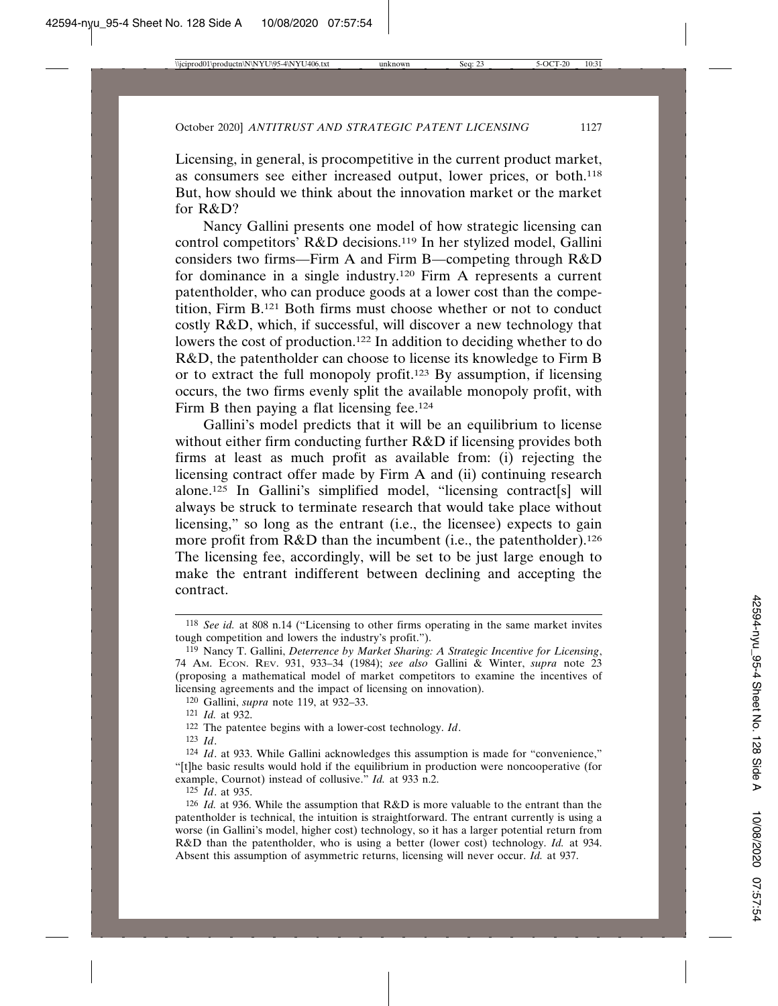Licensing, in general, is procompetitive in the current product market, as consumers see either increased output, lower prices, or both.118 But, how should we think about the innovation market or the market for R&D?

Nancy Gallini presents one model of how strategic licensing can control competitors' R&D decisions.119 In her stylized model, Gallini considers two firms—Firm A and Firm B—competing through R&D for dominance in a single industry.120 Firm A represents a current patentholder, who can produce goods at a lower cost than the competition, Firm B.121 Both firms must choose whether or not to conduct costly R&D, which, if successful, will discover a new technology that lowers the cost of production.<sup>122</sup> In addition to deciding whether to do R&D, the patentholder can choose to license its knowledge to Firm B or to extract the full monopoly profit.123 By assumption, if licensing occurs, the two firms evenly split the available monopoly profit, with Firm B then paying a flat licensing fee.<sup>124</sup>

Gallini's model predicts that it will be an equilibrium to license without either firm conducting further R&D if licensing provides both firms at least as much profit as available from: (i) rejecting the licensing contract offer made by Firm A and (ii) continuing research alone.125 In Gallini's simplified model, "licensing contract[s] will always be struck to terminate research that would take place without licensing," so long as the entrant (i.e., the licensee) expects to gain more profit from R&D than the incumbent (i.e., the patentholder).126 The licensing fee, accordingly, will be set to be just large enough to make the entrant indifferent between declining and accepting the contract.

125 *Id*. at 935.

<sup>118</sup> *See id.* at 808 n.14 ("Licensing to other firms operating in the same market invites tough competition and lowers the industry's profit.").

<sup>119</sup> Nancy T. Gallini, *Deterrence by Market Sharing: A Strategic Incentive for Licensing*, 74 AM. ECON. REV. 931, 933–34 (1984); *see also* Gallini & Winter, *supra* note 23 (proposing a mathematical model of market competitors to examine the incentives of licensing agreements and the impact of licensing on innovation).

<sup>120</sup> Gallini, *supra* note 119, at 932–33.

<sup>121</sup> *Id.* at 932.

<sup>122</sup> The patentee begins with a lower-cost technology. *Id*.

<sup>123</sup> *Id*.

<sup>124</sup> *Id*. at 933. While Gallini acknowledges this assumption is made for "convenience," "[t]he basic results would hold if the equilibrium in production were noncooperative (for example, Cournot) instead of collusive." *Id.* at 933 n.2.

<sup>126</sup> *Id.* at 936. While the assumption that R&D is more valuable to the entrant than the patentholder is technical, the intuition is straightforward. The entrant currently is using a worse (in Gallini's model, higher cost) technology, so it has a larger potential return from R&D than the patentholder, who is using a better (lower cost) technology. *Id.* at 934. Absent this assumption of asymmetric returns, licensing will never occur. *Id.* at 937.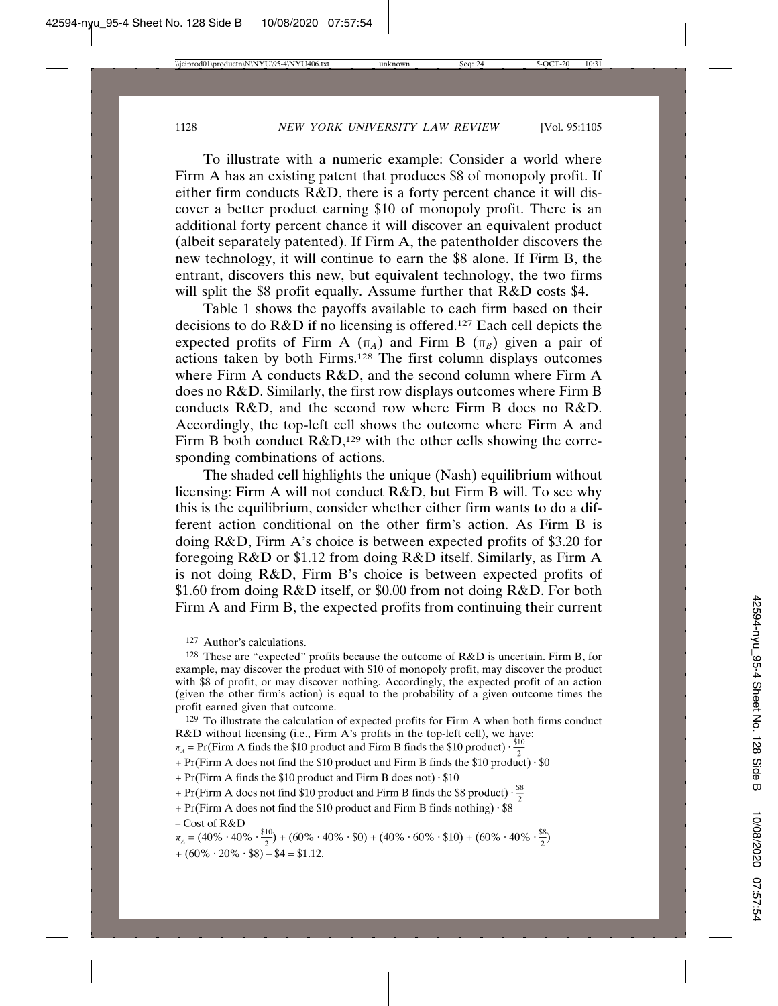To illustrate with a numeric example: Consider a world where Firm A has an existing patent that produces \$8 of monopoly profit. If either firm conducts R&D, there is a forty percent chance it will discover a better product earning \$10 of monopoly profit. There is an additional forty percent chance it will discover an equivalent product (albeit separately patented). If Firm A, the patentholder discovers the new technology, it will continue to earn the \$8 alone. If Firm B, the entrant, discovers this new, but equivalent technology, the two firms will split the \$8 profit equally. Assume further that R&D costs \$4.

Table 1 shows the payoffs available to each firm based on their decisions to do R&D if no licensing is offered.127 Each cell depicts the expected profits of Firm A  $(\pi_A)$  and Firm B  $(\pi_B)$  given a pair of actions taken by both Firms.128 The first column displays outcomes where Firm A conducts R&D, and the second column where Firm A does no R&D. Similarly, the first row displays outcomes where Firm B conducts R&D, and the second row where Firm B does no R&D. Accordingly, the top-left cell shows the outcome where Firm A and Firm B both conduct  $R&D<sub>129</sub>$  with the other cells showing the corresponding combinations of actions.

The shaded cell highlights the unique (Nash) equilibrium without licensing: Firm A will not conduct R&D, but Firm B will. To see why this is the equilibrium, consider whether either firm wants to do a different action conditional on the other firm's action. As Firm B is doing R&D, Firm A's choice is between expected profits of \$3.20 for foregoing R&D or \$1.12 from doing R&D itself. Similarly, as Firm A is not doing R&D, Firm B's choice is between expected profits of \$1.60 from doing R&D itself, or \$0.00 from not doing R&D. For both Firm A and Firm B, the expected profits from continuing their current

- + Pr(Firm A does not find the \$10 product and Firm B finds the \$10 product)  $\cdot$  \$0
- + Pr(Firm A finds the \$10 product and Firm B does not)  $\cdot$  \$10
- + Pr(Firm A does not find \$10 product and Firm B finds the \$8 product)  $\cdot \frac{88}{2}$
- + Pr(Firm A does not find the \$10 product and Firm B finds nothing)  $\cdot$  \$8

<sup>127</sup> Author's calculations.

<sup>128</sup> These are "expected" profits because the outcome of R&D is uncertain. Firm B, for example, may discover the product with \$10 of monopoly profit, may discover the product with \$8 of profit, or may discover nothing. Accordingly, the expected profit of an action (given the other firm's action) is equal to the probability of a given outcome times the profit earned given that outcome.

<sup>129</sup> To illustrate the calculation of expected profits for Firm A when both firms conduct R&D without licensing (i.e., Firm A's profits in the top-left cell), we have:<br> $\pi_A = Pr(Firm A finds the $10 product and Firm B finds the $10 product) \cdot \frac{$10}{2}$ 

 $-Cost$  of  $R&D$ 

 $\pi_{A} = (40\% \cdot 40\% \cdot \frac{$10}{2}) + (60\% \cdot 40\% \cdot $0) + (40\% \cdot 60\% \cdot $10) + (60\% \cdot 40\% \cdot \frac{$8}{2})$  $+ (60\% \cdot 20\% \cdot \$8) - \$4 = \$1.12.$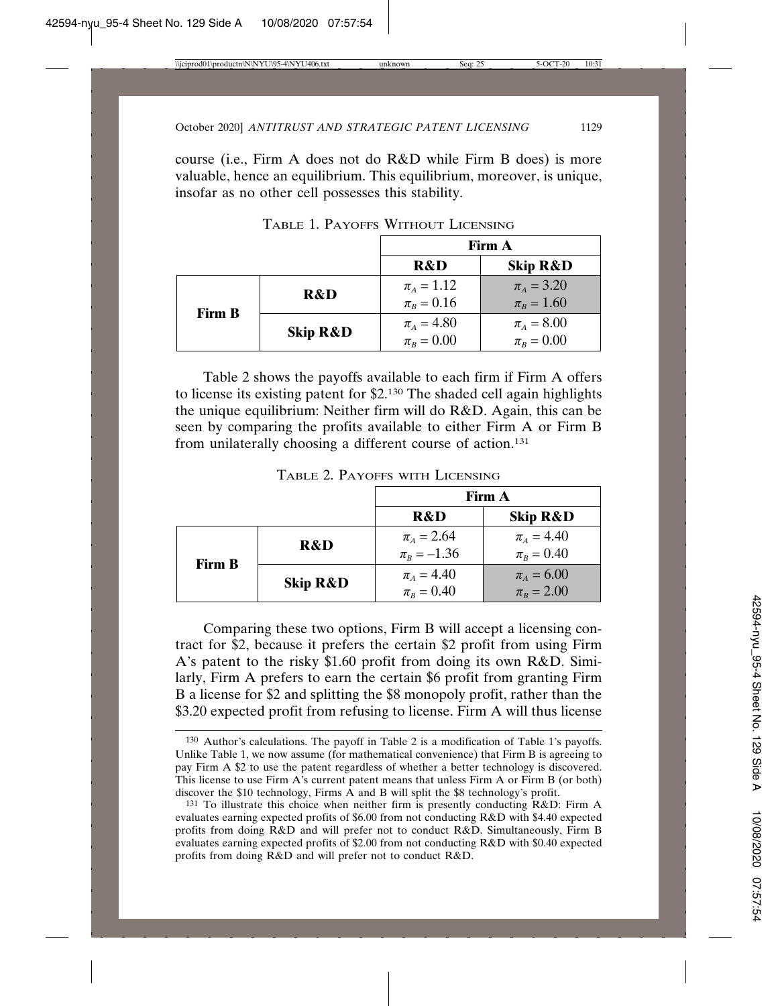course (i.e., Firm A does not do R&D while Firm B does) is more valuable, hence an equilibrium. This equilibrium, moreover, is unique, insofar as no other cell possesses this stability.

|               |                     | Firm A           |                     |
|---------------|---------------------|------------------|---------------------|
|               |                     | <b>R&amp;D</b>   | <b>Skip R&amp;D</b> |
|               | <b>R&amp;D</b>      | $\pi_{A} = 1.12$ | $\pi_{A} = 3.20$    |
| <b>Firm B</b> |                     | $\pi_B = 0.16$   | $\pi_B = 1.60$      |
|               | <b>Skip R&amp;D</b> | $\pi_A = 4.80$   | $\pi_A = 8.00$      |
|               |                     | $\pi_B = 0.00$   | $\pi_B = 0.00$      |

TABLE 1. PAYOFFS WITHOUT LICENSING

Table 2 shows the payoffs available to each firm if Firm A offers to license its existing patent for \$2.130 The shaded cell again highlights the unique equilibrium: Neither firm will do R&D. Again, this can be seen by comparing the profits available to either Firm A or Firm B from unilaterally choosing a different course of action.131

|               |                     | Firm A           |                     |  |  |  |  |
|---------------|---------------------|------------------|---------------------|--|--|--|--|
|               |                     | R&D              | <b>Skip R&amp;D</b> |  |  |  |  |
|               | <b>R&amp;D</b>      | $\pi_{A} = 2.64$ | $\pi_{A} = 4.40$    |  |  |  |  |
| <b>Firm B</b> |                     | $\pi_B = -1.36$  | $\pi_{B} = 0.40$    |  |  |  |  |
|               |                     | $\pi_A = 4.40$   | $\pi_A = 6.00$      |  |  |  |  |
|               | <b>Skip R&amp;D</b> | $\pi_{B} = 0.40$ | $\pi_B = 2.00$      |  |  |  |  |

TABLE 2. PAYOFFS WITH LICENSING

Comparing these two options, Firm B will accept a licensing contract for \$2, because it prefers the certain \$2 profit from using Firm A's patent to the risky \$1.60 profit from doing its own R&D. Similarly, Firm A prefers to earn the certain \$6 profit from granting Firm B a license for \$2 and splitting the \$8 monopoly profit, rather than the \$3.20 expected profit from refusing to license. Firm A will thus license

<sup>130</sup> Author's calculations. The payoff in Table 2 is a modification of Table 1's payoffs. Unlike Table 1, we now assume (for mathematical convenience) that Firm B is agreeing to pay Firm A \$2 to use the patent regardless of whether a better technology is discovered. This license to use Firm A's current patent means that unless Firm A or Firm B (or both) discover the \$10 technology, Firms A and B will split the \$8 technology's profit.

<sup>131</sup> To illustrate this choice when neither firm is presently conducting R&D: Firm A evaluates earning expected profits of \$6.00 from not conducting R&D with \$4.40 expected profits from doing R&D and will prefer not to conduct R&D. Simultaneously, Firm B evaluates earning expected profits of \$2.00 from not conducting R&D with \$0.40 expected profits from doing R&D and will prefer not to conduct R&D.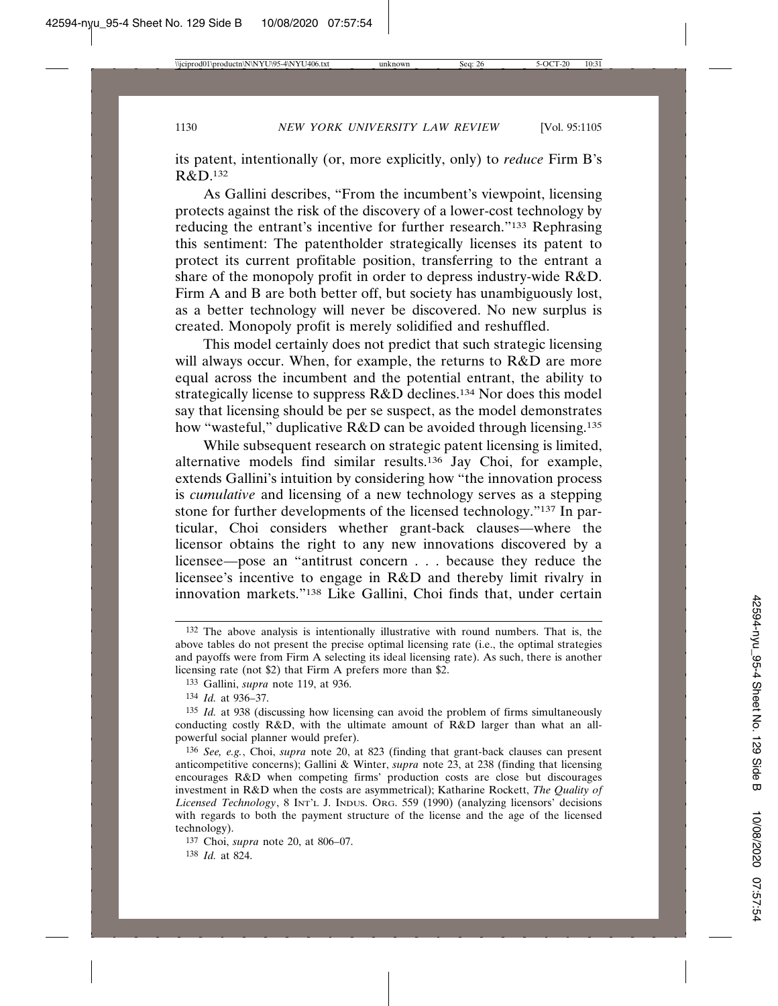its patent, intentionally (or, more explicitly, only) to *reduce* Firm B's R&D.132

As Gallini describes, "From the incumbent's viewpoint, licensing protects against the risk of the discovery of a lower-cost technology by reducing the entrant's incentive for further research."133 Rephrasing this sentiment: The patentholder strategically licenses its patent to protect its current profitable position, transferring to the entrant a share of the monopoly profit in order to depress industry-wide R&D. Firm A and B are both better off, but society has unambiguously lost, as a better technology will never be discovered. No new surplus is created. Monopoly profit is merely solidified and reshuffled.

This model certainly does not predict that such strategic licensing will always occur. When, for example, the returns to R&D are more equal across the incumbent and the potential entrant, the ability to strategically license to suppress R&D declines.134 Nor does this model say that licensing should be per se suspect, as the model demonstrates how "wasteful," duplicative R&D can be avoided through licensing.<sup>135</sup>

While subsequent research on strategic patent licensing is limited, alternative models find similar results.136 Jay Choi, for example, extends Gallini's intuition by considering how "the innovation process is *cumulative* and licensing of a new technology serves as a stepping stone for further developments of the licensed technology."137 In particular, Choi considers whether grant-back clauses—where the licensor obtains the right to any new innovations discovered by a licensee—pose an "antitrust concern . . . because they reduce the licensee's incentive to engage in R&D and thereby limit rivalry in innovation markets."138 Like Gallini, Choi finds that, under certain

<sup>132</sup> The above analysis is intentionally illustrative with round numbers. That is, the above tables do not present the precise optimal licensing rate (i.e., the optimal strategies and payoffs were from Firm A selecting its ideal licensing rate). As such, there is another licensing rate (not \$2) that Firm A prefers more than \$2.

<sup>133</sup> Gallini, *supra* note 119, at 936.

<sup>134</sup> *Id.* at 936–37.

<sup>135</sup> *Id.* at 938 (discussing how licensing can avoid the problem of firms simultaneously conducting costly R&D, with the ultimate amount of R&D larger than what an allpowerful social planner would prefer).

<sup>136</sup> *See, e.g.*, Choi, *supra* note 20, at 823 (finding that grant-back clauses can present anticompetitive concerns); Gallini & Winter, *supra* note 23, at 238 (finding that licensing encourages R&D when competing firms' production costs are close but discourages investment in R&D when the costs are asymmetrical); Katharine Rockett, *The Quality of Licensed Technology*, 8 INT'L J. INDUS. ORG. 559 (1990) (analyzing licensors' decisions with regards to both the payment structure of the license and the age of the licensed technology).

<sup>137</sup> Choi, *supra* note 20, at 806–07.

<sup>138</sup> *Id.* at 824.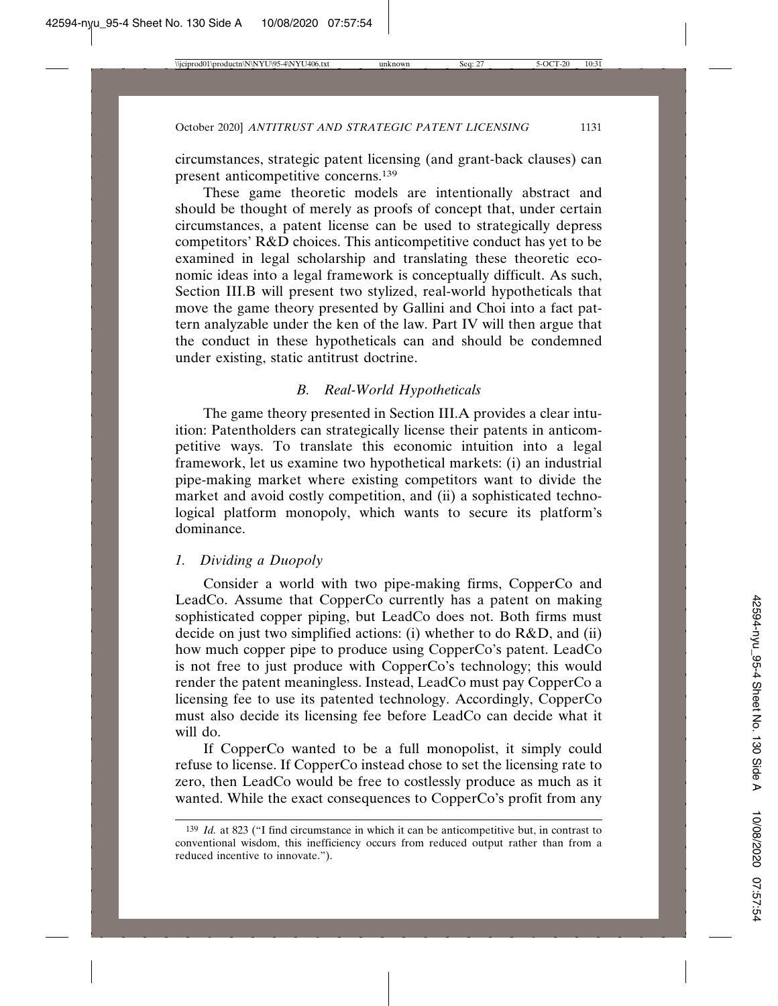circumstances, strategic patent licensing (and grant-back clauses) can present anticompetitive concerns.139

These game theoretic models are intentionally abstract and should be thought of merely as proofs of concept that, under certain circumstances, a patent license can be used to strategically depress competitors' R&D choices. This anticompetitive conduct has yet to be examined in legal scholarship and translating these theoretic economic ideas into a legal framework is conceptually difficult. As such, Section III.B will present two stylized, real-world hypotheticals that move the game theory presented by Gallini and Choi into a fact pattern analyzable under the ken of the law. Part IV will then argue that the conduct in these hypotheticals can and should be condemned under existing, static antitrust doctrine.

### *B. Real-World Hypotheticals*

The game theory presented in Section III.A provides a clear intuition: Patentholders can strategically license their patents in anticompetitive ways. To translate this economic intuition into a legal framework, let us examine two hypothetical markets: (i) an industrial pipe-making market where existing competitors want to divide the market and avoid costly competition, and (ii) a sophisticated technological platform monopoly, which wants to secure its platform's dominance.

### *1. Dividing a Duopoly*

Consider a world with two pipe-making firms, CopperCo and LeadCo. Assume that CopperCo currently has a patent on making sophisticated copper piping, but LeadCo does not. Both firms must decide on just two simplified actions: (i) whether to do R&D, and (ii) how much copper pipe to produce using CopperCo's patent. LeadCo is not free to just produce with CopperCo's technology; this would render the patent meaningless. Instead, LeadCo must pay CopperCo a licensing fee to use its patented technology. Accordingly, CopperCo must also decide its licensing fee before LeadCo can decide what it will do.

If CopperCo wanted to be a full monopolist, it simply could refuse to license. If CopperCo instead chose to set the licensing rate to zero, then LeadCo would be free to costlessly produce as much as it wanted. While the exact consequences to CopperCo's profit from any

<sup>139</sup> *Id.* at 823 ("I find circumstance in which it can be anticompetitive but, in contrast to conventional wisdom, this inefficiency occurs from reduced output rather than from a reduced incentive to innovate.").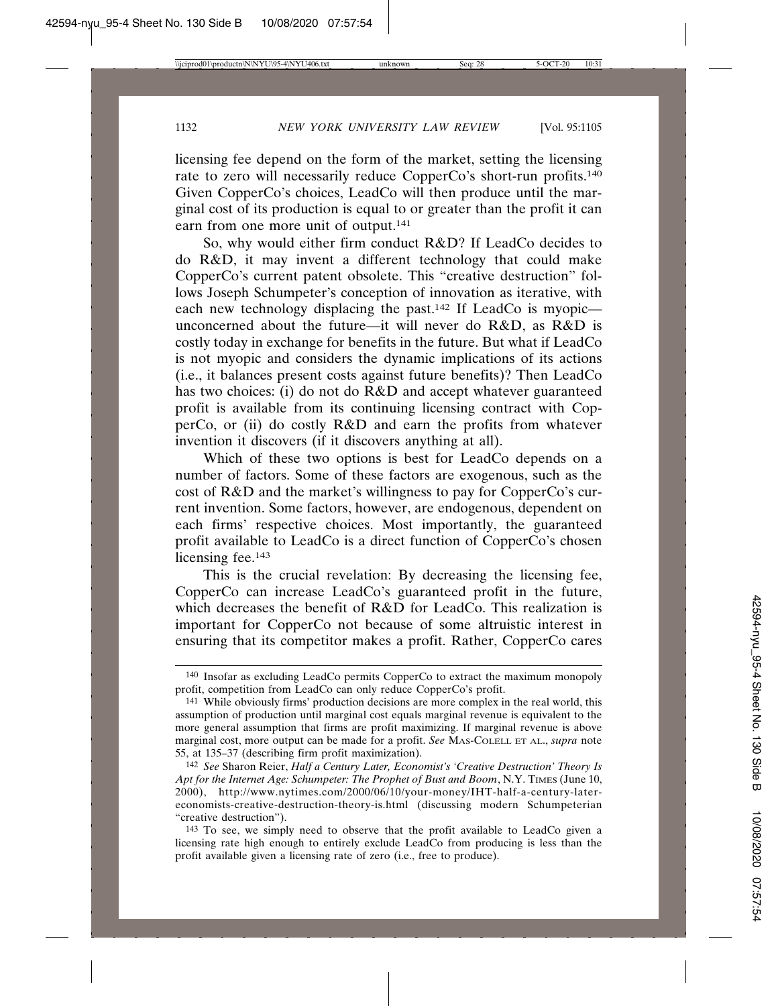licensing fee depend on the form of the market, setting the licensing rate to zero will necessarily reduce CopperCo's short-run profits.140 Given CopperCo's choices, LeadCo will then produce until the marginal cost of its production is equal to or greater than the profit it can earn from one more unit of output.<sup>141</sup>

So, why would either firm conduct R&D? If LeadCo decides to do R&D, it may invent a different technology that could make CopperCo's current patent obsolete. This "creative destruction" follows Joseph Schumpeter's conception of innovation as iterative, with each new technology displacing the past.142 If LeadCo is myopic unconcerned about the future—it will never do R&D, as R&D is costly today in exchange for benefits in the future. But what if LeadCo is not myopic and considers the dynamic implications of its actions (i.e., it balances present costs against future benefits)? Then LeadCo has two choices: (i) do not do R&D and accept whatever guaranteed profit is available from its continuing licensing contract with CopperCo, or (ii) do costly R&D and earn the profits from whatever invention it discovers (if it discovers anything at all).

Which of these two options is best for LeadCo depends on a number of factors. Some of these factors are exogenous, such as the cost of R&D and the market's willingness to pay for CopperCo's current invention. Some factors, however, are endogenous, dependent on each firms' respective choices. Most importantly, the guaranteed profit available to LeadCo is a direct function of CopperCo's chosen licensing fee.<sup>143</sup>

This is the crucial revelation: By decreasing the licensing fee, CopperCo can increase LeadCo's guaranteed profit in the future, which decreases the benefit of R&D for LeadCo. This realization is important for CopperCo not because of some altruistic interest in ensuring that its competitor makes a profit. Rather, CopperCo cares

<sup>140</sup> Insofar as excluding LeadCo permits CopperCo to extract the maximum monopoly profit, competition from LeadCo can only reduce CopperCo's profit.

<sup>141</sup> While obviously firms' production decisions are more complex in the real world, this assumption of production until marginal cost equals marginal revenue is equivalent to the more general assumption that firms are profit maximizing. If marginal revenue is above marginal cost, more output can be made for a profit. *See* MAS-COLELL ET AL., *supra* note 55, at 135–37 (describing firm profit maximization).

<sup>142</sup> *See* Sharon Reier, *Half a Century Later, Economist's 'Creative Destruction' Theory Is Apt for the Internet Age: Schumpeter: The Prophet of Bust and Boom*, N.Y. TIMES (June 10, 2000), http://www.nytimes.com/2000/06/10/your-money/IHT-half-a-century-latereconomists-creative-destruction-theory-is.html (discussing modern Schumpeterian "creative destruction").

<sup>143</sup> To see, we simply need to observe that the profit available to LeadCo given a licensing rate high enough to entirely exclude LeadCo from producing is less than the profit available given a licensing rate of zero (i.e., free to produce).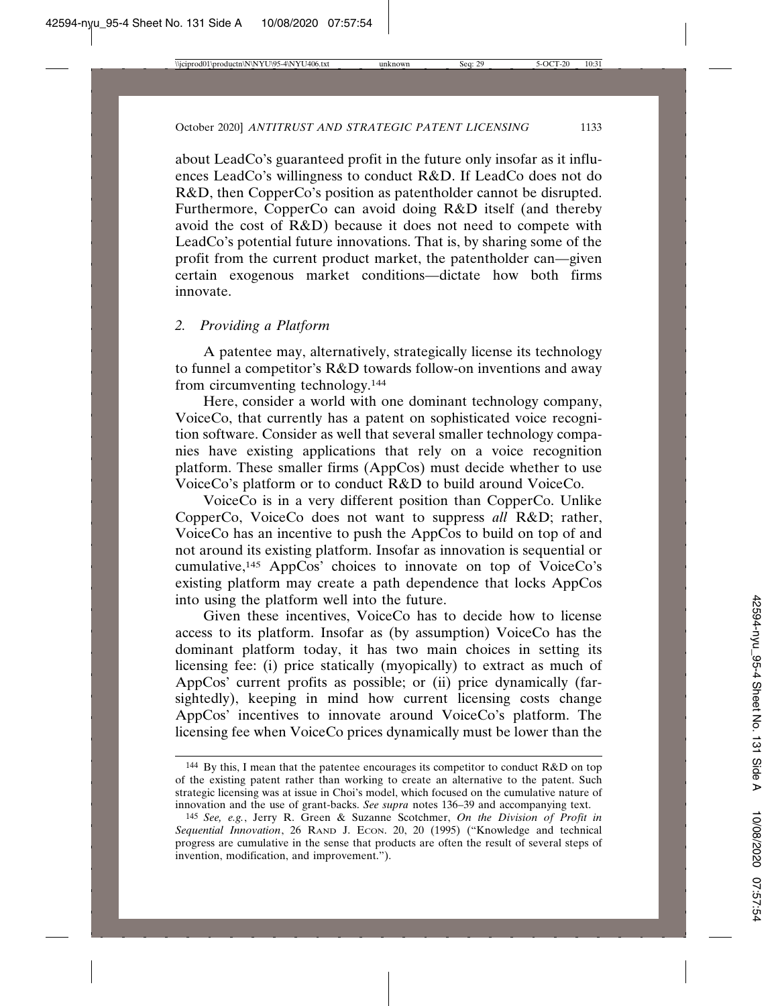about LeadCo's guaranteed profit in the future only insofar as it influences LeadCo's willingness to conduct R&D. If LeadCo does not do R&D, then CopperCo's position as patentholder cannot be disrupted. Furthermore, CopperCo can avoid doing R&D itself (and thereby avoid the cost of R&D) because it does not need to compete with LeadCo's potential future innovations. That is, by sharing some of the profit from the current product market, the patentholder can—given certain exogenous market conditions—dictate how both firms innovate.

### *2. Providing a Platform*

A patentee may, alternatively, strategically license its technology to funnel a competitor's R&D towards follow-on inventions and away from circumventing technology.144

Here, consider a world with one dominant technology company, VoiceCo, that currently has a patent on sophisticated voice recognition software. Consider as well that several smaller technology companies have existing applications that rely on a voice recognition platform. These smaller firms (AppCos) must decide whether to use VoiceCo's platform or to conduct R&D to build around VoiceCo.

VoiceCo is in a very different position than CopperCo. Unlike CopperCo, VoiceCo does not want to suppress *all* R&D; rather, VoiceCo has an incentive to push the AppCos to build on top of and not around its existing platform. Insofar as innovation is sequential or cumulative,145 AppCos' choices to innovate on top of VoiceCo's existing platform may create a path dependence that locks AppCos into using the platform well into the future.

Given these incentives, VoiceCo has to decide how to license access to its platform. Insofar as (by assumption) VoiceCo has the dominant platform today, it has two main choices in setting its licensing fee: (i) price statically (myopically) to extract as much of AppCos' current profits as possible; or (ii) price dynamically (farsightedly), keeping in mind how current licensing costs change AppCos' incentives to innovate around VoiceCo's platform. The licensing fee when VoiceCo prices dynamically must be lower than the

<sup>144</sup> By this, I mean that the patentee encourages its competitor to conduct R&D on top of the existing patent rather than working to create an alternative to the patent. Such strategic licensing was at issue in Choi's model, which focused on the cumulative nature of innovation and the use of grant-backs. *See supra* notes 136–39 and accompanying text.

<sup>145</sup> *See, e.g.*, Jerry R. Green & Suzanne Scotchmer, *On the Division of Profit in Sequential Innovation*, 26 RAND J. ECON. 20, 20 (1995) ("Knowledge and technical progress are cumulative in the sense that products are often the result of several steps of invention, modification, and improvement.").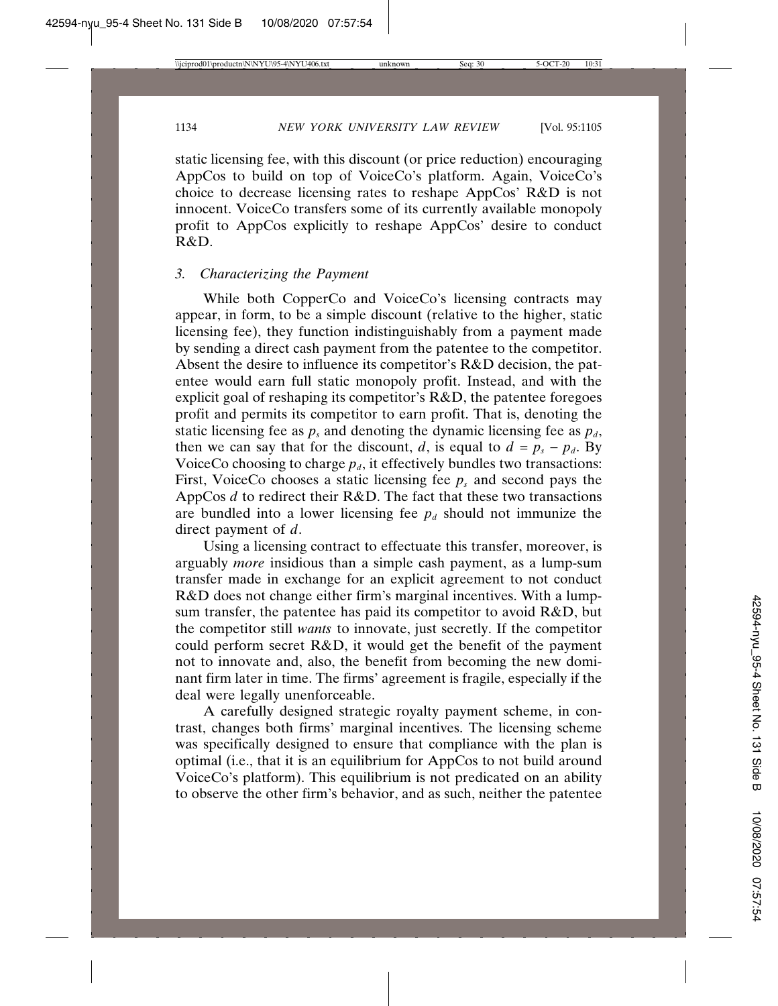static licensing fee, with this discount (or price reduction) encouraging AppCos to build on top of VoiceCo's platform. Again, VoiceCo's choice to decrease licensing rates to reshape AppCos' R&D is not innocent. VoiceCo transfers some of its currently available monopoly profit to AppCos explicitly to reshape AppCos' desire to conduct R&D.

# *3. Characterizing the Payment*

While both CopperCo and VoiceCo's licensing contracts may appear, in form, to be a simple discount (relative to the higher, static licensing fee), they function indistinguishably from a payment made by sending a direct cash payment from the patentee to the competitor. Absent the desire to influence its competitor's R&D decision, the patentee would earn full static monopoly profit. Instead, and with the explicit goal of reshaping its competitor's R&D, the patentee foregoes profit and permits its competitor to earn profit. That is, denoting the static licensing fee as  $p_s$  and denoting the dynamic licensing fee as  $p_d$ , then we can say that for the discount, *d*, is equal to  $d = p_s - p_d$ . By VoiceCo choosing to charge  $p_d$ , it effectively bundles two transactions: First, VoiceCo chooses a static licensing fee  $p_s$  and second pays the AppCos *d* to redirect their R&D. The fact that these two transactions are bundled into a lower licensing fee  $p_d$  should not immunize the direct payment of *d*.

Using a licensing contract to effectuate this transfer, moreover, is arguably *more* insidious than a simple cash payment, as a lump-sum transfer made in exchange for an explicit agreement to not conduct R&D does not change either firm's marginal incentives. With a lumpsum transfer, the patentee has paid its competitor to avoid R&D, but the competitor still *wants* to innovate, just secretly. If the competitor could perform secret R&D, it would get the benefit of the payment not to innovate and, also, the benefit from becoming the new dominant firm later in time. The firms' agreement is fragile, especially if the deal were legally unenforceable.

A carefully designed strategic royalty payment scheme, in contrast, changes both firms' marginal incentives. The licensing scheme was specifically designed to ensure that compliance with the plan is optimal (i.e., that it is an equilibrium for AppCos to not build around VoiceCo's platform). This equilibrium is not predicated on an ability to observe the other firm's behavior, and as such, neither the patentee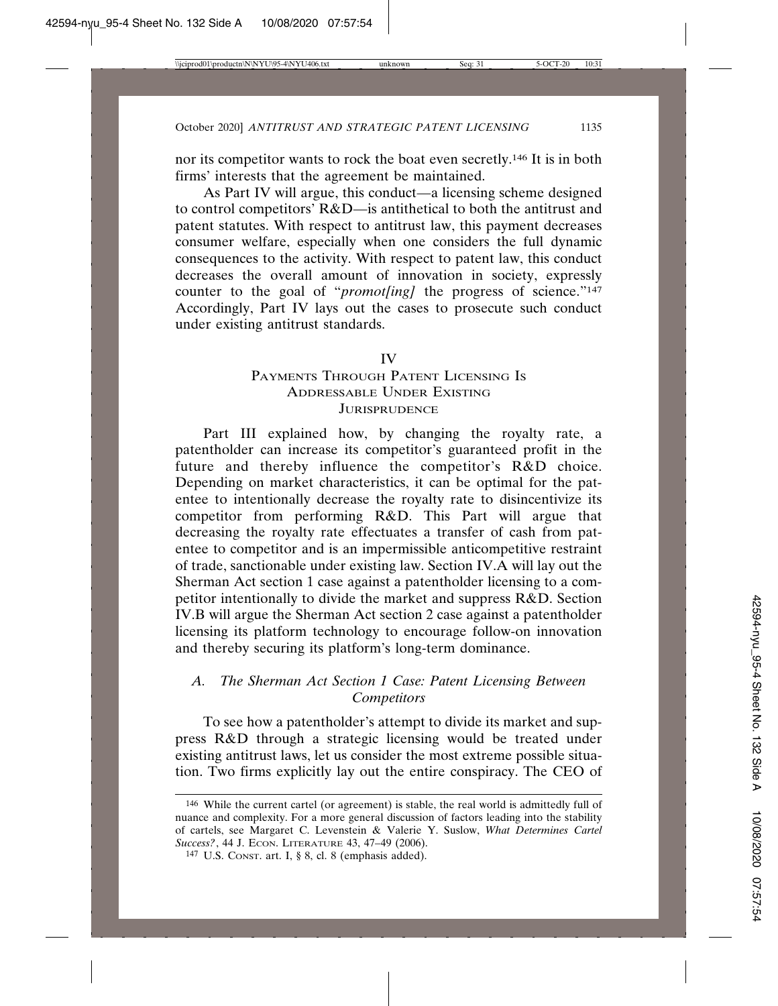nor its competitor wants to rock the boat even secretly.146 It is in both firms' interests that the agreement be maintained.

As Part IV will argue, this conduct—a licensing scheme designed to control competitors' R&D—is antithetical to both the antitrust and patent statutes. With respect to antitrust law, this payment decreases consumer welfare, especially when one considers the full dynamic consequences to the activity. With respect to patent law, this conduct decreases the overall amount of innovation in society, expressly counter to the goal of "*promot[ing]* the progress of science."<sup>147</sup> Accordingly, Part IV lays out the cases to prosecute such conduct under existing antitrust standards.

#### IV

# PAYMENTS THROUGH PATENT LICENSING IS ADDRESSABLE UNDER EXISTING **JURISPRUDENCE**

Part III explained how, by changing the royalty rate, a patentholder can increase its competitor's guaranteed profit in the future and thereby influence the competitor's R&D choice. Depending on market characteristics, it can be optimal for the patentee to intentionally decrease the royalty rate to disincentivize its competitor from performing R&D. This Part will argue that decreasing the royalty rate effectuates a transfer of cash from patentee to competitor and is an impermissible anticompetitive restraint of trade, sanctionable under existing law. Section IV.A will lay out the Sherman Act section 1 case against a patentholder licensing to a competitor intentionally to divide the market and suppress R&D. Section IV.B will argue the Sherman Act section 2 case against a patentholder licensing its platform technology to encourage follow-on innovation and thereby securing its platform's long-term dominance.

### *A. The Sherman Act Section 1 Case: Patent Licensing Between Competitors*

To see how a patentholder's attempt to divide its market and suppress R&D through a strategic licensing would be treated under existing antitrust laws, let us consider the most extreme possible situation. Two firms explicitly lay out the entire conspiracy. The CEO of

<sup>146</sup> While the current cartel (or agreement) is stable, the real world is admittedly full of nuance and complexity. For a more general discussion of factors leading into the stability of cartels, see Margaret C. Levenstein & Valerie Y. Suslow, *What Determines Cartel Success?*, 44 J. ECON. LITERATURE 43, 47-49 (2006).

<sup>147</sup> U.S. CONST. art. I, § 8, cl. 8 (emphasis added).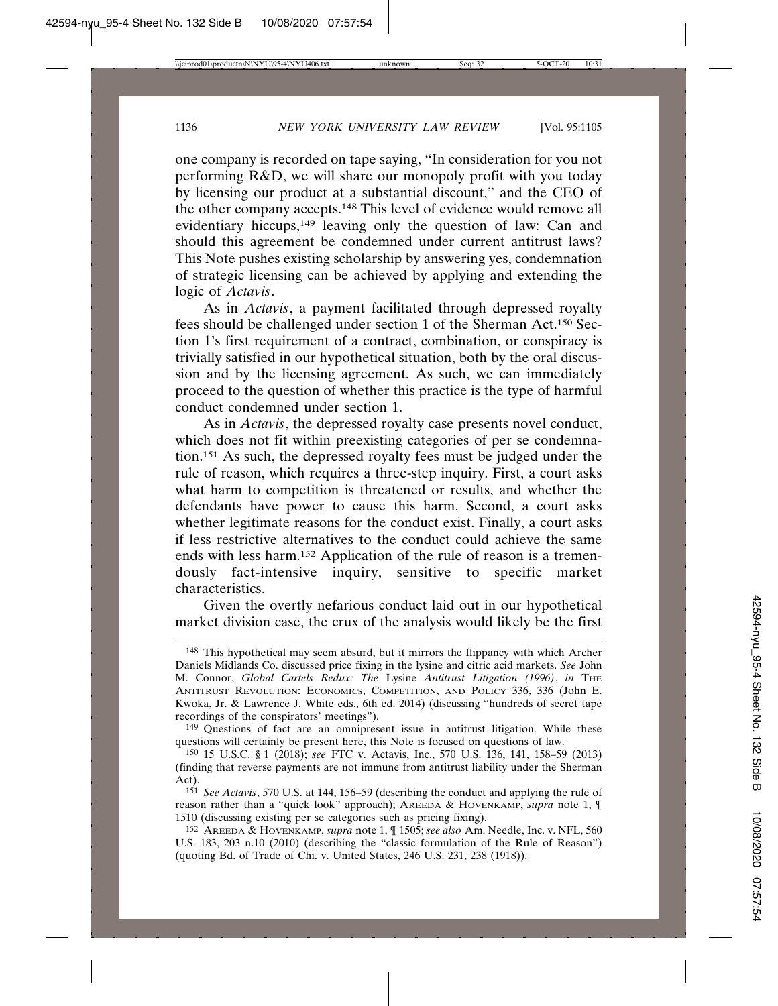one company is recorded on tape saying, "In consideration for you not performing R&D, we will share our monopoly profit with you today by licensing our product at a substantial discount," and the CEO of the other company accepts.148 This level of evidence would remove all evidentiary hiccups,149 leaving only the question of law: Can and should this agreement be condemned under current antitrust laws? This Note pushes existing scholarship by answering yes, condemnation of strategic licensing can be achieved by applying and extending the logic of *Actavis*.

As in *Actavis*, a payment facilitated through depressed royalty fees should be challenged under section 1 of the Sherman Act.150 Section 1's first requirement of a contract, combination, or conspiracy is trivially satisfied in our hypothetical situation, both by the oral discussion and by the licensing agreement. As such, we can immediately proceed to the question of whether this practice is the type of harmful conduct condemned under section 1.

As in *Actavis*, the depressed royalty case presents novel conduct, which does not fit within preexisting categories of per se condemnation.151 As such, the depressed royalty fees must be judged under the rule of reason, which requires a three-step inquiry. First, a court asks what harm to competition is threatened or results, and whether the defendants have power to cause this harm. Second, a court asks whether legitimate reasons for the conduct exist. Finally, a court asks if less restrictive alternatives to the conduct could achieve the same ends with less harm.152 Application of the rule of reason is a tremendously fact-intensive inquiry, sensitive to specific market characteristics.

Given the overtly nefarious conduct laid out in our hypothetical market division case, the crux of the analysis would likely be the first

<sup>148</sup> This hypothetical may seem absurd, but it mirrors the flippancy with which Archer Daniels Midlands Co. discussed price fixing in the lysine and citric acid markets. *See* John M. Connor, *Global Cartels Redux: The* Lysine *Antitrust Litigation (1996)*, *in* THE ANTITRUST REVOLUTION: ECONOMICS, COMPETITION, AND POLICY 336, 336 (John E. Kwoka, Jr. & Lawrence J. White eds., 6th ed. 2014) (discussing "hundreds of secret tape recordings of the conspirators' meetings").

<sup>149</sup> Questions of fact are an omnipresent issue in antitrust litigation. While these questions will certainly be present here, this Note is focused on questions of law.

<sup>150</sup> 15 U.S.C. § 1 (2018); *see* FTC v. Actavis, Inc., 570 U.S. 136, 141, 158–59 (2013) (finding that reverse payments are not immune from antitrust liability under the Sherman Act).

<sup>151</sup> *See Actavis*, 570 U.S. at 144, 156–59 (describing the conduct and applying the rule of reason rather than a "quick look" approach); AREEDA & HOVENKAMP, *supra* note 1, ¶ 1510 (discussing existing per se categories such as pricing fixing).

<sup>152</sup> AREEDA & HOVENKAMP, *supra* note 1, ¶ 1505; *see also* Am. Needle, Inc. v. NFL, 560 U.S. 183, 203 n.10 (2010) (describing the "classic formulation of the Rule of Reason") (quoting Bd. of Trade of Chi. v. United States, 246 U.S. 231, 238 (1918)).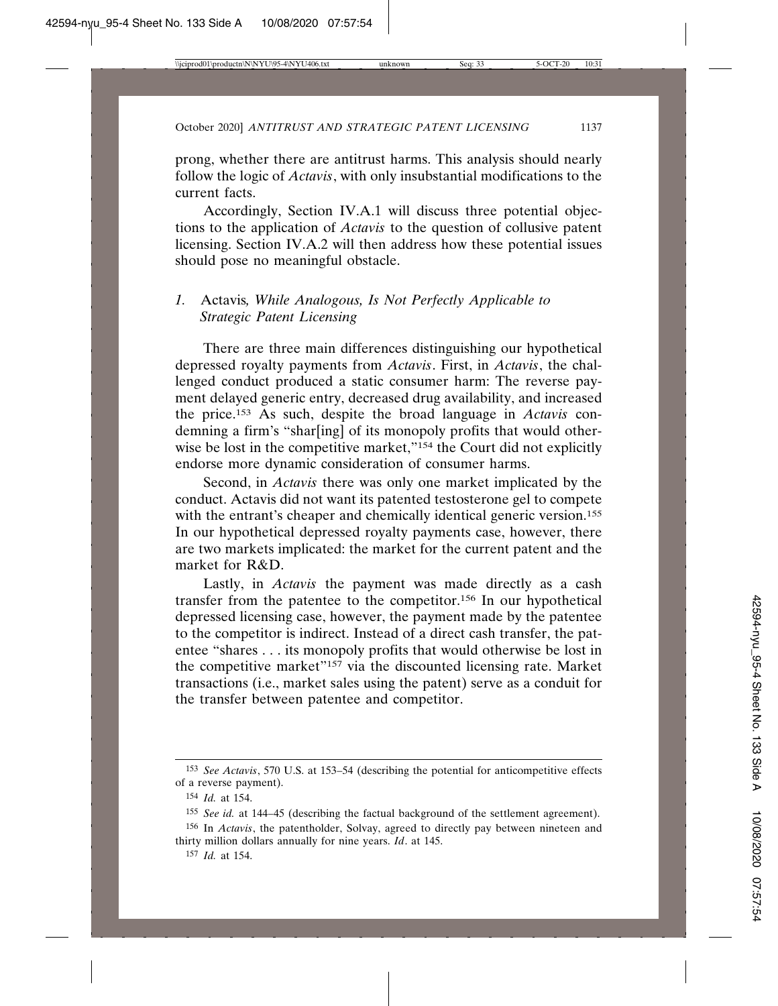prong, whether there are antitrust harms. This analysis should nearly follow the logic of *Actavis*, with only insubstantial modifications to the current facts.

Accordingly, Section IV.A.1 will discuss three potential objections to the application of *Actavis* to the question of collusive patent licensing. Section IV.A.2 will then address how these potential issues should pose no meaningful obstacle.

# *1.* Actavis*, While Analogous, Is Not Perfectly Applicable to Strategic Patent Licensing*

There are three main differences distinguishing our hypothetical depressed royalty payments from *Actavis*. First, in *Actavis*, the challenged conduct produced a static consumer harm: The reverse payment delayed generic entry, decreased drug availability, and increased the price.153 As such, despite the broad language in *Actavis* condemning a firm's "shar[ing] of its monopoly profits that would otherwise be lost in the competitive market,"<sup>154</sup> the Court did not explicitly endorse more dynamic consideration of consumer harms.

Second, in *Actavis* there was only one market implicated by the conduct. Actavis did not want its patented testosterone gel to compete with the entrant's cheaper and chemically identical generic version.<sup>155</sup> In our hypothetical depressed royalty payments case, however, there are two markets implicated: the market for the current patent and the market for R&D.

Lastly, in *Actavis* the payment was made directly as a cash transfer from the patentee to the competitor.156 In our hypothetical depressed licensing case, however, the payment made by the patentee to the competitor is indirect. Instead of a direct cash transfer, the patentee "shares . . . its monopoly profits that would otherwise be lost in the competitive market"157 via the discounted licensing rate. Market transactions (i.e., market sales using the patent) serve as a conduit for the transfer between patentee and competitor.

<sup>153</sup> *See Actavis*, 570 U.S. at 153–54 (describing the potential for anticompetitive effects of a reverse payment).

<sup>154</sup> *Id.* at 154.

<sup>155</sup> *See id.* at 144–45 (describing the factual background of the settlement agreement).

<sup>156</sup> In *Actavis*, the patentholder, Solvay, agreed to directly pay between nineteen and thirty million dollars annually for nine years. *Id*. at 145.

<sup>157</sup> *Id.* at 154.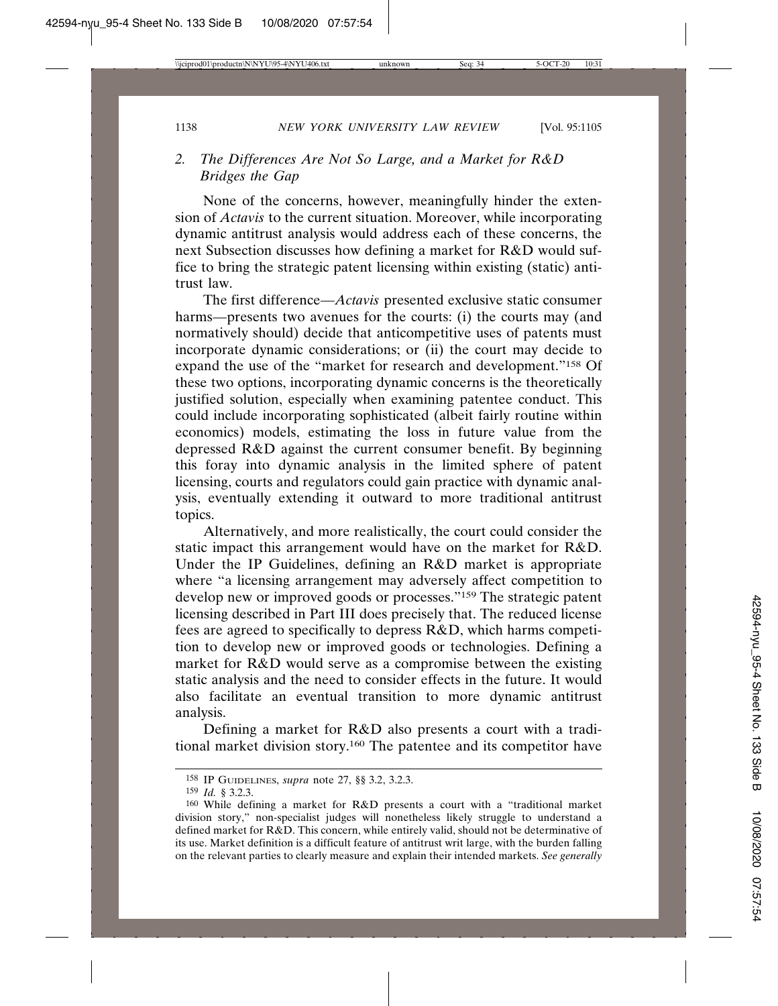# *2. The Differences Are Not So Large, and a Market for R&D Bridges the Gap*

None of the concerns, however, meaningfully hinder the extension of *Actavis* to the current situation. Moreover, while incorporating dynamic antitrust analysis would address each of these concerns, the next Subsection discusses how defining a market for R&D would suffice to bring the strategic patent licensing within existing (static) antitrust law.

The first difference—*Actavis* presented exclusive static consumer harms—presents two avenues for the courts: (i) the courts may (and normatively should) decide that anticompetitive uses of patents must incorporate dynamic considerations; or (ii) the court may decide to expand the use of the "market for research and development."158 Of these two options, incorporating dynamic concerns is the theoretically justified solution, especially when examining patentee conduct. This could include incorporating sophisticated (albeit fairly routine within economics) models, estimating the loss in future value from the depressed R&D against the current consumer benefit. By beginning this foray into dynamic analysis in the limited sphere of patent licensing, courts and regulators could gain practice with dynamic analysis, eventually extending it outward to more traditional antitrust topics.

Alternatively, and more realistically, the court could consider the static impact this arrangement would have on the market for R&D. Under the IP Guidelines, defining an R&D market is appropriate where "a licensing arrangement may adversely affect competition to develop new or improved goods or processes."159 The strategic patent licensing described in Part III does precisely that. The reduced license fees are agreed to specifically to depress R&D, which harms competition to develop new or improved goods or technologies. Defining a market for R&D would serve as a compromise between the existing static analysis and the need to consider effects in the future. It would also facilitate an eventual transition to more dynamic antitrust analysis.

Defining a market for R&D also presents a court with a traditional market division story.160 The patentee and its competitor have

<sup>158</sup> IP GUIDELINES, *supra* note 27, §§ 3.2, 3.2.3.

<sup>159</sup> *Id.* § 3.2.3.

<sup>160</sup> While defining a market for R&D presents a court with a "traditional market division story," non-specialist judges will nonetheless likely struggle to understand a defined market for R&D. This concern, while entirely valid, should not be determinative of its use. Market definition is a difficult feature of antitrust writ large, with the burden falling on the relevant parties to clearly measure and explain their intended markets. *See generally*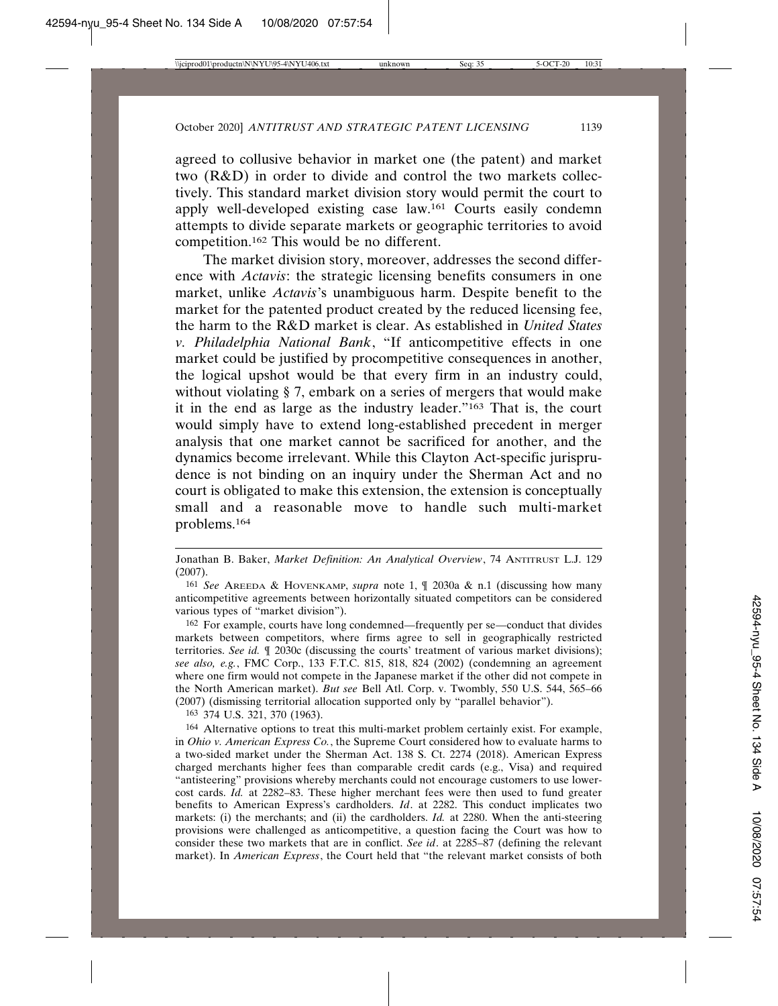agreed to collusive behavior in market one (the patent) and market two (R&D) in order to divide and control the two markets collectively. This standard market division story would permit the court to apply well-developed existing case law.161 Courts easily condemn attempts to divide separate markets or geographic territories to avoid competition.162 This would be no different.

The market division story, moreover, addresses the second difference with *Actavis*: the strategic licensing benefits consumers in one market, unlike *Actavis*'s unambiguous harm. Despite benefit to the market for the patented product created by the reduced licensing fee, the harm to the R&D market is clear. As established in *United States v. Philadelphia National Bank*, "If anticompetitive effects in one market could be justified by procompetitive consequences in another, the logical upshot would be that every firm in an industry could, without violating § 7, embark on a series of mergers that would make it in the end as large as the industry leader."163 That is, the court would simply have to extend long-established precedent in merger analysis that one market cannot be sacrificed for another, and the dynamics become irrelevant. While this Clayton Act-specific jurisprudence is not binding on an inquiry under the Sherman Act and no court is obligated to make this extension, the extension is conceptually small and a reasonable move to handle such multi-market problems.164

162 For example, courts have long condemned—frequently per se—conduct that divides markets between competitors, where firms agree to sell in geographically restricted territories. *See id.* ¶ 2030c (discussing the courts' treatment of various market divisions); *see also, e.g.*, FMC Corp., 133 F.T.C. 815, 818, 824 (2002) (condemning an agreement where one firm would not compete in the Japanese market if the other did not compete in the North American market). *But see* Bell Atl. Corp. v. Twombly, 550 U.S. 544, 565–66 (2007) (dismissing territorial allocation supported only by "parallel behavior").

163 374 U.S. 321, 370 (1963).

164 Alternative options to treat this multi-market problem certainly exist. For example, in *Ohio v. American Express Co.*, the Supreme Court considered how to evaluate harms to a two-sided market under the Sherman Act. 138 S. Ct. 2274 (2018). American Express charged merchants higher fees than comparable credit cards (e.g., Visa) and required "antisteering" provisions whereby merchants could not encourage customers to use lowercost cards. *Id.* at 2282–83. These higher merchant fees were then used to fund greater benefits to American Express's cardholders. *Id*. at 2282. This conduct implicates two markets: (i) the merchants; and (ii) the cardholders. *Id.* at 2280. When the anti-steering provisions were challenged as anticompetitive, a question facing the Court was how to consider these two markets that are in conflict. *See id*. at 2285–87 (defining the relevant market). In *American Express*, the Court held that "the relevant market consists of both

Jonathan B. Baker, *Market Definition: An Analytical Overview*, 74 ANTITRUST L.J. 129 (2007).

<sup>161</sup> *See* AREEDA & HOVENKAMP, *supra* note 1, ¶ 2030a & n.1 (discussing how many anticompetitive agreements between horizontally situated competitors can be considered various types of "market division").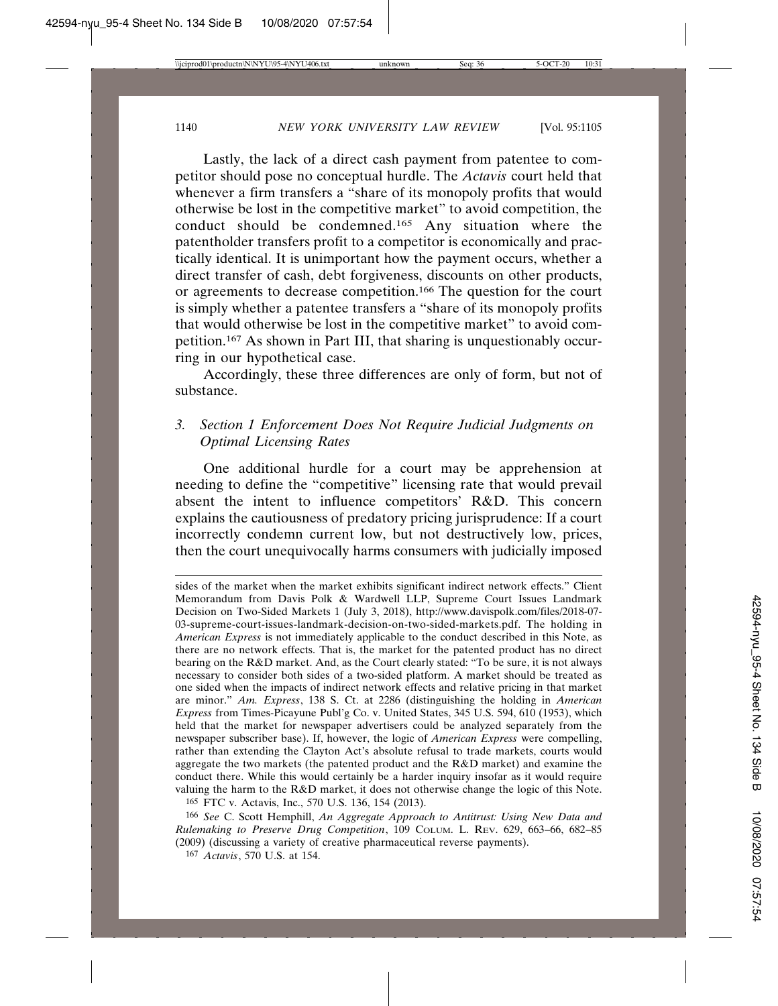Lastly, the lack of a direct cash payment from patentee to competitor should pose no conceptual hurdle. The *Actavis* court held that whenever a firm transfers a "share of its monopoly profits that would otherwise be lost in the competitive market" to avoid competition, the conduct should be condemned.165 Any situation where the patentholder transfers profit to a competitor is economically and practically identical. It is unimportant how the payment occurs, whether a direct transfer of cash, debt forgiveness, discounts on other products, or agreements to decrease competition.166 The question for the court is simply whether a patentee transfers a "share of its monopoly profits that would otherwise be lost in the competitive market" to avoid competition.167 As shown in Part III, that sharing is unquestionably occurring in our hypothetical case.

Accordingly, these three differences are only of form, but not of substance.

# *3. Section 1 Enforcement Does Not Require Judicial Judgments on Optimal Licensing Rates*

One additional hurdle for a court may be apprehension at needing to define the "competitive" licensing rate that would prevail absent the intent to influence competitors' R&D. This concern explains the cautiousness of predatory pricing jurisprudence: If a court incorrectly condemn current low, but not destructively low, prices, then the court unequivocally harms consumers with judicially imposed

sides of the market when the market exhibits significant indirect network effects." Client Memorandum from Davis Polk & Wardwell LLP, Supreme Court Issues Landmark Decision on Two-Sided Markets 1 (July 3, 2018), http://www.davispolk.com/files/2018-07- 03-supreme-court-issues-landmark-decision-on-two-sided-markets.pdf. The holding in *American Express* is not immediately applicable to the conduct described in this Note, as there are no network effects. That is, the market for the patented product has no direct bearing on the R&D market. And, as the Court clearly stated: "To be sure, it is not always necessary to consider both sides of a two-sided platform. A market should be treated as one sided when the impacts of indirect network effects and relative pricing in that market are minor." *Am. Express*, 138 S. Ct. at 2286 (distinguishing the holding in *American Express* from Times-Picayune Publ'g Co. v. United States, 345 U.S. 594, 610 (1953), which held that the market for newspaper advertisers could be analyzed separately from the newspaper subscriber base). If, however, the logic of *American Express* were compelling, rather than extending the Clayton Act's absolute refusal to trade markets, courts would aggregate the two markets (the patented product and the R&D market) and examine the conduct there. While this would certainly be a harder inquiry insofar as it would require valuing the harm to the R&D market, it does not otherwise change the logic of this Note.

<sup>165</sup> FTC v. Actavis, Inc., 570 U.S. 136, 154 (2013).

<sup>166</sup> *See* C. Scott Hemphill, *An Aggregate Approach to Antitrust: Using New Data and Rulemaking to Preserve Drug Competition*, 109 COLUM. L. REV. 629, 663–66, 682–85 (2009) (discussing a variety of creative pharmaceutical reverse payments).

<sup>167</sup> *Actavis*, 570 U.S. at 154.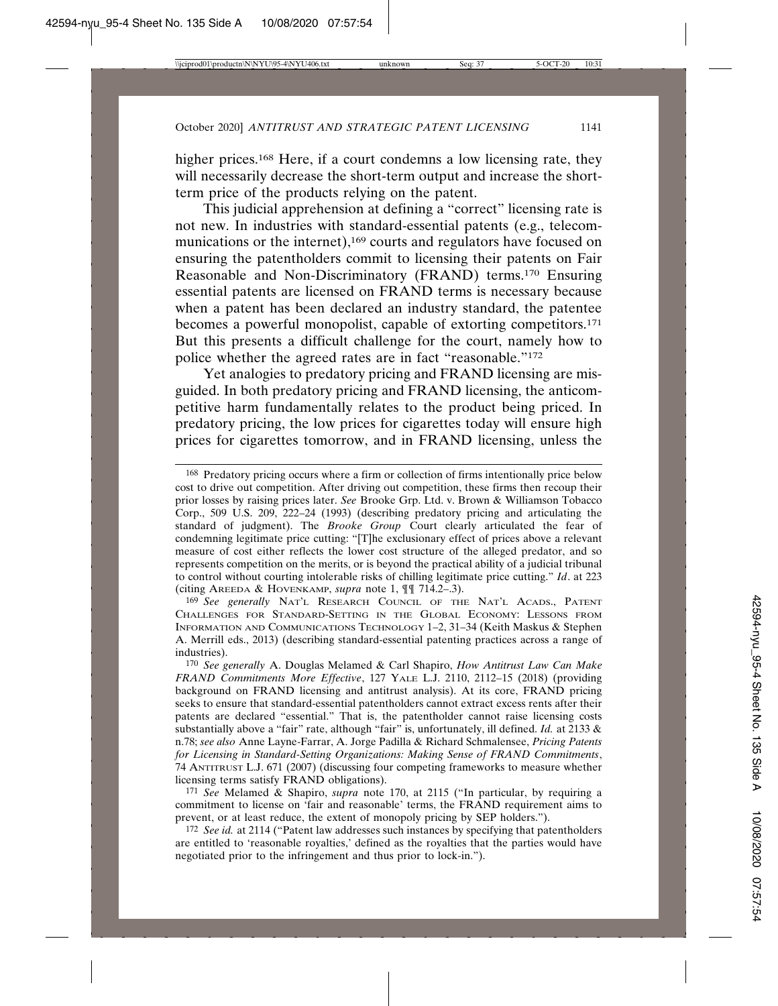higher prices.<sup>168</sup> Here, if a court condemns a low licensing rate, they will necessarily decrease the short-term output and increase the shortterm price of the products relying on the patent.

This judicial apprehension at defining a "correct" licensing rate is not new. In industries with standard-essential patents (e.g., telecommunications or the internet),<sup>169</sup> courts and regulators have focused on ensuring the patentholders commit to licensing their patents on Fair Reasonable and Non-Discriminatory (FRAND) terms.170 Ensuring essential patents are licensed on FRAND terms is necessary because when a patent has been declared an industry standard, the patentee becomes a powerful monopolist, capable of extorting competitors.171 But this presents a difficult challenge for the court, namely how to police whether the agreed rates are in fact "reasonable."172

Yet analogies to predatory pricing and FRAND licensing are misguided. In both predatory pricing and FRAND licensing, the anticompetitive harm fundamentally relates to the product being priced. In predatory pricing, the low prices for cigarettes today will ensure high prices for cigarettes tomorrow, and in FRAND licensing, unless the

169 *See generally* NAT'L RESEARCH COUNCIL OF THE NAT'L ACADS., PATENT CHALLENGES FOR STANDARD-SETTING IN THE GLOBAL ECONOMY: LESSONS FROM INFORMATION AND COMMUNICATIONS TECHNOLOGY 1–2, 31–34 (Keith Maskus & Stephen A. Merrill eds., 2013) (describing standard-essential patenting practices across a range of industries).

171 *See* Melamed & Shapiro, *supra* note 170, at 2115 ("In particular, by requiring a commitment to license on 'fair and reasonable' terms, the FRAND requirement aims to prevent, or at least reduce, the extent of monopoly pricing by SEP holders.").

172 *See id.* at 2114 ("Patent law addresses such instances by specifying that patentholders are entitled to 'reasonable royalties,' defined as the royalties that the parties would have negotiated prior to the infringement and thus prior to lock-in.").

<sup>168</sup> Predatory pricing occurs where a firm or collection of firms intentionally price below cost to drive out competition. After driving out competition, these firms then recoup their prior losses by raising prices later. *See* Brooke Grp. Ltd. v. Brown & Williamson Tobacco Corp., 509 U.S. 209, 222–24 (1993) (describing predatory pricing and articulating the standard of judgment). The *Brooke Group* Court clearly articulated the fear of condemning legitimate price cutting: "[T]he exclusionary effect of prices above a relevant measure of cost either reflects the lower cost structure of the alleged predator, and so represents competition on the merits, or is beyond the practical ability of a judicial tribunal to control without courting intolerable risks of chilling legitimate price cutting." *Id*. at 223 (citing AREEDA & HOVENKAMP, *supra* note 1, ¶¶ 714.2–.3).

<sup>170</sup> *See generally* A. Douglas Melamed & Carl Shapiro, *How Antitrust Law Can Make FRAND Commitments More Effective*, 127 YALE L.J. 2110, 2112–15 (2018) (providing background on FRAND licensing and antitrust analysis). At its core, FRAND pricing seeks to ensure that standard-essential patentholders cannot extract excess rents after their patents are declared "essential." That is, the patentholder cannot raise licensing costs substantially above a "fair" rate, although "fair" is, unfortunately, ill defined. *Id.* at 2133 & n.78; *see also* Anne Layne-Farrar, A. Jorge Padilla & Richard Schmalensee, *Pricing Patents for Licensing in Standard-Setting Organizations: Making Sense of FRAND Commitments*, 74 ANTITRUST L.J. 671 (2007) (discussing four competing frameworks to measure whether licensing terms satisfy FRAND obligations).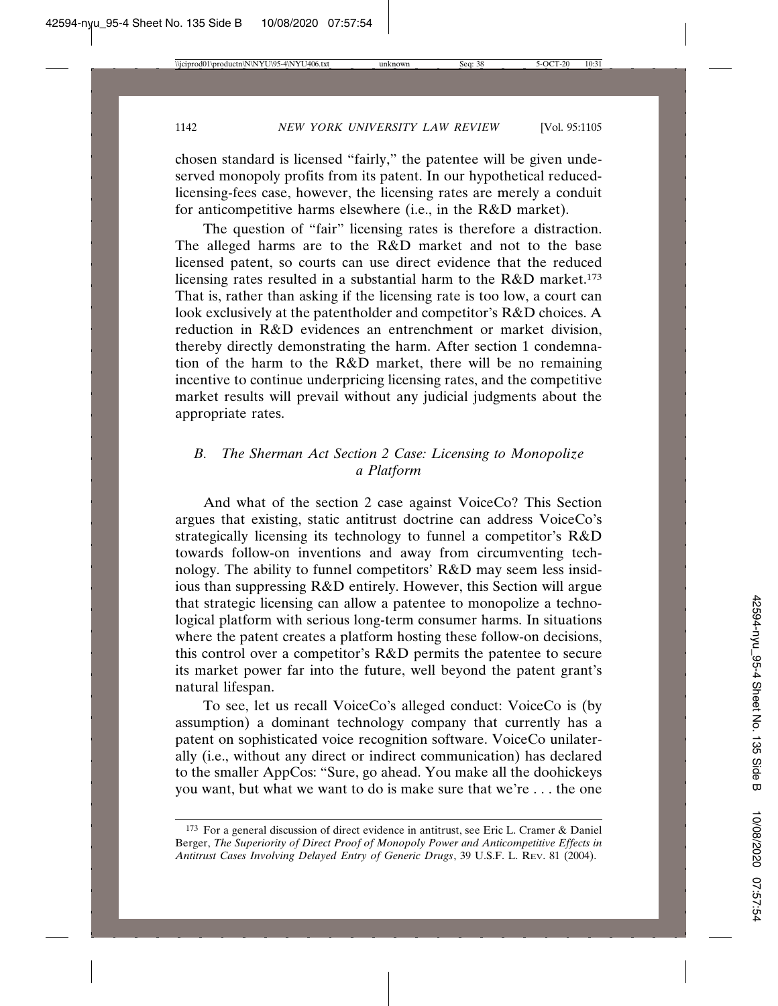chosen standard is licensed "fairly," the patentee will be given undeserved monopoly profits from its patent. In our hypothetical reducedlicensing-fees case, however, the licensing rates are merely a conduit for anticompetitive harms elsewhere (i.e., in the R&D market).

The question of "fair" licensing rates is therefore a distraction. The alleged harms are to the R&D market and not to the base licensed patent, so courts can use direct evidence that the reduced licensing rates resulted in a substantial harm to the R&D market.173 That is, rather than asking if the licensing rate is too low, a court can look exclusively at the patentholder and competitor's R&D choices. A reduction in R&D evidences an entrenchment or market division, thereby directly demonstrating the harm. After section 1 condemnation of the harm to the R&D market, there will be no remaining incentive to continue underpricing licensing rates, and the competitive market results will prevail without any judicial judgments about the appropriate rates.

# *B. The Sherman Act Section 2 Case: Licensing to Monopolize a Platform*

And what of the section 2 case against VoiceCo? This Section argues that existing, static antitrust doctrine can address VoiceCo's strategically licensing its technology to funnel a competitor's R&D towards follow-on inventions and away from circumventing technology. The ability to funnel competitors' R&D may seem less insidious than suppressing R&D entirely. However, this Section will argue that strategic licensing can allow a patentee to monopolize a technological platform with serious long-term consumer harms. In situations where the patent creates a platform hosting these follow-on decisions, this control over a competitor's R&D permits the patentee to secure its market power far into the future, well beyond the patent grant's natural lifespan.

To see, let us recall VoiceCo's alleged conduct: VoiceCo is (by assumption) a dominant technology company that currently has a patent on sophisticated voice recognition software. VoiceCo unilaterally (i.e., without any direct or indirect communication) has declared to the smaller AppCos: "Sure, go ahead. You make all the doohickeys you want, but what we want to do is make sure that we're . . . the one

<sup>173</sup> For a general discussion of direct evidence in antitrust, see Eric L. Cramer & Daniel Berger, *The Superiority of Direct Proof of Monopoly Power and Anticompetitive Effects in Antitrust Cases Involving Delayed Entry of Generic Drugs*, 39 U.S.F. L. REV. 81 (2004).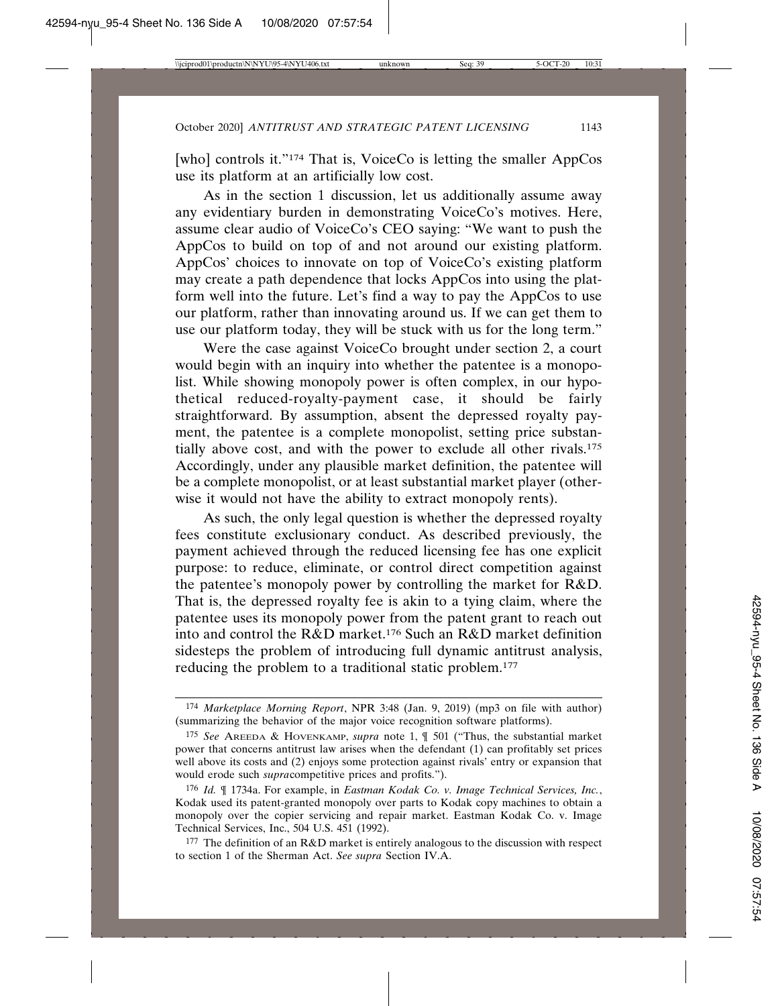[who] controls it."<sup>174</sup> That is, VoiceCo is letting the smaller AppCos use its platform at an artificially low cost.

As in the section 1 discussion, let us additionally assume away any evidentiary burden in demonstrating VoiceCo's motives. Here, assume clear audio of VoiceCo's CEO saying: "We want to push the AppCos to build on top of and not around our existing platform. AppCos' choices to innovate on top of VoiceCo's existing platform may create a path dependence that locks AppCos into using the platform well into the future. Let's find a way to pay the AppCos to use our platform, rather than innovating around us. If we can get them to use our platform today, they will be stuck with us for the long term."

Were the case against VoiceCo brought under section 2, a court would begin with an inquiry into whether the patentee is a monopolist. While showing monopoly power is often complex, in our hypothetical reduced-royalty-payment case, it should be fairly straightforward. By assumption, absent the depressed royalty payment, the patentee is a complete monopolist, setting price substantially above cost, and with the power to exclude all other rivals.175 Accordingly, under any plausible market definition, the patentee will be a complete monopolist, or at least substantial market player (otherwise it would not have the ability to extract monopoly rents).

As such, the only legal question is whether the depressed royalty fees constitute exclusionary conduct. As described previously, the payment achieved through the reduced licensing fee has one explicit purpose: to reduce, eliminate, or control direct competition against the patentee's monopoly power by controlling the market for R&D. That is, the depressed royalty fee is akin to a tying claim, where the patentee uses its monopoly power from the patent grant to reach out into and control the R&D market.176 Such an R&D market definition sidesteps the problem of introducing full dynamic antitrust analysis, reducing the problem to a traditional static problem.177

<sup>174</sup> *Marketplace Morning Report*, NPR 3:48 (Jan. 9, 2019) (mp3 on file with author) (summarizing the behavior of the major voice recognition software platforms).

<sup>175</sup> *See* AREEDA & HOVENKAMP, *supra* note 1, ¶ 501 ("Thus, the substantial market power that concerns antitrust law arises when the defendant (1) can profitably set prices well above its costs and (2) enjoys some protection against rivals' entry or expansion that would erode such *supra*competitive prices and profits.").

<sup>176</sup> *Id.* ¶ 1734a. For example, in *Eastman Kodak Co. v. Image Technical Services, Inc.*, Kodak used its patent-granted monopoly over parts to Kodak copy machines to obtain a monopoly over the copier servicing and repair market. Eastman Kodak Co. v. Image Technical Services, Inc., 504 U.S. 451 (1992).

<sup>&</sup>lt;sup>177</sup> The definition of an R&D market is entirely analogous to the discussion with respect to section 1 of the Sherman Act. *See supra* Section IV.A.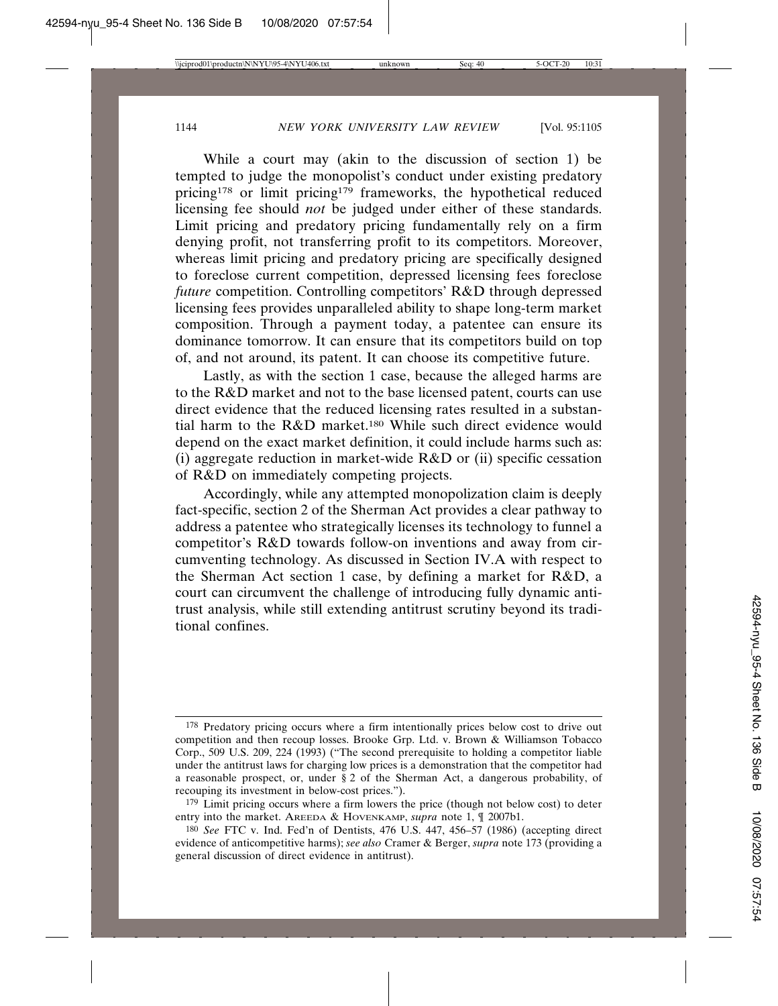While a court may (akin to the discussion of section 1) be tempted to judge the monopolist's conduct under existing predatory pricing178 or limit pricing179 frameworks, the hypothetical reduced licensing fee should *not* be judged under either of these standards. Limit pricing and predatory pricing fundamentally rely on a firm denying profit, not transferring profit to its competitors. Moreover, whereas limit pricing and predatory pricing are specifically designed to foreclose current competition, depressed licensing fees foreclose *future* competition. Controlling competitors' R&D through depressed licensing fees provides unparalleled ability to shape long-term market composition. Through a payment today, a patentee can ensure its dominance tomorrow. It can ensure that its competitors build on top of, and not around, its patent. It can choose its competitive future.

Lastly, as with the section 1 case, because the alleged harms are to the R&D market and not to the base licensed patent, courts can use direct evidence that the reduced licensing rates resulted in a substantial harm to the R&D market.180 While such direct evidence would depend on the exact market definition, it could include harms such as: (i) aggregate reduction in market-wide  $R&D$  or (ii) specific cessation of R&D on immediately competing projects.

Accordingly, while any attempted monopolization claim is deeply fact-specific, section 2 of the Sherman Act provides a clear pathway to address a patentee who strategically licenses its technology to funnel a competitor's R&D towards follow-on inventions and away from circumventing technology. As discussed in Section IV.A with respect to the Sherman Act section 1 case, by defining a market for R&D, a court can circumvent the challenge of introducing fully dynamic antitrust analysis, while still extending antitrust scrutiny beyond its traditional confines.

<sup>178</sup> Predatory pricing occurs where a firm intentionally prices below cost to drive out competition and then recoup losses. Brooke Grp. Ltd. v. Brown & Williamson Tobacco Corp., 509 U.S. 209, 224 (1993) ("The second prerequisite to holding a competitor liable under the antitrust laws for charging low prices is a demonstration that the competitor had a reasonable prospect, or, under § 2 of the Sherman Act, a dangerous probability, of recouping its investment in below-cost prices.").

<sup>&</sup>lt;sup>179</sup> Limit pricing occurs where a firm lowers the price (though not below cost) to deter entry into the market. AREEDA & HOVENKAMP, *supra* note 1, ¶ 2007b1.

<sup>180</sup> *See* FTC v. Ind. Fed'n of Dentists, 476 U.S. 447, 456–57 (1986) (accepting direct evidence of anticompetitive harms); *see also* Cramer & Berger, *supra* note 173 (providing a general discussion of direct evidence in antitrust).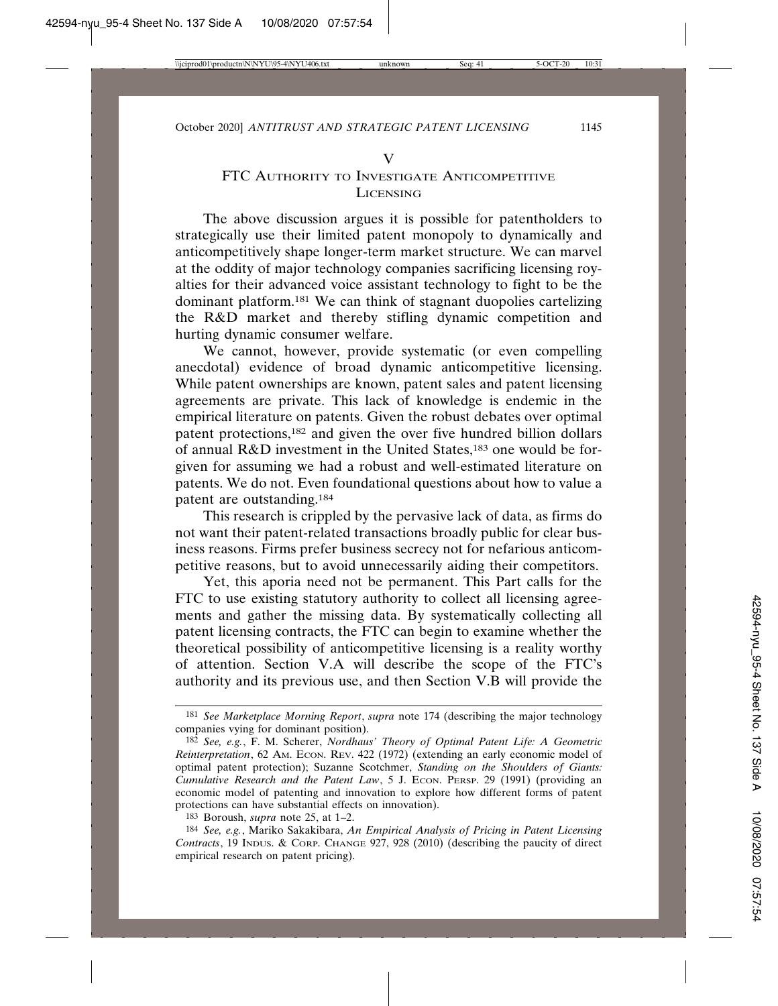#### V

### FTC AUTHORITY TO INVESTIGATE ANTICOMPETITIVE LICENSING

The above discussion argues it is possible for patentholders to strategically use their limited patent monopoly to dynamically and anticompetitively shape longer-term market structure. We can marvel at the oddity of major technology companies sacrificing licensing royalties for their advanced voice assistant technology to fight to be the dominant platform.181 We can think of stagnant duopolies cartelizing the R&D market and thereby stifling dynamic competition and hurting dynamic consumer welfare.

We cannot, however, provide systematic (or even compelling anecdotal) evidence of broad dynamic anticompetitive licensing. While patent ownerships are known, patent sales and patent licensing agreements are private. This lack of knowledge is endemic in the empirical literature on patents. Given the robust debates over optimal patent protections,182 and given the over five hundred billion dollars of annual R&D investment in the United States,183 one would be forgiven for assuming we had a robust and well-estimated literature on patents. We do not. Even foundational questions about how to value a patent are outstanding.184

This research is crippled by the pervasive lack of data, as firms do not want their patent-related transactions broadly public for clear business reasons. Firms prefer business secrecy not for nefarious anticompetitive reasons, but to avoid unnecessarily aiding their competitors.

Yet, this aporia need not be permanent. This Part calls for the FTC to use existing statutory authority to collect all licensing agreements and gather the missing data. By systematically collecting all patent licensing contracts, the FTC can begin to examine whether the theoretical possibility of anticompetitive licensing is a reality worthy of attention. Section V.A will describe the scope of the FTC's authority and its previous use, and then Section V.B will provide the

<sup>181</sup> *See Marketplace Morning Report*, *supra* note 174 (describing the major technology companies vying for dominant position).

<sup>182</sup> *See, e.g.*, F. M. Scherer, *Nordhaus' Theory of Optimal Patent Life: A Geometric Reinterpretation*, 62 AM. ECON. REV. 422 (1972) (extending an early economic model of optimal patent protection); Suzanne Scotchmer, *Standing on the Shoulders of Giants: Cumulative Research and the Patent Law*, 5 J. ECON. PERSP. 29 (1991) (providing an economic model of patenting and innovation to explore how different forms of patent protections can have substantial effects on innovation).

<sup>183</sup> Boroush, *supra* note 25, at 1–2.

<sup>184</sup> *See, e.g.*, Mariko Sakakibara, *An Empirical Analysis of Pricing in Patent Licensing Contracts*, 19 INDUS. & CORP. CHANGE 927, 928 (2010) (describing the paucity of direct empirical research on patent pricing).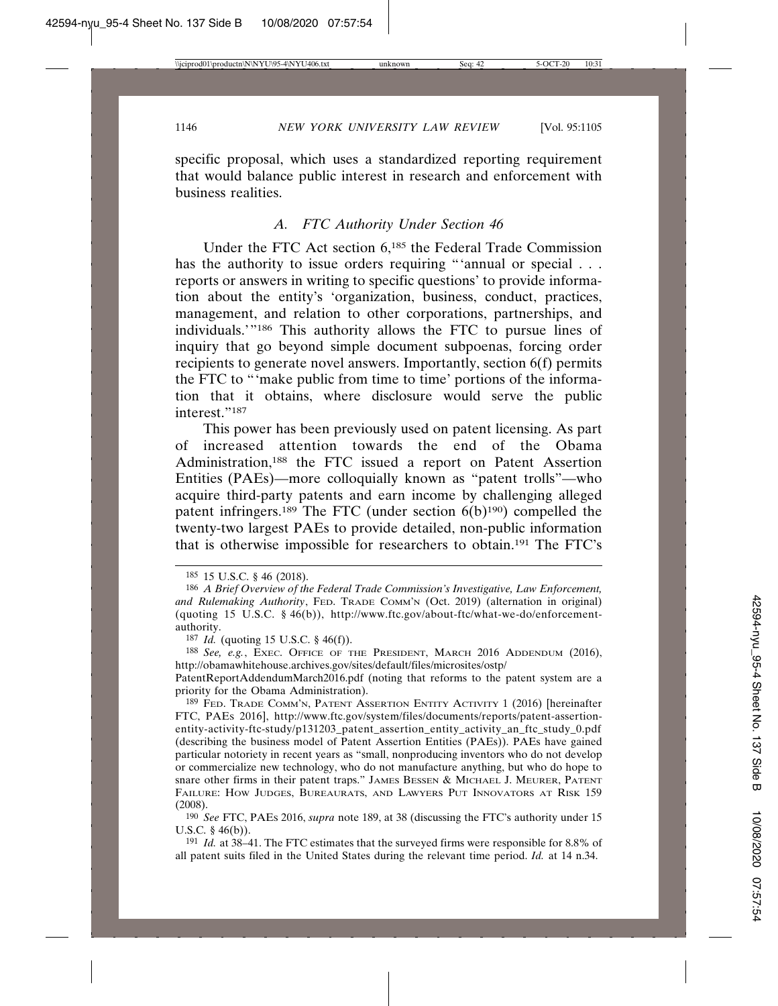specific proposal, which uses a standardized reporting requirement that would balance public interest in research and enforcement with business realities.

### *A. FTC Authority Under Section 46*

Under the FTC Act section 6,185 the Federal Trade Commission has the authority to issue orders requiring "'annual or special . . . reports or answers in writing to specific questions' to provide information about the entity's 'organization, business, conduct, practices, management, and relation to other corporations, partnerships, and individuals.'"186 This authority allows the FTC to pursue lines of inquiry that go beyond simple document subpoenas, forcing order recipients to generate novel answers. Importantly, section 6(f) permits the FTC to "'make public from time to time' portions of the information that it obtains, where disclosure would serve the public interest."187

This power has been previously used on patent licensing. As part of increased attention towards the end of the Obama Administration,188 the FTC issued a report on Patent Assertion Entities (PAEs)—more colloquially known as "patent trolls"—who acquire third-party patents and earn income by challenging alleged patent infringers.<sup>189</sup> The FTC (under section  $6(b)^{190}$ ) compelled the twenty-two largest PAEs to provide detailed, non-public information that is otherwise impossible for researchers to obtain.191 The FTC's

190 *See* FTC, PAES 2016, *supra* note 189, at 38 (discussing the FTC's authority under 15 U.S.C. § 46(b)).

191 *Id.* at 38–41. The FTC estimates that the surveyed firms were responsible for 8.8% of all patent suits filed in the United States during the relevant time period. *Id.* at 14 n.34.

<sup>185</sup> 15 U.S.C. § 46 (2018).

<sup>186</sup> *A Brief Overview of the Federal Trade Commission's Investigative, Law Enforcement,* and Rulemaking Authority, FED. TRADE COMM'N (Oct. 2019) (alternation in original) (quoting 15 U.S.C. § 46(b)), http://www.ftc.gov/about-ftc/what-we-do/enforcementauthority.

<sup>187</sup> *Id.* (quoting 15 U.S.C. § 46(f)).

<sup>188</sup> *See, e.g.*, EXEC. OFFICE OF THE PRESIDENT, MARCH 2016 ADDENDUM (2016), http://obamawhitehouse.archives.gov/sites/default/files/microsites/ostp/

PatentReportAddendumMarch2016.pdf (noting that reforms to the patent system are a priority for the Obama Administration).

<sup>189</sup> FED. TRADE COMM'N, PATENT ASSERTION ENTITY ACTIVITY 1 (2016) [hereinafter FTC, PAES 2016], http://www.ftc.gov/system/files/documents/reports/patent-assertionentity-activity-ftc-study/p131203\_patent\_assertion\_entity\_activity\_an\_ftc\_study\_0.pdf (describing the business model of Patent Assertion Entities (PAEs)). PAEs have gained particular notoriety in recent years as "small, nonproducing inventors who do not develop or commercialize new technology, who do not manufacture anything, but who do hope to snare other firms in their patent traps." JAMES BESSEN & MICHAEL J. MEURER, PATENT FAILURE: HOW JUDGES, BUREAURATS, AND LAWYERS PUT INNOVATORS AT RISK 159 (2008).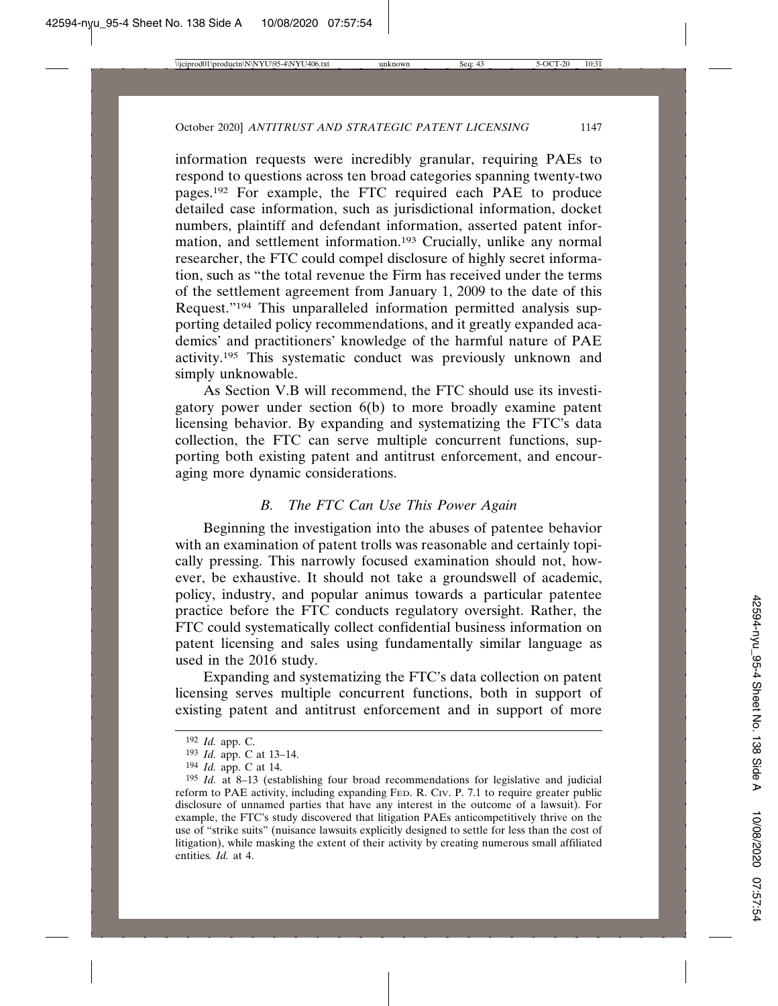information requests were incredibly granular, requiring PAEs to respond to questions across ten broad categories spanning twenty-two pages.192 For example, the FTC required each PAE to produce detailed case information, such as jurisdictional information, docket numbers, plaintiff and defendant information, asserted patent information, and settlement information.193 Crucially, unlike any normal researcher, the FTC could compel disclosure of highly secret information, such as "the total revenue the Firm has received under the terms of the settlement agreement from January 1, 2009 to the date of this Request."194 This unparalleled information permitted analysis supporting detailed policy recommendations, and it greatly expanded academics' and practitioners' knowledge of the harmful nature of PAE activity.195 This systematic conduct was previously unknown and simply unknowable.

As Section V.B will recommend, the FTC should use its investigatory power under section 6(b) to more broadly examine patent licensing behavior. By expanding and systematizing the FTC's data collection, the FTC can serve multiple concurrent functions, supporting both existing patent and antitrust enforcement, and encouraging more dynamic considerations.

# *B. The FTC Can Use This Power Again*

Beginning the investigation into the abuses of patentee behavior with an examination of patent trolls was reasonable and certainly topically pressing. This narrowly focused examination should not, however, be exhaustive. It should not take a groundswell of academic, policy, industry, and popular animus towards a particular patentee practice before the FTC conducts regulatory oversight. Rather, the FTC could systematically collect confidential business information on patent licensing and sales using fundamentally similar language as used in the 2016 study.

Expanding and systematizing the FTC's data collection on patent licensing serves multiple concurrent functions, both in support of existing patent and antitrust enforcement and in support of more

<sup>192</sup> *Id.* app. C.

<sup>193</sup> *Id.* app. C at 13–14.

<sup>194</sup> *Id.* app. C at 14.

<sup>195</sup> *Id.* at 8–13 (establishing four broad recommendations for legislative and judicial reform to PAE activity, including expanding FED. R. CIV. P. 7.1 to require greater public disclosure of unnamed parties that have any interest in the outcome of a lawsuit). For example, the FTC's study discovered that litigation PAEs anticompetitively thrive on the use of "strike suits" (nuisance lawsuits explicitly designed to settle for less than the cost of litigation), while masking the extent of their activity by creating numerous small affiliated entities*. Id.* at 4.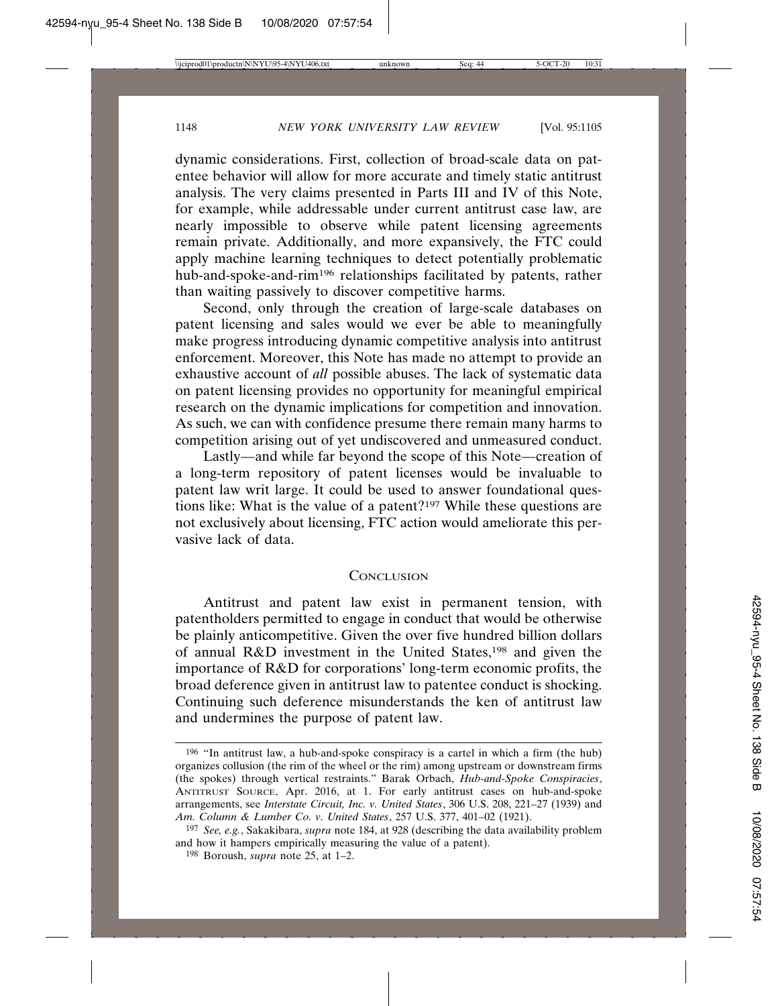dynamic considerations. First, collection of broad-scale data on patentee behavior will allow for more accurate and timely static antitrust analysis. The very claims presented in Parts III and IV of this Note, for example, while addressable under current antitrust case law, are nearly impossible to observe while patent licensing agreements remain private. Additionally, and more expansively, the FTC could apply machine learning techniques to detect potentially problematic hub-and-spoke-and-rim196 relationships facilitated by patents, rather than waiting passively to discover competitive harms.

Second, only through the creation of large-scale databases on patent licensing and sales would we ever be able to meaningfully make progress introducing dynamic competitive analysis into antitrust enforcement. Moreover, this Note has made no attempt to provide an exhaustive account of *all* possible abuses. The lack of systematic data on patent licensing provides no opportunity for meaningful empirical research on the dynamic implications for competition and innovation. As such, we can with confidence presume there remain many harms to competition arising out of yet undiscovered and unmeasured conduct.

Lastly—and while far beyond the scope of this Note—creation of a long-term repository of patent licenses would be invaluable to patent law writ large. It could be used to answer foundational questions like: What is the value of a patent?197 While these questions are not exclusively about licensing, FTC action would ameliorate this pervasive lack of data.

#### **CONCLUSION**

Antitrust and patent law exist in permanent tension, with patentholders permitted to engage in conduct that would be otherwise be plainly anticompetitive. Given the over five hundred billion dollars of annual R&D investment in the United States,198 and given the importance of R&D for corporations' long-term economic profits, the broad deference given in antitrust law to patentee conduct is shocking. Continuing such deference misunderstands the ken of antitrust law and undermines the purpose of patent law.

<sup>196</sup> "In antitrust law, a hub-and-spoke conspiracy is a cartel in which a firm (the hub) organizes collusion (the rim of the wheel or the rim) among upstream or downstream firms (the spokes) through vertical restraints." Barak Orbach, *Hub-and-Spoke Conspiracies*, ANTITRUST SOURCE, Apr. 2016, at 1. For early antitrust cases on hub-and-spoke arrangements, see *Interstate Circuit, Inc. v. United States*, 306 U.S. 208, 221–27 (1939) and *Am. Column & Lumber Co. v. United States*, 257 U.S. 377, 401–02 (1921).

<sup>197</sup> *See, e.g.*, Sakakibara, *supra* note 184, at 928 (describing the data availability problem and how it hampers empirically measuring the value of a patent).

<sup>198</sup> Boroush, *supra* note 25, at 1–2.